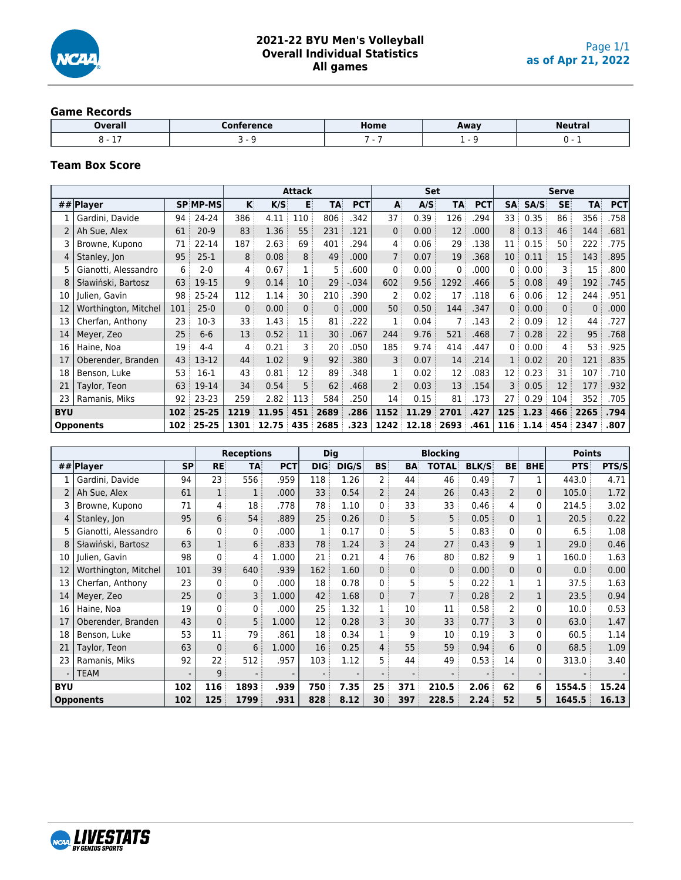

#### **Game Records**

| Overall            | Conference | Home | Away | <b>Neutral</b> |
|--------------------|------------|------|------|----------------|
| $\sim$ $\sim$<br>- |            |      |      |                |

## **Team Box Score**

|            |                      |     |                 |              |       | <b>Attack</b>  |           |            |                        | <b>Set</b> |              |            |                |      | Serve          |              |            |
|------------|----------------------|-----|-----------------|--------------|-------|----------------|-----------|------------|------------------------|------------|--------------|------------|----------------|------|----------------|--------------|------------|
|            | ## Player            |     | <b>SP MP-MS</b> | $\mathsf{K}$ | K/S   | E              | <b>TA</b> | <b>PCT</b> | $\mathbf{A}^{\dagger}$ | A/S        | <b>TA</b>    | <b>PCT</b> | <b>SA</b>      | SA/S | <b>SE</b>      | <b>TA</b>    | <b>PCT</b> |
|            | Gardini, Davide      | 94  | 24-24           | 386          | 4.11  | 110            | 806       | .342       | 37 i                   | 0.39       | 126          | 294        | 33 :           | 0.35 | 86             | 356          | .758       |
|            | Ah Sue, Alex         | 61  | $20-9$          | 83           | 1.36  | 55             | 231       | .121       | $\mathbf{0}$           | 0.00       | 12           | .000       | 8              | 0.13 | 46             | 144          | .681       |
|            | Browne, Kupono       | 71  | 22-14           | 187          | 2.63  | 69             | 401       | .294       | $\overline{4}$         | 0.06       | 29           | .138       | 11             | 0.15 | 50             | 222          | .775       |
| 4          | Stanley, Jon         | 95  | $25-1$          | 8            | 0.08  | 8 <sup>3</sup> | 49        | .000       | 7 <sup>3</sup>         | 0.07       | 19           | .368       | 10             | 0.11 | 15             | 143          | .895       |
| 5.         | Gianotti, Alessandro | 6   | $2 - 0$         | 4            | 0.67  |                | 5 :       | .600       | $\mathbf{0}$           | 0.00       | $\mathbf{0}$ | .000       | 0              | 0.00 | 3              | 15           | .800       |
| 8          | Sławiński, Bartosz   | 63  | 19-15           | 9            | 0.14  | 10             | 29        | $-0.34$    | 602                    | 9.56       | 1292         | .466       | 5              | 0.08 | 49             | 192          | .745       |
| 10         | Julien, Gavin        | 98  | $25 - 24$       | 112          | 1.14  | 30             | 210       | .390       | 2                      | 0.02       | 17           | .118       | 6              | 0.06 | 12             | 244          | .951       |
| 12         | Worthington, Mitchel | 101 | $25-0$          | $\mathbf{0}$ | 0.00  | 0 <sup>3</sup> | 0:        | .000       | 50                     | 0.50       | 144          | .347       | 0 <sup>3</sup> | 0.00 | $\overline{0}$ | $\mathbf{0}$ | .000       |
| 13         | Cherfan, Anthony     | 23  | $10-3$          | 33           | 1.43  | 15             | 81        | .222       | 1                      | 0.04       |              | 143        | 2              | 0.09 | 12             | 44           | .727       |
| 14         | Meyer, Zeo           | 25  | $6-6$           | 13           | 0.52  | 11             | 30        | .067       | 244                    | 9.76       | 521          | .468       | $\overline{7}$ | 0.28 | 22             | 95           | .768       |
| 16         | Haine, Noa           | 19  | $4 - 4$         | 4            | 0.21  | 3              | 20        | .050       | 185                    | 9.74       | 414          | .447       | 0              | 0.00 | 4              | 53           | .925       |
| 17         | Oberender, Branden   | 43  | 13-12           | 44           | 1.02  | 9:             | 92        | .380       | 3                      | 0.07       | 14           | .214       | 1              | 0.02 | 20             | 121          | .835       |
| 18         | Benson, Luke         | 53  | $16-1$          | 43           | 0.81  | 12             | 89        | .348       | 1                      | 0.02       | 12           | .083       | 12             | 0.23 | 31             | 107          | .710       |
| 21         | Taylor, Teon         | 63  | 19-14           | 34           | 0.54  | 5              | 62        | .468       | 2 <sup>3</sup>         | 0.03       | 13           | .154       | 3              | 0.05 | 12             | 177          | .932       |
| 23         | Ramanis, Miks        | 92: | $23 - 23$       | 259          | 2.82  | 113            | 584       | .250       | 14                     | 0.15       | 81           | .173       | 27             | 0.29 | 104            | 352          | .705       |
| <b>BYU</b> |                      | 102 | $25 - 25$       | 1219         | 11.95 | 451            | 2689      | .286       | 1152                   | 11.29      | 2701         | .427       | 125            | 1.23 | 466            | 2265         | .794       |
|            | <b>Opponents</b>     | 102 | $25 - 25$       | 1301         | 12.75 | 435            | 2685      | .323       | 1242                   | 12.18      | 2693         | .461       | 116            | 1.14 | 454            | 2347         | .807       |

|            |                      |           |              | <b>Receptions</b> |            | <b>Dig</b>  |       |                |                | <b>Blocking</b> |              |                |              | <b>Points</b> |       |
|------------|----------------------|-----------|--------------|-------------------|------------|-------------|-------|----------------|----------------|-----------------|--------------|----------------|--------------|---------------|-------|
|            | ## Player            | <b>SP</b> | <b>RE</b>    | TA:               | <b>PCT</b> | <b>DIG:</b> | DIG/S | <b>BS</b>      | BA             | <b>TOTAL:</b>   | <b>BLK/S</b> | <b>BE</b>      | <b>BHE</b>   | <b>PTS</b>    | PTS/S |
|            | Gardini, Davide      | 94        | 23           | 556               | .959       | 118         | 1.26  | $\overline{2}$ | 44             | 46              | 0.49         |                |              | 443.0         | 4.71  |
|            | Ah Sue, Alex         | 61        | 1            | $\mathbf 1$       | .000       | 33          | 0.54  | $\overline{2}$ | 24             | 26              | 0.43         | $\overline{2}$ | $\mathbf{0}$ | 105.0         | 1.72  |
|            | Browne, Kupono       | 71        | 4            | 18                | .778       | 78          | 1.10  | 0              | 33             | 33              | 0.46         | 4              | 0            | 214.5         | 3.02  |
| 4          | Stanley, Jon         | 95        | 6            | 54                | .889       | 25          | 0.26  | $\overline{0}$ | 5              | 5               | 0.05         | $\Omega$       |              | 20.5          | 0.22  |
| 5          | Gianotti, Alessandro | 6         | 0            | 0                 | .000       |             | 0.17  | 0              | 5              | 5               | 0.83         | $\Omega$       | $\mathbf{0}$ | 6.5           | 1.08  |
|            | Sławiński, Bartosz   | 63        | $\mathbf{1}$ | 6 <sup>3</sup>    | .833       | 78          | 1.24  | 3              | 24             | 27              | 0.43         | 9              |              | 29.0          | 0.46  |
| 10         | Julien, Gavin        | 98        | 0            | 4                 | 1.000      | 21          | 0.21  | $\overline{4}$ | 76             | 80              | 0.82         | 9              |              | 160.0         | 1.63  |
| 12         | Worthington, Mitchel | 101       | 39           | 640               | .939       | 162         | 1.60  | 0              | $\mathbf 0$    | $\mathbf{0}$    | 0.00         | 0              | $\mathbf{0}$ | 0.0           | 0.00  |
| 13         | Cherfan, Anthony     | 23        | 0            | $\mathbf 0$       | .000       | 18          | 0.78  | 0              | 5              | 5               | 0.22         |                |              | 37.5          | 1.63  |
| 14         | Meyer, Zeo           | 25        | 0            | 3                 | 1.000      | 42          | 1.68  | 0              | $\overline{7}$ | $\overline{7}$  | 0.28         |                |              | 23.5          | 0.94  |
| 16         | Haine, Noa           | 19        | 0            | $\mathbf 0$       | .000       | 25          | 1.32  | 1              | 10             | 11              | 0.58         | 2              | $\mathbf{0}$ | 10.0          | 0.53  |
| 17         | Oberender, Branden   | 43        | $\mathbf{0}$ | 5 <sup>3</sup>    | 1.000      | 12          | 0.28  | 3              | 30             | 33              | 0.77         | 3              | $\mathbf{0}$ | 63.0          | 1.47  |
| 18         | Benson, Luke         | 53        | 11           | 79                | .861       | 18          | 0.34  | $\mathbf{1}$   | 9              | 10              | 0.19         | 3              | $\Omega$     | 60.5          | 1.14  |
| 21         | Taylor, Teon         | 63        | $\mathbf{0}$ | 6                 | 1.000      | 16          | 0.25  | 4              | 55             | 59              | 0.94         | 6              | $\mathbf{0}$ | 68.5          | 1.09  |
| 23         | Ramanis, Miks        | 92        | 22           | 512               | .957       | 103         | 1.12  | 5              | 44             | 49              | 0.53         | 14             | 0            | 313.0         | 3.40  |
|            | <b>TEAM</b>          |           | 9            |                   |            |             |       |                |                |                 |              |                |              |               |       |
| <b>BYU</b> |                      | 102       | 116          | 1893              | .939       | 750         | 7.35  | 25             | 371            | 210.5           | 2.06         | 62             | 6            | 1554.5        | 15.24 |
|            | <b>Opponents</b>     | 102       | 125          | 1799              | .931       | 828         | 8.12  | 30             | 397            | 228.5           | 2.24         | 52             | 5            | 1645.5        | 16.13 |

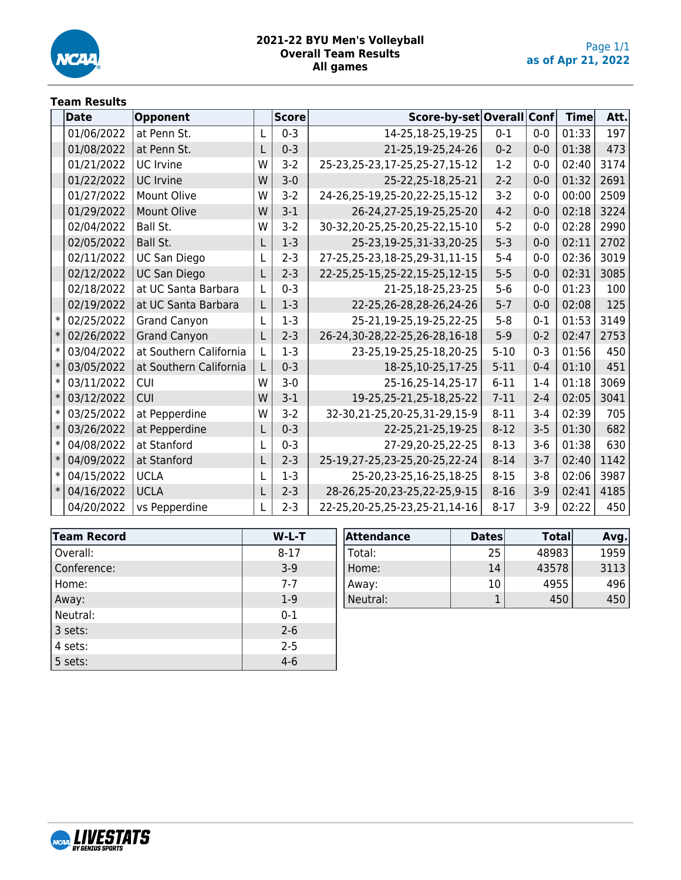

#### **2021-22 BYU Men's Volleyball Overall Team Results All games**

## **Team Results**

|                | Date       | Opponent               |   | <b>Score</b> | Score-by-set Overall Conf         |          |         | <b>Time</b> | Att. |
|----------------|------------|------------------------|---|--------------|-----------------------------------|----------|---------|-------------|------|
|                | 01/06/2022 | at Penn St.            | L | $0 - 3$      | 14-25,18-25,19-25                 | $0 - 1$  | $0-0$   | 01:33       | 197  |
|                | 01/08/2022 | at Penn St.            |   | $0 - 3$      | 21-25,19-25,24-26                 | $0 - 2$  | $0 - 0$ | 01:38       | 473  |
|                | 01/21/2022 | <b>UC</b> Irvine       | W | $3 - 2$      | 25-23, 25-23, 17-25, 25-27, 15-12 | $1-2$    | $0 - 0$ | 02:40       | 3174 |
|                | 01/22/2022 | <b>UC Irvine</b>       | W | $3 - 0$      | 25-22,25-18,25-21                 | $2-2$    | $0 - 0$ | 01:32       | 2691 |
|                | 01/27/2022 | Mount Olive            | W | $3-2$        | 24-26,25-19,25-20,22-25,15-12     | $3-2$    | $0 - 0$ | 00:00       | 2509 |
|                | 01/29/2022 | <b>Mount Olive</b>     | W | $3 - 1$      | 26-24, 27-25, 19-25, 25-20        | $4 - 2$  | $0 - 0$ | 02:18       | 3224 |
|                | 02/04/2022 | Ball St.               | W | $3-2$        | 30-32,20-25,25-20,25-22,15-10     | $5 - 2$  | $0 - 0$ | 02:28       | 2990 |
|                | 02/05/2022 | Ball St.               |   | $1-3$        | 25-23,19-25,31-33,20-25           | $5 - 3$  | $0 - 0$ | 02:11       | 2702 |
|                | 02/11/2022 | <b>UC San Diego</b>    |   | $2 - 3$      | 27-25,25-23,18-25,29-31,11-15     | $5 - 4$  | $0 - 0$ | 02:36       | 3019 |
|                | 02/12/2022 | <b>UC San Diego</b>    | L | $2 - 3$      | 22-25, 25-15, 25-22, 15-25, 12-15 | $5 - 5$  | $0 - 0$ | 02:31       | 3085 |
|                | 02/18/2022 | at UC Santa Barbara    | L | $0 - 3$      | 21-25,18-25,23-25                 | $5-6$    | $0 - 0$ | 01:23       | 100  |
|                | 02/19/2022 | at UC Santa Barbara    | L | $1-3$        | 22-25,26-28,28-26,24-26           | $5 - 7$  | $0-0$   | 02:08       | 125  |
| $\ast$         | 02/25/2022 | <b>Grand Canyon</b>    | L | $1-3$        | 25-21,19-25,19-25,22-25           | $5 - 8$  | $0 - 1$ | 01:53       | 3149 |
| $\vert$ $\ast$ | 02/26/2022 | <b>Grand Canyon</b>    | L | $2 - 3$      | 26-24,30-28,22-25,26-28,16-18     | $5-9$    | $0 - 2$ | 02:47       | 2753 |
| $\ast$         | 03/04/2022 | at Southern California | L | $1-3$        | 23-25,19-25,25-18,20-25           | $5 - 10$ | $0 - 3$ | 01:56       | 450  |
| ∣∗             | 03/05/2022 | at Southern California |   | $0 - 3$      | 18-25, 10-25, 17-25               | $5 - 11$ | $0 - 4$ | 01:10       | 451  |
| $\ast$         | 03/11/2022 | <b>CUI</b>             | W | $3 - 0$      | 25-16,25-14,25-17                 | $6 - 11$ | $1 - 4$ | 01:18       | 3069 |
| ∣∗             | 03/12/2022 | <b>CUI</b>             | W | $3 - 1$      | 19-25, 25-21, 25-18, 25-22        | $7 - 11$ | $2 - 4$ | 02:05       | 3041 |
| $\ast$         | 03/25/2022 | at Pepperdine          | W | $3 - 2$      | 32-30, 21-25, 20-25, 31-29, 15-9  | $8 - 11$ | $3 - 4$ | 02:39       | 705  |
| ∣∗             | 03/26/2022 | at Pepperdine          | L | $0 - 3$      | 22-25, 21-25, 19-25               | $8 - 12$ | $3 - 5$ | 01:30       | 682  |
| $\ast$         | 04/08/2022 | at Stanford            |   | $0 - 3$      | 27-29,20-25,22-25                 | $8 - 13$ | $3-6$   | 01:38       | 630  |
| $\ast$         | 04/09/2022 | at Stanford            | L | $2 - 3$      | 25-19,27-25,23-25,20-25,22-24     | $8 - 14$ | $3 - 7$ | 02:40       | 1142 |
| $\ast$         | 04/15/2022 | <b>UCLA</b>            |   | $1-3$        | 25-20, 23-25, 16-25, 18-25        | $8 - 15$ | $3 - 8$ | 02:06       | 3987 |
| ∣∗             | 04/16/2022 | <b>UCLA</b>            | L | $2 - 3$      | 28-26, 25-20, 23-25, 22-25, 9-15  | $8 - 16$ | $3-9$   | 02:41       | 4185 |
|                | 04/20/2022 | vs Pepperdine          |   | $2 - 3$      | 22-25,20-25,25-23,25-21,14-16     | $8 - 17$ | $3-9$   | 02:22       | 450  |

| <b>Team Record</b> | $W-L-T$  |
|--------------------|----------|
| Overall:           | $8 - 17$ |
| Conference:        | $3-9$    |
| Home:              | $7 - 7$  |
| Away:              | $1-9$    |
| Neutral:           | $0 - 1$  |
| 3 sets:            | $2 - 6$  |
| 4 sets:            | $2 - 5$  |
| 5 sets:            | $4 - 6$  |

| Attendance | <b>Dates</b> | <b>Total</b> | Avg. |
|------------|--------------|--------------|------|
| Total:     | 25           | 48983        | 1959 |
| Home:      | 14           | 43578        | 3113 |
| Away:      | 10           | 4955         | 496  |
| Neutral:   |              | 450          | 450  |

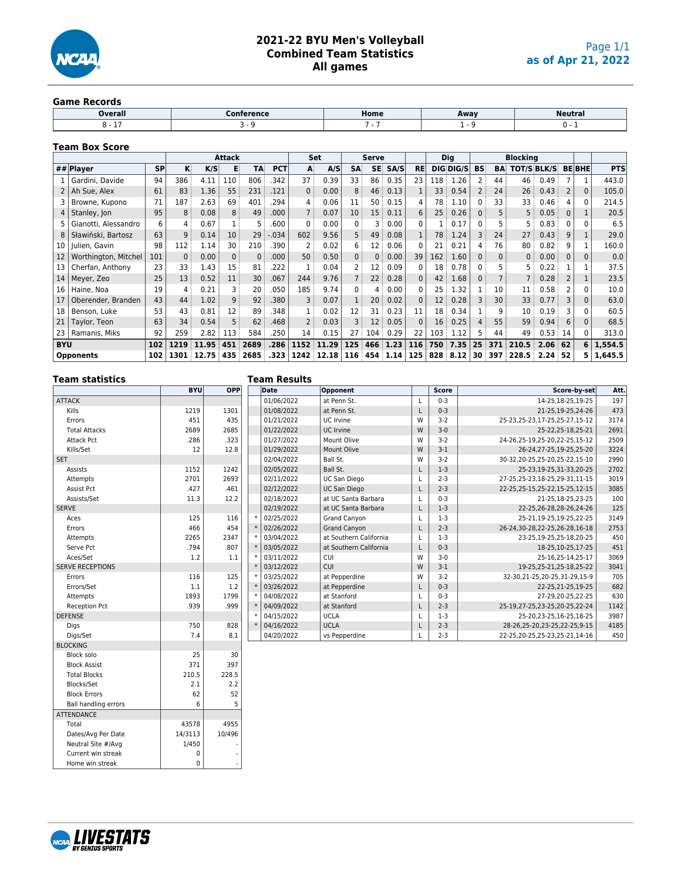

## **2021-22 BYU Men's Volleyball Combined Team Statistics All games**

#### **Game Records**

| ---------------- |            |      |      |                |
|------------------|------------|------|------|----------------|
| Overall          | Conference | Home | Away | <b>Neutral</b> |
|                  |            |      |      |                |
|                  |            |      |      |                |

#### **Team Box Score**

|                 | <b>Attack</b>        |           |       |       |          |           |            |          | Set   |                 | <b>Serve</b>      |          |              |                 | Dig       |                 |           | <b>Blocking</b> |                |                |              |            |
|-----------------|----------------------|-----------|-------|-------|----------|-----------|------------|----------|-------|-----------------|-------------------|----------|--------------|-----------------|-----------|-----------------|-----------|-----------------|----------------|----------------|--------------|------------|
|                 | ## $Plaver$          | <b>SP</b> | κ     | K/S   |          | <b>TA</b> | <b>PCT</b> | A        | A/S   | <b>SA</b>       | SE.               | SA/S     | <b>RE</b>    |                 | DIG DIG/S | <b>BS</b>       | <b>BA</b> | TOT/S BLK/S     |                |                | <b>BEBHE</b> | <b>PTS</b> |
|                 | Gardini, Davide      | 94        | 386   | 4.11  | 110      | 806       | .342       | 37       | 0.39  | 33              | 86                | 0.35     | 23           | 118             | 1.26      |                 | 44        | 46              | 0.49           |                |              | 443.0      |
| 2 <sup>1</sup>  | Ah Sue, Alex         | 61        | 83    | 1.36: | 55       | 231       | .121       | $\Omega$ | 0.00  | 8 <sup>3</sup>  | 46                | 0.13     |              | 33 i            | 0.54      |                 | 24        | 26:             | 0.43           | $\overline{2}$ | $\Omega$     | 105.0      |
|                 | Browne, Kupono       | 71        | 187   | 2.63  | 69       | 401       | .294       |          | 0.06  | 11              | 50                | 0.15     | 4            | 78              | 1.10      | $\Omega$        | 33        | 33              | 0.46           | 4              |              | 214.5      |
| 4               | Stanley, Jon         | 95        | 8     | 0.08  | 8        | 49        | .000       |          | 0.07  | 10 <sup>1</sup> | 15                | 0.11     | 6            | 25 <sup>3</sup> | 0.26      | $\overline{0}$  | 5         | 5 <sup>1</sup>  | 0.05           | 0              |              | 20.5       |
| 5.              | Gianotti, Alessandro | 6         | 4     | 0.67  |          |           | .600       | $\Omega$ | 0.00  | 0:              | 3                 | 0.00     | $\mathbf{0}$ |                 | 0.17      | $\mathbf{0}$    | 5         |                 | 0.83           | 0              | $\Omega$     | 6.5        |
| 8               | Sławiński, Bartosz   | 63        | 9     | 0.14  | 10       | 29        | .034       | 602      | 9.56  | 5 <sup>3</sup>  | 49                | 0.08     |              | 78              | 1.24      |                 | 24        | 27              | 0.43           | 9              |              | 29.0       |
| 10 <sup>1</sup> | Iulien, Gavin        | 98        | 112   | 1.14  | 30       | 210       | 390        |          | 0.02  | 6               | 12:               | 0.06     | 0            | 21              | 0.21      | 4               | 76        | 80              | 0.82           | 9              |              | 160.0      |
| 12              | Worthington, Mitchel | 101       | $0$ : | 0.00  | $\Omega$ | 0         | .000       | 50       | 0.50  | 0:              | 0                 | 0.00     | 39           | 162             | 1.60      | 0               | 0:        | 0:              | 0.00           | 0              | $\Omega$     | 0.0        |
| 13              | Cherfan, Anthony     | 23        | 33    | 1.43  | 15       | 81        | .222       |          | 0.04  |                 | 12                | 0.09     | 0            | 18 :            | 0.78      | $\mathbf{0}$    |           |                 | 0.22           |                |              | 37.5       |
|                 | 14   Meyer, Zeo      | 25        | 13    | 0.52  | 11       | 30        | .067       | 244      | 9.76  | 7               | $22 \overline{ }$ | 0.28     | $\Omega$     | 42              | 1.68      | $\Omega$        |           |                 | 0.28           | 2              |              | 23.5       |
| 16 I            | Haine, Noa           | 19        | 4     | 0.21  | 3        | 20        | .050       | 185      | 9.74  | 0               | 4                 | 0.00     | 0            | 25              | 1.32      |                 | 10        | 11              | 0.58           |                | 0            | 10.0       |
| 17              | Oberender, Branden   | 43        | 44    | 1.02  | 9        | 92        | .380       | 3        | 0.07  | $\mathbf{1}$    | 20                | 0.02     | $\Omega$     | 12:             | 0.28      | 3               | 30        | 33              | 0.77           | 3              | $\mathbf{0}$ | 63.0       |
| 18              | Benson, Luke         | 53        | 43    | 0.81  | 12       | 89        | .348       |          | 0.02  | 12              | 31                | 0.23     | 11           | 18 <sup>3</sup> | 0.34      |                 | 9         | 10              | 0.19           | 3              | $\Omega$     | 60.5       |
| 21              | Taylor, Teon         | 63        | 34    | 0.54  | 5        | 62        | .468       |          | 0.03  | 3 :             | 12                | 0.05     | $\Omega$     | 16:             | 0.25      | 4               | 55        | 59              | 0.94           | 6              | $\Omega$     | 68.5       |
| 23              | Ramanis, Miks        | 92        | 259   | 2.82  | 113      | 584       | .250       | 14       | 0.15  | 27:             | 104               | 0.29     | 22           | 103:            | 1.12      | 5               | 44        | 49              | $0.53 \div 14$ |                | $\Omega$     | 313.0      |
| <b>BYU</b>      |                      | 102       | 1219  | 11.95 | 451      | 2689      | .286       | 1152     | 11.29 | 125             | 466               | 1.23     | 116          | 750             | 7.35      | 25              | 371       | 210.5           | $2.06 \pm 62$  |                | 6            | 1,554.5    |
|                 | <b>Opponents</b>     | 102       | 1301  | 12.75 | 435      | 2685      | .323       | 1242     | 12.18 | 116             |                   | 454 1.14 | 125          |                 | 828 8.12  | 30 <sup>3</sup> | 397       | 228.5           | 2.24:52        |                | 5.           | 1,645.5    |

## **Team statistics**

Blocks/Set

**ATTENDANCE** 

Dates/Avg Per Date

Home win streak

| Team Results |
|--------------|
|              |

|                         |      | <b>BYU</b><br><b>OPP</b><br>Date<br>Opponent |  |            |                        | <b>Score</b> | Score-by-set | Att.                              |      |
|-------------------------|------|----------------------------------------------|--|------------|------------------------|--------------|--------------|-----------------------------------|------|
| <b>ATTACK</b>           |      |                                              |  | 01/06/2022 | at Penn St.            |              | $0 - 3$      | 14-25.18-25.19-25                 | 197  |
| Kills                   | 1219 | 1301                                         |  | 01/08/2022 | at Penn St.            |              | $0 - 3$      | 21-25,19-25,24-26                 | 473  |
| Errors                  | 451  | 435                                          |  | 01/21/2022 | UC Irvine              | W            | $3-2$        | 25-23, 25-23, 17-25, 25-27, 15-12 | 3174 |
| <b>Total Attacks</b>    | 2689 | 2685                                         |  | 01/22/2022 | UC Irvine              | W            | $3 - 0$      | 25-22, 25-18, 25-21               | 2691 |
| <b>Attack Pct</b>       | .286 | .323                                         |  | 01/27/2022 | Mount Olive            | W            | $3-2$        | 24-26.25-19.25-20.22-25.15-12     | 2509 |
| Kills/Set               | 12   | 12.8                                         |  | 01/29/2022 | Mount Olive            | W            | $3 - 1$      | 26-24, 27-25, 19-25, 25-20        | 3224 |
| <b>SET</b>              |      |                                              |  | 02/04/2022 | Ball St.               | W            | $3-2$        | 30-32,20-25,25-20,25-22,15-10     | 2990 |
| Assists                 | 1152 | 1242                                         |  | 02/05/2022 | Ball St.               | L            | $1-3$        | 25-23,19-25,31-33,20-25           | 2702 |
| Attempts                | 2701 | 2693                                         |  | 02/11/2022 | <b>UC San Diego</b>    |              | $2 - 3$      | 27-25,25-23,18-25,29-31,11-15     | 3019 |
| Assist Pct              | .427 | .461                                         |  | 02/12/2022 | <b>UC San Diego</b>    | L            | $2 - 3$      | 22-25, 25-15, 25-22, 15-25, 12-15 | 3085 |
| Assists/Set             | 11.3 | 12.2                                         |  | 02/18/2022 | at UC Santa Barbara    | L            | $0 - 3$      | 21-25,18-25,23-25                 | 100  |
| <b>SERVE</b>            |      |                                              |  | 02/19/2022 | at UC Santa Barbara    | L            | $1-3$        | 22-25,26-28,28-26,24-26           | 125  |
| Aces                    | 125  | 116                                          |  | 02/25/2022 | <b>Grand Canvon</b>    | L            | $1-3$        | 25-21.19-25.19-25.22-25           | 3149 |
| Errors                  | 466  | 454                                          |  | 02/26/2022 | <b>Grand Canyon</b>    | L            | $2 - 3$      | 26-24, 30-28, 22-25, 26-28, 16-18 | 2753 |
| Attempts                | 2265 | 2347                                         |  | 03/04/2022 | at Southern California |              | $1-3$        | 23-25.19-25.25-18.20-25           | 450  |
| Serve Pct               | .794 | .807                                         |  | 03/05/2022 | at Southern California | L            | $0 - 3$      | 18-25, 10-25, 17-25               | 451  |
| Aces/Set                | 1.2  | 1.1                                          |  | 03/11/2022 | <b>CUI</b>             | W            | $3 - 0$      | 25-16,25-14,25-17                 | 3069 |
| <b>SERVE RECEPTIONS</b> |      |                                              |  | 03/12/2022 | CUI                    | W            | $3 - 1$      | 19-25, 25-21, 25-18, 25-22        | 3041 |
| Errors                  | 116  | 125                                          |  | 03/25/2022 | at Pepperdine          | W            | $3-2$        | 32-30, 21-25, 20-25, 31-29, 15-9  | 705  |
| Errors/Set              | 1.1  | 1.2                                          |  | 03/26/2022 | at Pepperdine          | L            | $0 - 3$      | 22-25,21-25,19-25                 | 682  |
| Attempts                | 1893 | 1799                                         |  | 04/08/2022 | at Stanford            | L            | $0 - 3$      | 27-29,20-25,22-25                 | 630  |
| Reception Pct           | .939 | .999                                         |  | 04/09/2022 | at Stanford            |              | $2 - 3$      | 25-19,27-25,23-25,20-25,22-24     | 1142 |
| <b>DEFENSE</b>          |      |                                              |  | 04/15/2022 | <b>UCLA</b>            |              | $1-3$        | 25-20, 23-25, 16-25, 18-25        | 3987 |
| Digs                    | 750  | 828                                          |  | 04/16/2022 | <b>UCLA</b>            | L            | $2 - 3$      | 28-26, 25-20, 23-25, 22-25, 9-15  | 4185 |
| Digs/Set                | 7.4  | 8.1                                          |  | 04/20/2022 | vs Pepperdine          |              | $2 - 3$      | 22-25,20-25,25-23,25-21,14-16     | 450  |
| <b>BLOCKING</b>         |      |                                              |  |            |                        |              |              |                                   |      |
| Block solo              | 25   | 30                                           |  |            |                        |              |              |                                   |      |



Block Assist 297 371 397 Total Blocks<br>Blocks/Set 2.1 2.2

Block Errors 1 62 52 Ball handling errors 1 6 5

Total 43578 4955<br>Dates/Avg Per Date 14/3113 10/496

Neutral Site #/Avg 1/450 Current win streak 0 0<br>Home win streak 0 0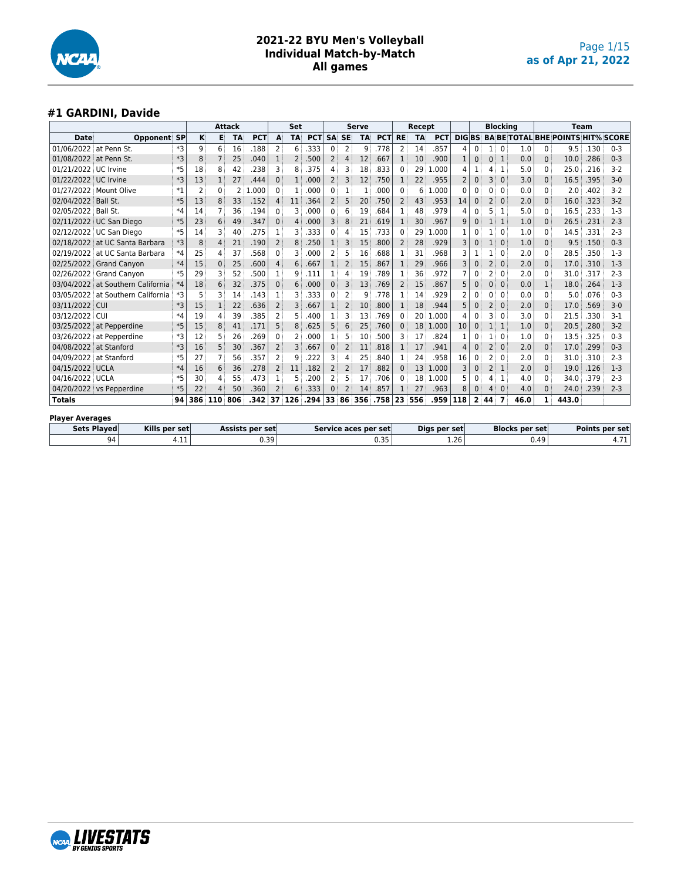

#### **#1 GARDINI, Davide**

|                        |                                     |           |                |     | Attack    |                        |                | Set            |            |                |                | <b>Serve</b> |                      |                | Recept    |              |                |                |                | <b>Blocking</b>         |                       |              |                                          | <b>Team</b> |                |
|------------------------|-------------------------------------|-----------|----------------|-----|-----------|------------------------|----------------|----------------|------------|----------------|----------------|--------------|----------------------|----------------|-----------|--------------|----------------|----------------|----------------|-------------------------|-----------------------|--------------|------------------------------------------|-------------|----------------|
| <b>Date</b>            | Opponent                            | <b>SP</b> | ĸ              | в   | <b>TA</b> | <b>PCT</b>             | A              | <b>TA</b>      | <b>PCT</b> | <b>SA</b>      | <b>SE</b>      | <b>TA</b>    | <b>PCT</b>           | <b>RE</b>      | <b>TA</b> | <b>PCT</b>   | <b>DIGBS</b>   |                |                |                         |                       |              | <b>BA BE TOTAL BHE POINTS HIT% SCORE</b> |             |                |
| 01/06/2022 at Penn St. |                                     | *3        | 9              | 6   | 16        | .188                   | $\overline{2}$ | 6              | .333       | 0              | 2              | 9            | .778                 | 2              | 14        | .857         | 4              | 0              |                | $\Omega$                | 1.0                   | 0            | 9.5                                      | .130        | $0 - 3$        |
| 01/08/2022 at Penn St. |                                     | *3        | 8              |     | 25        | .040                   | 1              | $\overline{2}$ | .500       | 2              | 4              | 12           | .667                 | 1              | 10        | .900         | 1              | $\overline{0}$ | $\mathbf{0}$   | $\mathbf{1}$            | 0.0                   | $\mathbf{0}$ | 10.0                                     | .286        | $0 - 3$        |
| 01/21/2022 UC Irvine   |                                     | *5        | 18             | 8   | 42        | .238                   | 3              | 8              | .375       | 4              | 3              | 18           | .833                 | $\Omega$       | 29        | .000<br>1    | 4              |                | 4              | 1                       | 5.0                   | 0            | 25.0                                     | .216        | $3 - 2$        |
| 01/22/2022 UC Irvine   |                                     | *3        | 13             |     | 27        | .444                   | $\Omega$       | 1              | .000       | $\overline{2}$ | 3              | 12           | .750                 | $\mathbf{1}$   | 22        | .955         | 2              | $\mathbf{0}$   | 3              | $\mathbf{0}$            | 3.0                   | $\Omega$     | 16.5                                     | .395        | $3-0$          |
|                        | 01/27/2022 Mount Olive              | $*1$      | $\overline{2}$ | 0   | 2         | .000                   | $\Omega$       | 1              | .000       | $\Omega$       | $\mathbf{1}$   |              | .000                 | $\Omega$       | 6         | .000<br>1    | $\Omega$       | 0              | ŋ              | $\Omega$                | 0.0                   | 0            | 2.0                                      | .402        | $3-2$          |
| 02/04/2022 Ball St.    |                                     | $*5$      | 13             | 8   | 33        | .152                   | 4              | 11             | .364       | 2              | 5              | 20           | .750                 | 2              | 43        | .953         | 14             | 0              | 2              | $\mathbf{0}$            | 2.0                   | 0            | 16.0                                     | .323        | $3 - 2$        |
| 02/05/2022 Ball St.    |                                     | $*4$      | 14             |     | 36        | .194                   | $\Omega$       |                | .000       | 0              | 6              | 19           | 684                  | 1              | 48        | .979         | 4              | 0              | 5              | 1                       | 5.0                   | $\mathbf{0}$ | 16.5                                     | .233        | $1-3$          |
|                        | 02/11/2022 UC San Diego             | $*5$      | 23             | 6   | 49        | .347                   | $\Omega$       | 4              | .000       | 3              | 8              | 21           | .619                 | 1              | 30        | .967         | 9              | 0              |                | $\mathbf{1}$            | 1.0                   | 0            | 26.5                                     | .231        | $2 - 3$        |
|                        | 02/12/2022 UC San Diego             | $*5$      | 14             | 3   | 40        | .275                   | 1              | 3              | .333       | 0              | 4              | 15           | .733                 | 0              | 29        | .000<br>1    |                | 0              |                | $\Omega$                | 1.0                   | 0            | 14.5                                     | .331        | $2 - 3$        |
|                        | 02/18/2022 at UC Santa Barbara      | $*3$      | 8              | 4   | 21        | .190                   | $\overline{2}$ | 8              | .250       |                | 3              | 15           | .800                 | 2              | 28        | .929         | 3              | 0              |                | $\mathbf 0$             | 1.0                   | 0            | 9.5                                      | .150        | $0 - 3$        |
| 02/19/2022             | at UC Santa Barbara                 | $*4$      | 25             | 4   | 37        | 568                    | $\Omega$       |                | .000       | 2              | 5              | 16           | .688                 | 1              | 31        | 968          | З              |                |                | $\Omega$                | 2.0                   | 0            | 28.5                                     | .350        | $1-3$          |
|                        | 02/25/2022 Grand Canyon             | $*4$      | 15             | 0   | 25        | .600                   | 4              | 6              | .667       | 1              | 2              | 15           | .867                 | $\mathbf{1}$   | 29        | .966         | 3              | 0              | $\overline{2}$ | $\mathbf{0}$            | 2.0                   | 0            | 17.0                                     | .310        | $1 - 3$        |
|                        | 02/26/2022 Grand Canvon             | $*5$      | 29             | ٦   | 52        | 500                    | 1              | q              | .111       | 1              | 4              | 19           | .789                 | 1              | 36        | .972         |                | 0              | 2              | $\Omega$                | 2.0                   | 0            | 31.0                                     | .317        | $2 - 3$        |
|                        | 03/04/2022 at Southern California   | $*4$      | 18             | 6   | 32        | .375                   | $\mathbf{0}$   | 6              | .000       | 0              | 3              | 13           | .769                 | $\overline{2}$ | 15        | .867         | 5              | 0              | $\Omega$       | $\mathbf{0}$            | 0.0                   | 1            | 18.0                                     | .264        | $1-3$          |
| 03/05/2022             | at Southern California              | *3        | 5              |     | 14        | .143                   |                | 3              | .333       | $\Omega$       | $\overline{2}$ | q            | .778                 | 1              | 14        | .929         | $\overline{2}$ | 0              | n              | $\Omega$                | 0.0                   | 0            | 5.0                                      | .076        | $0 - 3$        |
| 03/11/2022 CUI         |                                     | $*3$      | 15             |     | 22        | .636                   | $\overline{2}$ | 3              | .667       | 1              | $\overline{2}$ | 10           | .800                 | 1              | 18        | .944         | 5              | 0              | 2              | $\mathbf 0$             | 2.0                   | $\Omega$     | 17.0                                     | .569        | $3-0$          |
| 03/12/2022 CUI         |                                     | $*4$      | 19             | 4   | 39        | .385                   | $\overline{2}$ |                | .400       |                | 3              | 13           | .769                 | 0              | 20        | 1.000        | 4              | 0              | ٦              | $\Omega$                | 3.0                   | 0            | 21.5                                     | .330        | $3 - 1$        |
|                        | 03/25/2022 at Pepperdine            | $*5$      | 15             | 8   | 41        | .171                   | 5              | 8              | .625       | 5              | 6              | 25           | .760                 | $\Omega$       | 18        | 1.000        | 10             | $\mathbf{0}$   | 1              | 1                       | 1.0                   | 0            | 20.5                                     | .280        | $3 - 2$        |
| 03/26/2022             | at Pepperdine                       | *3        | 12             |     | 26        | .269                   | $\Omega$       |                | .000       |                | 5              | 10           | .500                 | 3              | 17        | .824         |                | 0              |                | $\mathbf 0$             | 1.0                   | 0            | 13.5                                     | .325        | $0 - 3$        |
| 04/08/2022 at Stanford |                                     | *3        | 16             | 5   | 30        | .367                   | $\overline{2}$ | 3              | .667       | $\mathbf{0}$   | $\overline{2}$ | 11           | .818                 | 1              | 17        | .941         | $\overline{4}$ | $\mathbf{0}$   | $\overline{2}$ | $\mathbf{0}$            | 2.0                   | $\mathbf{0}$ | 17.0                                     | .299        | $0 - 3$        |
| 04/09/2022 at Stanford |                                     | *5        | 27             |     | 56        | 357                    | 2              | q              | .222       | 3              | 4              | 25           | .840                 | 1              | 24        | .958         | 16             | 0              | 2              | $\Omega$                | 2.0                   | 0            | 31.0                                     | .310        | $2 - 3$        |
| 04/15/2022 UCLA        |                                     | $*4$      | 16             | 6   | 36        | .278                   | $\overline{2}$ | 11             | .182       | 2              | 2              | 17           | .882                 | $\Omega$       | 13        | 1.000        | 3              | $\mathbf{0}$   | $\overline{2}$ | 1                       | 2.0                   | $\Omega$     | 19.0                                     | .126        | $1-3$          |
| 04/16/2022 UCLA        |                                     | *5        | 30             | 4   | 55        | .473                   | 1              | 5              | .200       | 2              | 5              | 17           | .706                 | 0              | 18        | 1.000        | 5              | 0              | 4              | 1                       | 4.0                   | 0            | 34.0                                     | .379        | $2 - 3$        |
|                        | 04/20/2022 vs Pepperdine            | $*5$      | 22             |     | 50        | .360                   | $\overline{2}$ | ĥ              | .333       | 0              |                | 14           | .857                 |                | 27        | .963         | 8              | 0              | 4              | $\Omega$                | 4.0                   | 0            | 24.0                                     | .239        | $2 - 3$        |
| <b>Totals</b>          |                                     | 94        | 386            | 110 | 806       | .342                   | 37             | 126            | .294       | 33             | 86             | 356          | .758                 | 23             | 556       | .959         | 118            | 2 <sup>1</sup> | 44             | $\overline{\mathbf{z}}$ | 46.0                  | $\mathbf{1}$ | 443.0                                    |             |                |
| <b>Player Averages</b> |                                     |           |                |     |           |                        |                |                |            |                |                |              |                      |                |           |              |                |                |                |                         |                       |              |                                          |             |                |
|                        | Kills per set<br><b>Sets Played</b> |           |                |     |           | <b>Assists per set</b> |                |                |            |                |                |              | Service aces per set |                |           | Digs per set |                |                |                |                         | <b>Blocks per set</b> |              |                                          |             | Points per set |
| 4.11<br>94             |                                     |           |                |     |           | 0.39                   |                |                |            |                |                |              | 0.35                 |                |           |              | 1.26           |                |                |                         |                       | 0.49         |                                          |             | 4.71           |

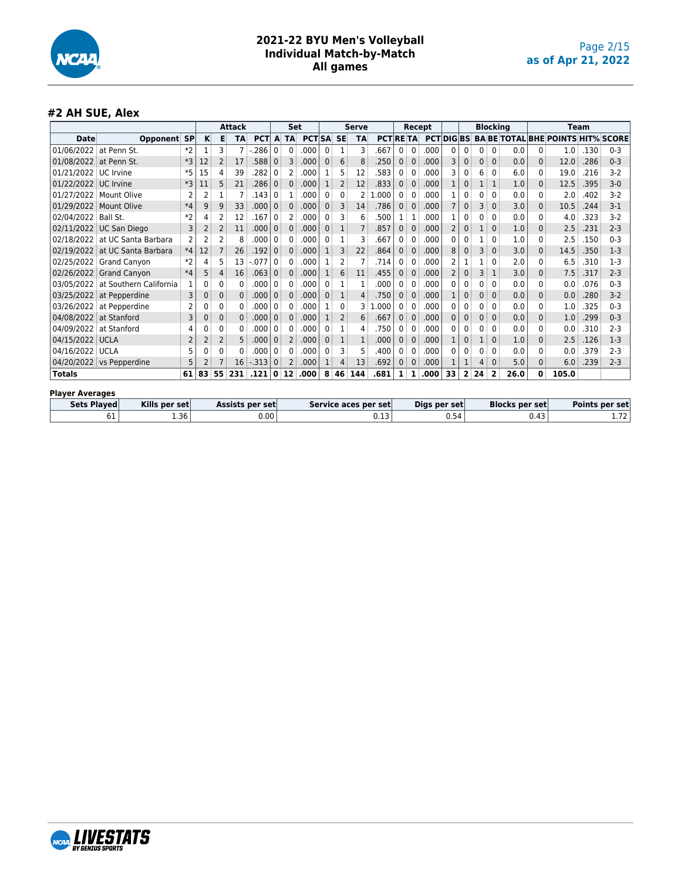

#### **#2 AH SUE, Alex**

|                        |                                |                | <b>Attack</b>  |                 |              |            | <b>Set</b> |           |            |              | Serve                |           |                 |                | Recept       |      |                 |                         | <b>Blocking</b>       |              |      |              | <b>Team</b>                              |      |         |
|------------------------|--------------------------------|----------------|----------------|-----------------|--------------|------------|------------|-----------|------------|--------------|----------------------|-----------|-----------------|----------------|--------------|------|-----------------|-------------------------|-----------------------|--------------|------|--------------|------------------------------------------|------|---------|
| <b>Date</b>            | <b>Opponent SP</b>             |                | κ              | Е               | TA           | <b>PCT</b> | A          | <b>TA</b> | <b>PCT</b> | <b>SA</b>    | <b>SE</b>            | <b>TA</b> | <b>PCT RETA</b> |                |              |      | <b>PCTDIGBS</b> |                         |                       |              |      |              | <b>BA BE TOTAL BHE POINTS HIT% SCORE</b> |      |         |
| 01/06/2022             | at Penn St.                    | $*2$           | 1              | 3               |              | .286       | 0          | 0         | 000        | $\mathbf{0}$ |                      | 3         | 667             | $\mathbf{0}$   | $\mathbf 0$  | .000 | 0               | $\mathbf{0}$            | 0                     | $\Omega$     | 0.0  | $\mathbf{0}$ | 1.0                                      | .130 | $0 - 3$ |
| 01/08/2022             | at Penn St.                    | $*3$           | 12             | 2               | 17           | .588       | $\Omega$   | 3         | .000       | $\mathbf{0}$ | 6                    | 8         | .250            | $\mathbf{0}$   | $\Omega$     | .000 | 3               | $\Omega$                | 0                     | $\Omega$     | 0.0  | $\Omega$     | 12.0                                     | .286 | $0 - 3$ |
| 01/21/2022             | UC Irvine                      | $*5$           | 15             | 4               | 39           | .282       | 0          | 2         | .000       |              | 5                    | 12        | 583             | 0              | $\Omega$     | .000 | 3               | 0                       | 6                     | $\Omega$     | 6.0  | 0            | 19.0                                     | .216 | $3-2$   |
| 01/22/2022 UC Irvine   |                                | $*3$           | 11             | 5               | 21           | .286       | $\Omega$   | $\Omega$  | .000       | 1            | 2                    | 12        | .833            | $\mathbf{0}$   | $\Omega$     | .000 |                 | 0                       | 1                     | 1            | 1.0  | 0            | 12.5                                     | .395 | $3 - 0$ |
| 01/27/2022             | Mount Olive                    |                | 2              |                 |              | .143       | 0          | 1         | .000       | $\mathbf{0}$ | 0                    | 2         | .000            | $\mathbf{0}$   | $\Omega$     | .000 |                 | 0                       | 0                     | $\Omega$     | 0.0  | 0            | 2.0                                      | .402 | $3-2$   |
|                        | 01/29/2022 Mount Olive         | $*4$           | 9              | 9               | 33           | .000       | $\Omega$   | 0         | .000       | $\mathbf{0}$ | 3                    | 14        | .786            | $\mathbf{0}$   | $\Omega$     | .000 | 7               | 0                       | 3                     | $\Omega$     | 3.0  | $\Omega$     | 10.5                                     | .244 | $3 - 1$ |
| 02/04/2022             | Ball St.                       | $*2$           | 4              | 2               | 12           | .167       | 0          | 2         | .000       | 0            | 3                    | 6         | 500             | 1              | $\mathbf{1}$ | 000  |                 | 0                       | 0                     | $\Omega$     | 0.0  | 0            | 4.0                                      | .323 | $3 - 2$ |
|                        | 02/11/2022 UC San Diego        | 3              | 2              | $\overline{2}$  | 11           | .000       | $\Omega$   | 0         | .000       | $\mathbf{0}$ |                      | 7         | .857            | 0 <sup>3</sup> | $\Omega$     | .000 | $\overline{2}$  | $\Omega$                |                       | $\mathbf 0$  | 1.0  | $\Omega$     | 2.5                                      | .231 | $2 - 3$ |
|                        | 02/18/2022 at UC Santa Barbara |                | 2              | 2               | 8            | .000       | 0          | 0         | .000       | 0            | 1                    | 3         | .667            | 0              | $\Omega$     | .000 | 0               | 0                       | 1                     | 0            | 1.0  | 0            | 2.5                                      | .150 | $0 - 3$ |
| 02/19/2022             | at UC Santa Barbara            | $*4$           | 12             |                 | 26           | .192       | $\Omega$   | 0         | .000       |              | 3                    | 22        | .864            | 0              | $\mathbf{0}$ | .000 | 8               | 0                       | 3                     | $\mathbf 0$  | 3.0  | $\Omega$     | 14.5                                     | .350 | $1-3$   |
|                        | 02/25/2022 Grand Canvon        | $*2$           | 4              | 5               | 13           | $-077$     | 0          | 0         | .000       | 1            | 2                    |           | .714            | $\mathbf{0}$   | $\Omega$     | .000 | 2               |                         |                       | $\Omega$     | 2.0  | 0            | 6.5                                      | .310 | $1 - 3$ |
|                        | 02/26/2022 Grand Canyon        | $*4$           | 5              | 4               | 16           | .063       | $\Omega$   | 0         | .000       | 1            | 6                    | 11        | .455            | $\mathbf{0}$   | $\Omega$     | .000 | 2               | 0                       | 3                     | 1            | 3.0  | 0            | 7.5                                      | .317 | $2 - 3$ |
| 03/05/2022             | at Southern California         |                | 0              | 0               | 0            | .000       | 0          | 0         | .000       | $\mathbf{0}$ |                      | 1         | .000            | 0              | $\Omega$     | .000 | 0               | 0                       | 0                     | $\Omega$     | 0.0  | 0            | 0.0                                      | .076 | $0 - 3$ |
| 03/25/2022             | at Pepperdine                  | 3              | 0              | 0               | $\Omega$     | .000       | $\Omega$   | $\Omega$  | .000       | $\mathbf{0}$ | 1                    | 4         | .750            | 0 <sup>1</sup> | $\Omega$     | .000 |                 | 0                       | 0                     | $\mathbf 0$  | 0.0  | $\Omega$     | 0.0                                      | .280 | $3 - 2$ |
| 03/26/2022             | at Pepperdine                  |                | n              | 0               | 0            | .000       | 0          | 0         | .000       |              | 0                    | 3         | .000            | 0 <sup>1</sup> | $\Omega$     | .000 | 0               | $\Omega$                | 0                     | $\Omega$     | 0.0  | 0            | 1.0                                      | .325 | $0 - 3$ |
| 04/08/2022 at Stanford |                                | 3              | 0              | 0               | $\mathbf{0}$ | .000       | $\Omega$   | $\Omega$  | .000       | 1            | $\overline{2}$       | 6         | .667            | $\overline{0}$ | $\Omega$     | .000 | 0               | $\Omega$                | $\mathbf{0}$          | $\mathbf{0}$ | 0.0  | $\mathbf{0}$ | 1.0                                      | .299 | $0 - 3$ |
| 04/09/2022             | at Stanford                    | 4              | 0              | 0               | $\Omega$     | 000        | 0          | 0         | .000       | $\mathbf{0}$ |                      | 4         | .750            | 0              | $\Omega$     | .000 | 0               | 0                       | 0                     | 0            | 0.0  | $\Omega$     | 0.0                                      | .310 | $2 - 3$ |
| 04/15/2022 UCLA        |                                | $\overline{2}$ | $\overline{2}$ | 2               | 5            | .000       | $\Omega$   | 2         | .000       | $\Omega$     |                      | 1         | .000            | $\Omega$       | $\Omega$     | .000 |                 | $\Omega$                |                       | $\Omega$     | 1.0  | 0            | 2.5                                      | .126 | $1-3$   |
| 04/16/2022 UCLA        |                                |                | ი              | 0               | 0            | .000       | 0          | 0         | .000       | 0            | 3                    | 5         | .400            | 0              | $\Omega$     | .000 | O               | 0                       | 0                     | $\Omega$     | 0.0  | 0            | 0.0                                      | .379 | $2 - 3$ |
|                        | 04/20/2022 vs Pepperdine       | 5              |                |                 | 16           | $-313$     | $\Omega$   | 2         | .000       |              | 4                    | 13        | .692            | $\Omega$       | $\Omega$     | .000 |                 |                         | 4                     | $\Omega$     | 5.0  | $\Omega$     | 6.0                                      | .239 | $2 - 3$ |
| <b>Totals</b>          |                                | 61             | 83             | 55              | 231          | .121       |            | 0:12      | .000       | 8            | 46                   | 144       | .681            | 11             | $\mathbf{1}$ | .000 | 33              | $\overline{\mathbf{2}}$ | 24                    | 2            | 26.0 | 0            | 105.0                                    |      |         |
| <b>Player Averages</b> |                                |                |                |                 |              |            |            |           |            |              |                      |           |                 |                |              |      |                 |                         |                       |              |      |              |                                          |      |         |
| <b>Sets Played</b>     | Kills per set                  |                |                | Assists per set |              |            |            |           |            |              | Service aces per set |           |                 | Digs per set   |              |      |                 |                         | <b>Blocks per set</b> |              |      |              | Points per set                           |      |         |
|                        | 1.36<br>61                     |                |                |                 |              | 0.00       |            |           |            |              |                      |           | 0.13            |                |              |      | 0.54            |                         |                       |              |      | 0.43         |                                          |      | 1.72    |

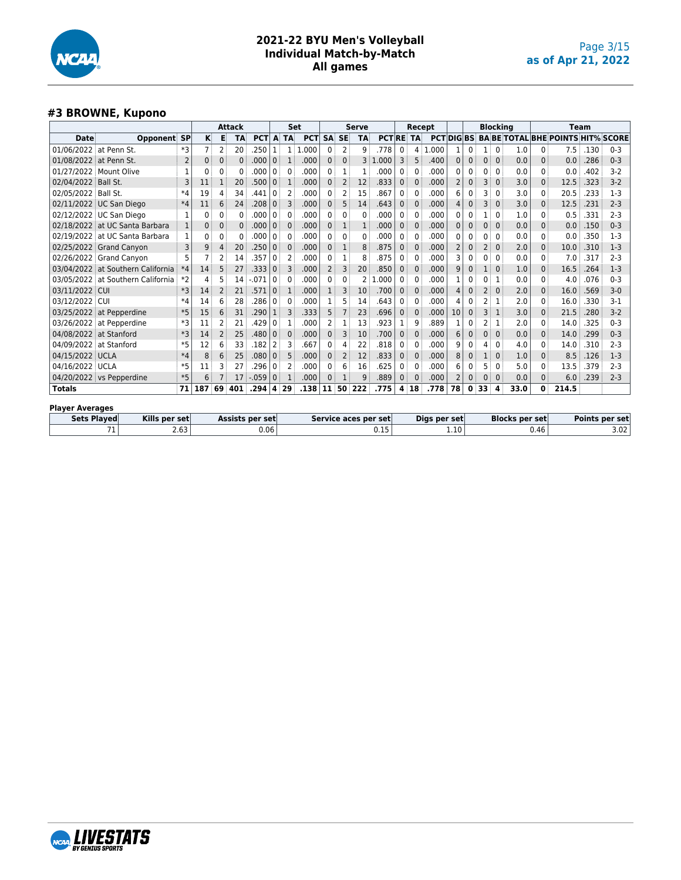

#### **#3 BROWNE, Kupono**

|                        |                          |                |                |          | Attack    |                 |                | Set       |            |                |                | <b>Serve</b> |                      |              | Recept       |              |                |              |                | <b>Blocking</b> |                       |                | <b>Team</b>                              |      |                |
|------------------------|--------------------------|----------------|----------------|----------|-----------|-----------------|----------------|-----------|------------|----------------|----------------|--------------|----------------------|--------------|--------------|--------------|----------------|--------------|----------------|-----------------|-----------------------|----------------|------------------------------------------|------|----------------|
| <b>Date</b>            | <b>Opponent SP</b>       |                | K              | Е        | <b>TA</b> | <b>PCT</b>      | A              | <b>TA</b> | <b>PCT</b> | <b>SA</b>      | <b>SE</b>      | <b>TA</b>    | <b>PCTRE</b>         |              | <b>TA</b>    | <b>PCT</b>   | <b>DIGBS</b>   |              |                |                 |                       |                | <b>BA BE TOTAL BHE POINTS HIT% SCORE</b> |      |                |
| 01/06/2022             | at Penn St.              | *3             | $\overline{7}$ | 2        | 20        | .250            |                |           | .000<br>1  | 0              | 2              | 9            | 778                  | 0            | 4            | .000         | 1              | 0            | 1 <sup>1</sup> | 0               | 1.0                   | 0              | 7.5                                      | .130 | $0 - 3$        |
| 01/08/2022             | at Penn St.              | $\overline{2}$ | 0              | $\Omega$ | $\Omega$  | .000            | $\Omega$       |           | .000       | 0              | $\Omega$       | 3            | 1.000                | 3            | 5            | .400         | $\mathbf{0}$   | $\mathbf{0}$ | 0              | $\Omega$        | 0.0                   | 0              | 0.0                                      | .286 | $0 - 3$        |
| 01/27/2022             | Mount Olive              | 1              | 0              | 0        | 0         | 000             | 0              | $\Omega$  | .000       | 0              |                | $\mathbf{1}$ | .000                 | $\Omega$     | 0            | .000         | 0              | $\Omega$     | 0              | $\Omega$        | 0.0                   | 0              | 0.0                                      | .402 | $3-2$          |
| 02/04/2022             | Ball St.                 | 3              |                |          | 20        | .500            | $\mathbf{0}$   |           | .000       | 0:             | 2              | 12           | .833                 | $\Omega$     | $\Omega$     | .000         | $\overline{2}$ | $\mathbf{0}$ | 3              | $\Omega$        | 3.0                   | 0              | 12.5                                     | .323 | $3 - 2$        |
| 02/05/2022             | Ball St.                 | $*4$           | 19             | 4        | 34        | .441            | 0              |           | .000       | 0              |                | 15           | 867                  | $\Omega$     | 0            | .000         | 6              | $\mathbf{0}$ | 3              | $\Omega$        | 3.0                   | 0              | 20.5                                     | .233 | $1-3$          |
| 02/11/2022             | UC San Diego             | $*4$           | 11             | 6        | 24        | .208            | $\mathbf{0}$   | 3         | .000       | 0              | 5              | 14           | .643                 | $\mathbf{0}$ | $\mathbf{0}$ | .000         | 4              | $\mathbf{0}$ | 3              | $\mathbf{0}$    | 3.0                   | 0              | 12.5                                     | .231 | $2 - 3$        |
|                        | 02/12/2022 UC San Diego  | 1              | $\Omega$       | 0        | 0         | .000            | 0              | $\Omega$  | .000       | 0:             | 0              | 0            | .000                 | $\Omega$     | 0            | .000         | 0              | $\Omega$     |                | $\mathbf{0}$    | 1.0                   | 0              | 0.5                                      | .331 | $2 - 3$        |
| 02/18/2022             | at UC Santa Barbara      |                | $\mathbf{0}$   | $\Omega$ | $\Omega$  | .000            | $\Omega$       | $\Omega$  | .000       | 0:             | 1              | 1            | .000                 | $\mathbf{0}$ | $\Omega$     | .000         | 0              | $\mathbf{0}$ | 0              | $\Omega$        | 0.0                   | 0              | 0.0                                      | .150 | $0 - 3$        |
| 02/19/2022             | at UC Santa Barbara      |                | 0              | 0        | 0         | .000            | 0              | $\Omega$  | .000       | 0              | 0              | 0            | .000                 | 0            | 0            | .000         | 0              | $\mathbf{0}$ | 0              | $\Omega$        | 0.0                   | 0              | 0.0                                      | .350 | $1-3$          |
| 02/25/2022             | <b>Grand Canyon</b>      | 3              | 9              | 4        | 20        | .250            | $\Omega$       | $\Omega$  | .000       | 0:             | $\mathbf{1}$   | 8            | .875                 | $\Omega$     | $\Omega$     | .000         | $\overline{2}$ | $\Omega$     | $\overline{2}$ | $\Omega$        | 2.0                   | $\overline{0}$ | 10.0                                     | .310 | $1-3$          |
| 02/26/2022             | <b>Grand Canvon</b>      | 5              |                |          | 14        | .357            | $\Omega$       |           | .000       | 0              |                | 8            | 875                  | $\mathbf{0}$ | 0            | .000         | 3              | $\Omega$     | 0              | $\Omega$        | 0.0                   | 0              | 7.0                                      | .317 | $2 - 3$        |
| 03/04/2022             | at Southern California   | $*4$           | 14             | 5        | 27        | .333            | $\Omega$       | 3         | .000       | $\overline{2}$ | 3              | 20           | .850                 | $\Omega$     | $\Omega$     | .000         | 9              | $\mathbf{0}$ |                | $\Omega$        | 1.0                   | $\overline{0}$ | 16.5                                     | .264 | $1-3$          |
| 03/05/2022             | at Southern California   | $*2$           | 4              | 5        | 14        | .071            | 0              | $\Omega$  | .000       | 0              | 0              | 2            | .000                 | $\mathbf{0}$ | $\Omega$     | .000         |                | 0            | 0              | 1               | 0.0                   | 0              | 4.0                                      | .076 | $0 - 3$        |
| 03/11/2022 CUI         |                          | $*3$           | 14             | 2        | 21        | .571            | $\Omega$       |           | .000       | 1:             | 3              | 10           | .700                 | $\mathbf{0}$ | $\mathbf{0}$ | .000         | 4              | $\mathbf{0}$ | 2 <sup>3</sup> | $\Omega$        | 2.0                   | 0              | 16.0                                     | .569 | $3-0$          |
| 03/12/2022             | CUI                      | $*4$           | 14             | 6        | 28        | .286            | 0              | $\Omega$  | .000       |                |                | 14           | .643                 | $\mathbf{0}$ | 0            | .000         | 4              | $\Omega$     |                | 1               | 2.0                   | 0              | 16.0                                     | .330 | $3 - 1$        |
| 03/25/2022             | at Pepperdine            | $*5$           | 15             | 6        | 31        | .290            | $\mathbf{1}$   | 3         | .333       | 5              |                | 23           | .696                 | $\mathbf{0}$ | $\Omega$     | .000         | 10             | $\mathbf{0}$ | 3              | 1               | 3.0                   | 0              | 21.5                                     | .280 | $3 - 2$        |
| 03/26/2022             | at Pepperdine            | *3             | 11             | 2        | 21        | .429            | 0              |           | .000       | 2              |                | 13           | .923                 | 1            | 9            | .889         |                | $\mathbf{0}$ | 2              | 1               | 2.0                   | 0              | 14.0                                     | .325 | $0 - 3$        |
| 04/08/2022             | at Stanford              | $*3$           | 14             |          | 25        | .480            | 0              |           | .000       | 0              | З              | 10           | .700                 | $\Omega$     | $\Omega$     | .000         | 6              | $\mathbf{0}$ | $\Omega$       | $\Omega$        | 0.0                   | $\overline{0}$ | 14.0                                     | .299 | $0 - 3$        |
| 04/09/2022             | at Stanford              | $*5$           | 12             | 6        | 33        | .182            | 2              | 3         | .667       | 0              | Δ              | 22           | .818                 | 0            | 0            | .000         | 9              | $\mathbf{0}$ | 4              | $\Omega$        | 4.0                   | 0              | 14.0                                     | .310 | $2 - 3$        |
| 04/15/2022             | <b>UCLA</b>              | $*4$           | 8              | 6        | 25        | .080            | 0 <sup>1</sup> | 5         | .000       | 0 <sup>1</sup> | $\overline{2}$ | 12           | .833                 | $\mathbf{0}$ | $\mathbf{0}$ | .000         | 8              | $\mathbf{0}$ | 1 <sup>1</sup> | $\mathbf{0}$    | 1.0                   | 0              | 8.5                                      | .126 | $1-3$          |
| 04/16/2022             | <b>UCLA</b>              | $*5$           | 11             | 3        | 27        | .296            | 0              |           | .000       | 0              | 6              | 16           | .625                 | $\mathbf{0}$ | 0            | .000         | 6              | 0            | 5              | 0               | 5.0                   | 0              | 13.5                                     | .379 | $2 - 3$        |
|                        | 04/20/2022 vs Pepperdine | $*5$           | 6              |          | 17        | $-.059$         | 0              |           | .000       | 0              |                | 9            | .889                 | $\mathbf{0}$ | $\Omega$     | .000         | $\overline{2}$ | 0            | $\Omega$       | $\Omega$        | 0.0                   | $\overline{0}$ | 6.0                                      | .239 | $2 - 3$        |
| <b>Totals</b>          |                          | 71             | 187            | 69       | 401       | .294            | $\mathbf{A}$   | 29        | .138       | 11             | 50             | 222          | .775                 | 4            | 18           | .778         | 78             | 0            | 33             | 4               | 33.0                  | $\bf{0}$       | 214.5                                    |      |                |
| <b>Player Averages</b> |                          |                |                |          |           |                 |                |           |            |                |                |              |                      |              |              |              |                |              |                |                 |                       |                |                                          |      |                |
| <b>Sets Plaved</b>     | Kills per set            |                |                |          |           | Assists per set |                |           |            |                |                |              | Service aces per set |              |              | Digs per set |                |              |                |                 | <b>Blocks per set</b> |                |                                          |      | Points per set |

 $71$  2.63 0.06 0.06 0.15 1.10 0.46 3.02

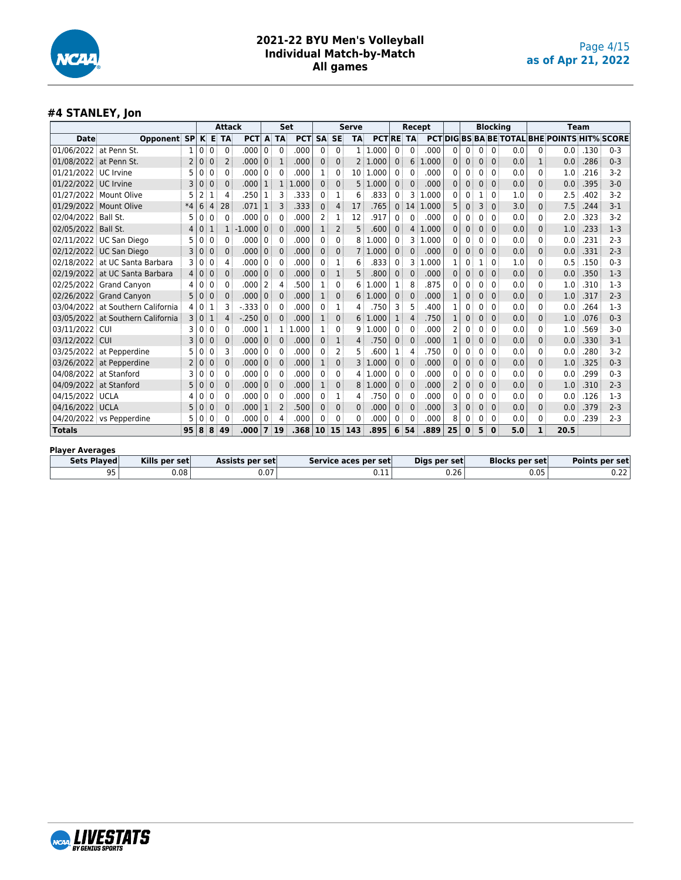

## **#4 STANLEY, Jon**

|                        |                                   |                |   |                | <b>Attack</b>  |                 |                | <b>Set</b>     |            |                 |              | <b>Serve</b>   |                           |              | Recept         |              |                |              |              | <b>Blocking</b> |                       |              | Team                                                |      |                       |
|------------------------|-----------------------------------|----------------|---|----------------|----------------|-----------------|----------------|----------------|------------|-----------------|--------------|----------------|---------------------------|--------------|----------------|--------------|----------------|--------------|--------------|-----------------|-----------------------|--------------|-----------------------------------------------------|------|-----------------------|
| <b>Date</b>            | Opponent SP                       |                |   |                | K E TA         | <b>PCT</b>      | A              | <b>TA</b>      | <b>PCT</b> | <b>SA</b>       | <b>SE</b>    | <b>TA</b>      | <b>PCTRE TA</b>           |              |                |              |                |              |              |                 |                       |              | <b>PCTIDIG BS BA BE TOTAL BHE POINTS HIT% SCORE</b> |      |                       |
| 01/06/2022 at Penn St. |                                   | 1              | 0 | $\mathbf{0}$   | $\Omega$       | .000            | 0              | $\Omega$       | .000       | 0               | 0            | 1 <sup>1</sup> | .000                      | $\Omega$     | $\Omega$       | .000         | $\Omega$       | 0            | 0            | $\Omega$        | 0.0                   | 0            | 0.0                                                 | .130 | $0 - 3$               |
| 01/08/2022 at Penn St. |                                   | $\overline{2}$ | 0 | $\mathbf{0}$   | $\overline{2}$ | .000            | $\Omega$       |                | .000       | $\Omega$        | $\Omega$     | 2              | 1.000                     | $\Omega$     | 6              | 1.000        | $\Omega$       | $\mathbf{0}$ | $\mathbf{0}$ | $\Omega$        | 0.0                   |              | 0.0                                                 | .286 | $0 - 3$               |
| 01/21/2022 UC Irvine   |                                   | 5              | 0 | 0              | 0              | .000            | 0              | $\Omega$       | .000       | 1               | 0            |                | 10 1.000                  | 0            | 0              | .000         | 0              | 0            | 0            | 0               | 0.0                   | 0            | 1.0                                                 | .216 | $3-2$                 |
| 01/22/2022 UC Irvine   |                                   | 3              | 0 | $\mathbf 0$    | $\mathbf{0}$   | .000            | $\mathbf{1}$   | $\mathbf{1}$   | .000<br>1  | $\mathbf{0}$    | $\mathbf{0}$ | 5              | 1.000                     | $\mathbf{0}$ | $\Omega$       | .000         | $\Omega$       | $\mathbf{0}$ | $\mathbf{0}$ | $\mathbf{0}$    | 0.0                   | $\Omega$     | 0.0                                                 | .395 | $3-0$                 |
|                        | 01/27/2022 Mount Olive            | 5              | 2 |                | 4              | .250            |                | З              | .333       | 0               | 1            | 6              | .833                      | $\Omega$     | 3              | 1.000        | 0              | 0            | 1            | 0               | 1.0                   | 0            | 2.5                                                 | .402 | $3-2$                 |
|                        | 01/29/2022 Mount Olive            | $*4$           | 6 | $\overline{4}$ | 28             | .071            | $\mathbf{1}$   | 3              | .333       | 0               | 4            | 17             | .765                      | $\Omega$     | 14             | 1.000        | 5              | 0            | 3            | $\Omega$        | 3.0                   | 0            | 7.5                                                 | .244 | $3 - 1$               |
| 02/04/2022 Ball St.    |                                   | 5              | 0 | $\mathbf{0}$   | $\Omega$       | .000            | $\Omega$       | $\Omega$       | .000       | 2               | 1            | 12             | 917                       | $\mathbf{0}$ | $\Omega$       | .000         | 0              | 0            | 0            | $\Omega$        | 0.0                   | 0            | 2.0                                                 | .323 | $3-2$                 |
| 02/05/2022 Ball St.    |                                   | 4              | 0 |                |                | $-1.000$        | $\Omega$       | $\Omega$       | .000       | 1               | 2            | 5              | .600                      | $\Omega$     | 4              | 1.000        | $\Omega$       | $\mathbf{0}$ | 0            | $\Omega$        | 0.0                   | 0            | 1.0                                                 | .233 | $1-3$                 |
|                        | 02/11/2022 UC San Diego           | 5              | 0 | $\mathbf{0}$   | 0              | .000            | $\Omega$       | $\Omega$       | .000       | 0               | 0            | 8              | .000<br>1                 | 0            | 3              | 1.000        | 0              | 0            | 0            | $\Omega$        | 0.0                   | 0            | 0.0                                                 | .231 | $2 - 3$               |
|                        | 02/12/2022 UC San Diego           | 3              | 0 | $\mathbf{0}$   | $\Omega$       | .000            | $\Omega$       | $\Omega$       | .000       | $\Omega$        | $\mathbf{0}$ |                | 1.000                     | $\mathbf 0$  | $\mathbf{0}$   | .000         | $\Omega$       | $\mathbf{0}$ | $\mathbf{0}$ | $\Omega$        | 0.0                   | $\Omega$     | 0.0                                                 | .331 | $2 - 3$               |
|                        | 02/18/2022 at UC Santa Barbara    | 3              | 0 | $\mathbf{0}$   | 4              | .000            | 0              | $\Omega$       | .000       | 0               | 1            | 6              | .833                      | $\Omega$     | 3              | 1.000        | 1              | 0            | 1            | 0               | 1.0                   | 0            | 0.5                                                 | .150 | $0 - 3$               |
|                        | 02/19/2022 at UC Santa Barbara    | 4              | 0 | $\mathbf 0$    | $\Omega$       | .000            | $\mathbf{0}$   | $\Omega$       | .000       | 0               | 1            | 5              | .800                      | $\mathbf 0$  | 0              | .000         | $\mathbf{0}$   | 0            | 0            | $\Omega$        | 0.0                   | 0            | 0.0                                                 | .350 | $1-3$                 |
|                        | 02/25/2022 Grand Canyon           | 4              | 0 | $\mathbf{0}$   | $\Omega$       | .000            | 2              | 4              | 500        | 1               | 0            | 6              | .000<br>-1                | 1            | 8              | 875          | 0              | 0            | $\mathbf{0}$ | $\Omega$        | 0.0                   | 0            | 1.0                                                 | .310 | $1-3$                 |
|                        | 02/26/2022 Grand Canyon           | 5              | 0 | $\Omega$       | $\mathbf{0}$   | .000            | $\Omega$       | $\Omega$       | .000       | $\mathbf{1}$    | $\mathbf{0}$ | 6              | 1.000                     | $\mathbf{0}$ | $\mathbf 0$    | .000         | 1              | 0            | $\mathbf{0}$ | $\mathbf{0}$    | 0.0                   | $\Omega$     | 1.0                                                 | .317 | $2 - 3$               |
|                        | 03/04/2022 at Southern California | 4              | 0 | 1              | 3              | $-0.333$        | 0              | $\Omega$       | .000       | 0               | 1            | 4              | .750                      | 3            | 5              | 400          |                | 0            | 0            | $\Omega$        | 0.0                   | 0            | 0.0                                                 | .264 | $1-3$                 |
|                        | 03/05/2022 at Southern California | $\overline{3}$ | 0 | 1              | Δ              | $-.250$         | $\Omega$       | $\Omega$       | .000       | $\mathbf{1}$    | $\mathbf{0}$ | 6              | 1.000                     | 1            | $\overline{4}$ | .750         | $\mathbf{1}$   | 0            | 0            | $\mathbf{0}$    | 0.0                   | 0            | 1.0                                                 | .076 | $0 - 3$               |
| 03/11/2022 CUI         |                                   | 3              | 0 | $\mathbf{0}$   | $\Omega$       | .000            |                |                | .000<br>1  | 1               | 0            | 9              | 1.000                     | $\Omega$     | $\Omega$       | .000         | $\overline{2}$ | 0            | 0            | $\Omega$        | 0.0                   | 0            | 1.0                                                 | .569 | $3-0$                 |
| 03/12/2022 CUI         |                                   | 3              | 0 | $\mathbf{0}$   | $\Omega$       | .000            | $\mathbf{0}$   | $\Omega$       | .000       | 0               | 1            | 4              | .750                      | $\mathbf{0}$ | $\mathbf 0$    | .000         | 1              | 0            | $\mathbf{0}$ | $\mathbf{0}$    | 0.0                   | 0            | 0.0                                                 | .330 | $3-1$                 |
|                        | 03/25/2022 at Pepperdine          | 5              | 0 | $\Omega$       | 3              | .000            | 0              | $\Omega$       | .000       | 0               | 2            | 5              | .600                      | 1            | 4              | .750         | 0              | 0            | 0            | $\Omega$        | 0.0                   | 0            | 0.0                                                 | .280 | $3-2$                 |
|                        | 03/26/2022 at Pepperdine          | $\overline{2}$ | 0 | $\mathbf{0}$   | $\mathbf{0}$   | .000            | $\Omega$       | $\mathbf{0}$   | .000       | $\mathbf{1}$    | $\mathbf{0}$ | 3              | .000<br>$\cdot$ 1 $\cdot$ | $\mathbf{0}$ | $\overline{0}$ | .000         | $\Omega$       | $\mathbf{0}$ | $\mathbf{0}$ | $\mathbf{0}$    | 0.0                   | $\Omega$     | 1.0                                                 | .325 | $0 - 3$               |
| 04/08/2022 at Stanford |                                   | 3              | 0 | $\mathbf{0}$   | 0              | .000            | 0              | $\Omega$       | .000       | 0               | 0            | 4              | 1.000                     | $\Omega$     | $\Omega$       | .000         | 0              | 0            | 0            | $\Omega$        | 0.0                   | 0            | 0.0                                                 | .299 | $0 - 3$               |
| 04/09/2022 at Stanford |                                   | 5              | 0 | $\Omega$       | $\Omega$       | .000            | $\Omega$       | $\Omega$       | .000       | $\mathbf{1}$    | 0            | 8              | 1.000                     | $\mathbf 0$  | $\Omega$       | .000         | 2              | 0            | 0            | $\mathbf{0}$    | 0.0                   | 0            | 1.0                                                 | .310 | $2 - 3$               |
| 04/15/2022 UCLA        |                                   | Δ              | 0 | $\mathbf{0}$   | 0              | .000            | 0              | $\Omega$       | .000       | 0               | 1            | 4              | 750                       | 0            | $\Omega$       | .000         | 0              | 0            | $\mathbf{0}$ | $\Omega$        | 0.0                   | 0            | 0.0                                                 | .126 | $1-3$                 |
| 04/16/2022 UCLA        |                                   | 5              | 0 | $\Omega$       | $\mathbf{0}$   | .000            |                | $\overline{2}$ | .500       | $\Omega$        | $\Omega$     | $\Omega$       | .000                      | $\Omega$     | $\Omega$       | .000         | 3              | $\Omega$     | 0            | $\Omega$        | 0.0                   | $\Omega$     | 0.0                                                 | .379 | $2 - 3$               |
|                        | 04/20/2022 vs Pepperdine          | 5              | 0 | 0              | $\Omega$       | .000            | 0              | 4              | .000       | 0               | 0            | 0              | .000                      | 0            | 0              | .000         | 8              | 0            | 0            | 0               | 0.0                   | 0            | 0.0                                                 | .239 | $2-3$                 |
| <b>Totals</b>          |                                   | 95             | 8 | ់ 8            | 49             | .000            | $\overline{7}$ | 19             | .368       | 10 <sup>1</sup> | 15           | 143            | .895                      | 6            | 54             | .889         | 25             | $\bf{0}$     | 5            | $\mathbf{0}$    | 5.0                   | $\mathbf{1}$ | 20.5                                                |      |                       |
| <b>Player Averages</b> |                                   |                |   |                |                |                 |                |                |            |                 |              |                |                           |              |                |              |                |              |              |                 |                       |              |                                                     |      |                       |
| <b>Sets Played</b>     | Kills per set                     |                |   |                |                | Assists per set |                |                |            |                 |              |                | Service aces per set      |              |                | Digs per set |                |              |              |                 | <b>Blocks per set</b> |              |                                                     |      | <b>Points per set</b> |
|                        | 95<br>0.08                        |                |   |                |                |                 | 0.07           |                |            |                 |              |                | 0.11                      |              |                |              | 0.26           |              |              |                 |                       | 0.05         |                                                     |      | 0.22                  |

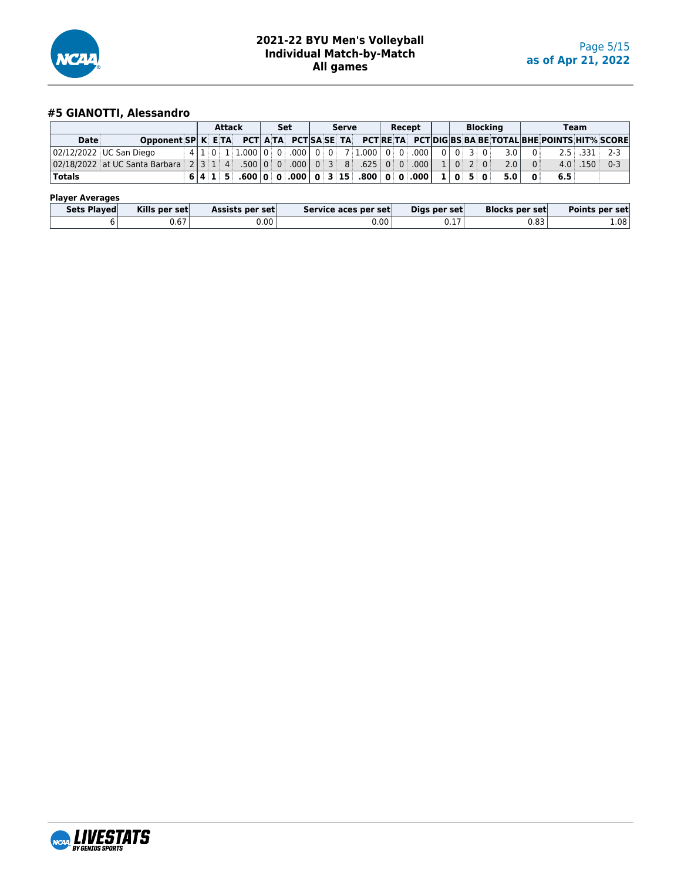

# **#5 GIANOTTI, Alessandro**

|                         |                                                                                              |  | <b>Attack</b> |  | Set |  | Serve |                                                                           |  | Recept |  | <b>Blocking</b> |     |                |               | Team       |                |
|-------------------------|----------------------------------------------------------------------------------------------|--|---------------|--|-----|--|-------|---------------------------------------------------------------------------|--|--------|--|-----------------|-----|----------------|---------------|------------|----------------|
| Date                    | Opponent SP K ETA PCT ATA PCT SA SE TA PCT RETA PCT DIG BS BA BE TOTAL BHE POINTS HIT% SCORE |  |               |  |     |  |       |                                                                           |  |        |  |                 |     |                |               |            |                |
| 02/12/2022 UC San Diego |                                                                                              |  |               |  |     |  |       | $\frac{1}{2}$ 4 1 1 0 1 1.000 0 0 0 000 0 0 0 7 1.000 0 0 0 000 0 0 0 3 0 |  |        |  |                 | 3.0 | 0 <sup>1</sup> |               |            | $2.5$ .331 2-3 |
|                         | 0 2/18/2022 at UC Santa Barbara 2 3 1 1 4 300 0 0 0 0 0 0 3 8 305 0 0 0 0 1 0 2 0 1          |  |               |  |     |  |       |                                                                           |  |        |  |                 | 2.0 | $\overline{0}$ |               | $4.0$ .150 | $0 - 3$        |
| Totals                  |                                                                                              |  |               |  |     |  |       | 6 4 1 5 600 0 0 000 0 3 15 800 0 0 000 1 0 5 0 500                        |  |        |  |                 |     | - 0            | $6.5^{\circ}$ |            |                |

#### **Player Averages**

| Sets Plaved | Kills per set | <b>Assists per set</b> | Service aces per set | Digs per set | <b>Blocks per set</b> | Points per set    |
|-------------|---------------|------------------------|----------------------|--------------|-----------------------|-------------------|
|             | 0.67          | J.OO '                 | 0.00 <sup>1</sup>    | ◡.⊥          | 0.83                  | 1.08 <sup>1</sup> |

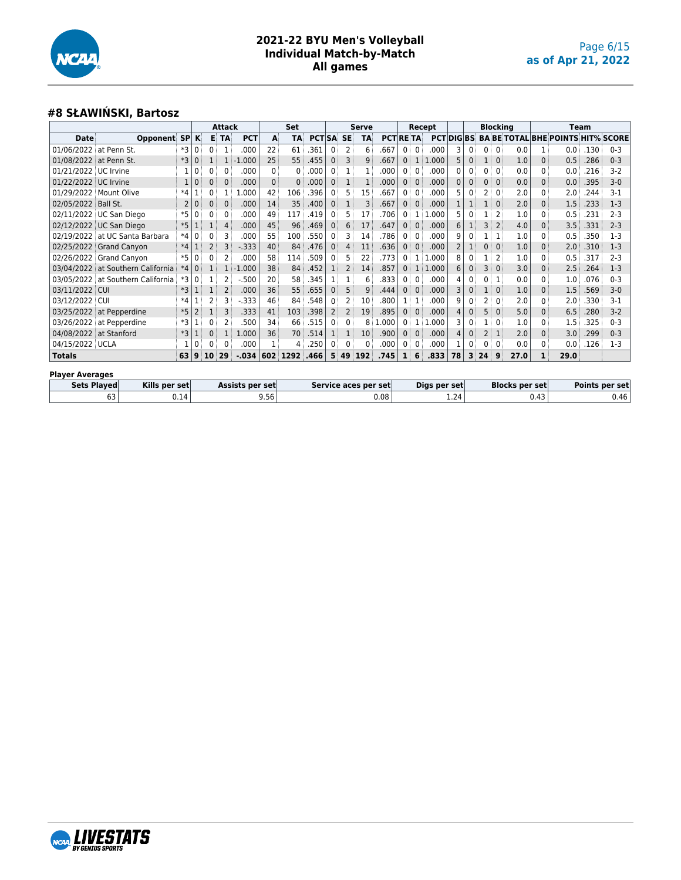

## **#8 SŁAWIŃSKI, Bartosz**

|                        |                                   |      |                |              | Attack       |            |          | Set       |               |              |                | <b>Serve</b>    |                 |                |              | Recept |                 |          |                | <b>Blocking</b> |      |              |                                          | <b>Team</b> |         |
|------------------------|-----------------------------------|------|----------------|--------------|--------------|------------|----------|-----------|---------------|--------------|----------------|-----------------|-----------------|----------------|--------------|--------|-----------------|----------|----------------|-----------------|------|--------------|------------------------------------------|-------------|---------|
| <b>Date</b>            | Opponent SP                       |      | $\mathbf{K}$   |              | E TA         | <b>PCT</b> | A        | <b>TA</b> | <b>PCT SA</b> |              | <b>SE</b>      | <b>TA</b>       | <b>PCT RETA</b> |                |              |        | <b>PCTDIGBS</b> |          |                |                 |      |              | <b>BA BE TOTAL BHE POINTS HIT% SCORE</b> |             |         |
| 01/06/2022             | at Penn St.                       | *3   | 0              | $\mathbf{0}$ | 1            | .000       | 22       | 61        | 361           | $\Omega$     | 2              | 6               | .667            | $\Omega$       | $\mathbf{0}$ | .000   | З               | 0        | 0 <sup>1</sup> | $\Omega$        | 0.0  |              | 0.0                                      | .130        | $0 - 3$ |
| 01/08/2022             | at Penn St.                       | $*3$ | 0              |              |              | $-1.000$   | 25       | 55        | .455          | $\Omega$     | 3              | 9               | .667            | 0 <sup>1</sup> | $\mathbf{1}$ | 1.000  |                 | $\Omega$ |                |                 | 1.0  | $\Omega$     | 0.5                                      | .286        | $0 - 3$ |
| 01/21/2022 UC Irvine   |                                   |      |                |              | 0            | .000       | 0        | 0         | .000          | 0            |                |                 | 000             | 0:             | $\mathbf{0}$ | .000   |                 |          | 0              |                 | 0.0  | 0            | 0.0                                      | .216        | $3-2$   |
| 01/22/2022 UC Irvine   |                                   |      | 0              | 0            | $\Omega$     | .000       | $\Omega$ | 0         | .000          | $\mathbf{0}$ |                |                 | .000            | 0 <sup>1</sup> | $\Omega$     | .000   |                 |          | 0              | $\Omega$        | 0.0  | $\Omega$     | 0.0                                      | .395        | $3-0$   |
| 01/29/2022             | Mount Olive                       | $*4$ |                |              |              | .000       | 42       | 106       | 396           | 0            | 5              | 15              | .667            | 0              | $\Omega$     | .000   |                 |          | 2              |                 | 2.0  | 0            | 2.0                                      | .244        | $3-1$   |
| 02/05/2022 Ball St.    |                                   | 2    | 0              | 0            | $\mathbf{0}$ | .000       | 14       | 35        | .400          | $\mathbf{0}$ |                | 3               | .667            | 0              | $\mathbf{0}$ | .000   |                 |          |                |                 | 2.0  | $\mathbf 0$  | 1.5                                      | .233        | $1-3$   |
|                        | 02/11/2022 UC San Diego           | $*5$ |                |              |              | .000       | 49       | 117       | .419          | $\Omega$     | 5              | 17              | 706             | 0              | 1            | 1.000  |                 |          |                |                 | 1.0  | 0            | 0.5                                      | .231        | $2 - 3$ |
|                        | 02/12/2022 UC San Diego           | $*5$ |                |              | 4            | .000       | 45       | 96        | .469          | $\mathbf{0}$ | 6              | 17              | .647            | $\overline{0}$ | $\Omega$     | .000   | 6               |          | 3              |                 | 4.0  | $\mathbf{0}$ | 3.5                                      | .331        | $2 - 3$ |
|                        | 02/19/2022 at UC Santa Barbara    | $*4$ | 0              |              |              | .000       | 55       | 100       | .550          | $\Omega$     | 3              | 14              | 786             | 0:             | $\mathbf{0}$ | .000   |                 |          |                |                 | 1.0  | 0            | 0.5                                      | .350        | $1-3$   |
|                        | 02/25/2022 Grand Canyon           | $*4$ |                | 2            |              | $-0.333$   | 40       | 84        | .476          | $\mathbf{0}$ | 4              | 11              | .636            | $\Omega$       | $\Omega$     | .000   |                 |          | 0              | $\Omega$        | 1.0  | $\mathbf 0$  | 2.0                                      | .310        | $1-3$   |
|                        | 02/26/2022 Grand Canyon           | $*5$ |                |              | 2            | .000       | 58       | 114       | .509          | $\mathbf{0}$ | 5              | 22              | .773            | 0 <sup>1</sup> | 1            | 1.000  |                 |          |                | 2               | 1.0  | 0            | 0.5                                      | .317        | $2 - 3$ |
| 03/04/2022             | at Southern California            | $*4$ | $\Omega$       |              |              | $-1.000$   | 38       | 84        | .452          | 1            | $\overline{2}$ | 14              | .857            | 0              | 1            | 1.000  | 6               |          | 3              | $\Omega$        | 3.0  | $\mathbf 0$  | 2.5                                      | .264        | $1-3$   |
|                        | 03/05/2022 at Southern California | *3   | 0              |              |              | $-.500$    | 20       | 58        | 345           |              |                | 6               | .833            | 0              | $\Omega$     | .000   |                 | 0        | 0              |                 | 0.0  | 0            | 1.0                                      | .076        | $0 - 3$ |
| 03/11/2022 CUI         |                                   | $*3$ |                |              |              | .000       | 36       | 55        | .655          | $\mathbf{0}$ | 5              | 9               | .444            | $\Omega$       | $\Omega$     | .000   |                 |          |                | $\Omega$        | 1.0  | $\Omega$     | 1.5                                      | .569        | $3-0$   |
| 03/12/2022             | .cui                              | $*4$ |                |              |              | $-0.333$   | 46       | 84        | 548.          | $\Omega$     | 2              | 10              | .800            |                |              | .000   |                 |          |                |                 | 2.0  | $\Omega$     | 2.0                                      | .330        | $3-1$   |
|                        | 03/25/2022 at Pepperdine          | $*5$ | $\overline{2}$ |              |              | .333       | 41       | 103       | .398          | 2            | $\overline{2}$ | 19              | .895            | 0 <sup>1</sup> | $\Omega$     | .000   |                 |          | 5              |                 | 5.0  | $\Omega$     | 6.5                                      | .280        | $3-2$   |
|                        | 03/26/2022 at Pepperdine          | *3   |                |              |              | .500       | 34       | 66        | .515          | $\mathbf{0}$ | 0              | 8               | .000            | 0              | 1            | 1.000  |                 |          |                |                 | 1.0  | 0            | 1.5                                      | .325        | $0 - 3$ |
| 04/08/2022             | at Stanford                       | $*3$ |                |              |              | 1.000      | 36       | 70        | .514          |              |                | 10 <sup>°</sup> | .900            | $\Omega$       | $\Omega$     | .000   |                 |          | 2              |                 | 2.0  | $\mathbf{0}$ | 3.0                                      | .299        | $0 - 3$ |
| 04/15/2022 UCLA        |                                   |      | 0              | 0            | 0            | .000       |          | 4         | .250          | 0            | 0              | 0               | .000            | $\mathbf{0}$   | 0            | .000   |                 | 0        | 0              | 0               | 0.0  | 0            | 0.0                                      | .126        | $1-3$   |
| <b>Totals</b>          |                                   | 63   | 9              | 10           | 29           | $-0.034$   | 602      | 1292      | .466          | 5            | 49             | 192             | .745            |                | 6            | .833   | 78              | 3        | 24             | 9               | 27.0 | 1            | 29.0                                     |             |         |
| <b>Player Averages</b> |                                   |      |                |              |              |            |          |           |               |              |                |                 |                 |                |              |        |                 |          |                |                 |      |              |                                          |             |         |

| .           |               |                  |                      |              |                                  |                |
|-------------|---------------|------------------|----------------------|--------------|----------------------------------|----------------|
| Sets Played | Kills per set | Assists per setl | Service aces per set | Digs per set | <b>Blocks per set</b>            | Points per set |
| ັບ          | J. 14         | 9.56             | 0.08 <sup>1</sup>    | -<br>4.24    | $\overline{\phantom{a}}$<br>U.43 | 0.46           |

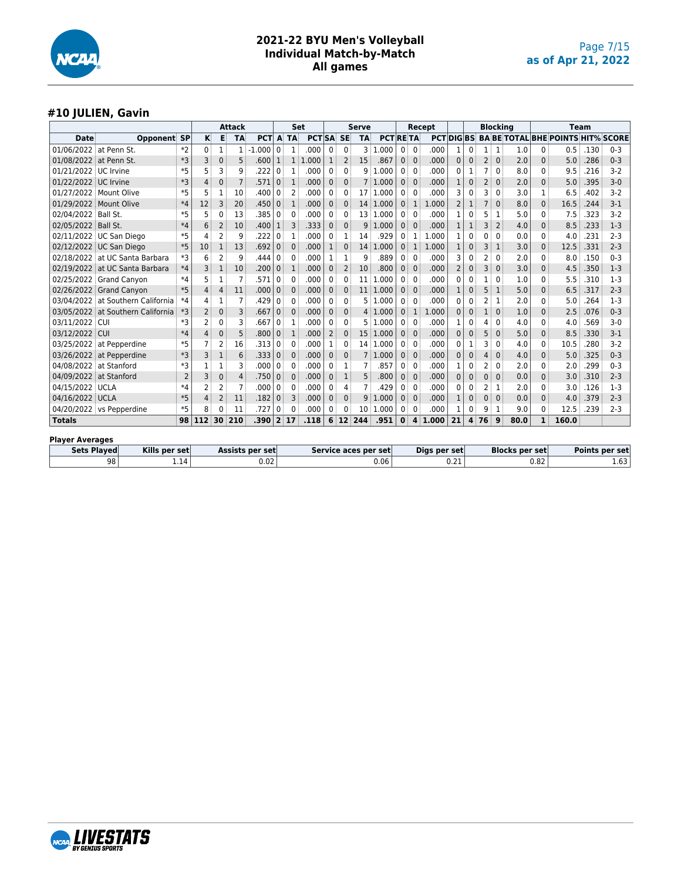

#### **#10 JULIEN, Gavin**

|                        |                          |                |                |                | <b>Attack</b>  |                 |                |                | Set              |              |                 | <b>Serve</b>    |                      |              |                         | Recept       |                |              |                | <b>Blocking</b> |                       |              | <b>Team</b>                              |      |                |
|------------------------|--------------------------|----------------|----------------|----------------|----------------|-----------------|----------------|----------------|------------------|--------------|-----------------|-----------------|----------------------|--------------|-------------------------|--------------|----------------|--------------|----------------|-----------------|-----------------------|--------------|------------------------------------------|------|----------------|
| <b>Date</b>            | Opponent                 | <b>SP</b>      | κ              | Е              | <b>TA</b>      | <b>PCT</b>      | A              | <b>TA</b>      | <b>PCTISA SE</b> |              |                 | <b>TA</b>       | <b>PCT RETA</b>      |              |                         | <b>PCT</b>   |                |              |                |                 |                       |              | DIG BS BA BE TOTAL BHE POINTS HIT% SCORE |      |                |
| 01/06/2022             | at Penn St.              | $*2$           | 0              | 1              | 1              | .000            | $\Omega$       | 1              | .000             | $\mathbf{0}$ | $\mathbf{0}$    | 3               | .000<br>1            | 0            | $\Omega$                | .000         | 1              | 0            | 1 <sup>1</sup> | -1              | 1.0                   | 0            | 0.5                                      | .130 | $0 - 3$        |
| 01/08/2022             | at Penn St.              | *3             | 3              | 0              | 5              | .600            | $\mathbf{1}$   | $\mathbf{1}$   | 1.000            | $\mathbf{1}$ | 2               | 15              | .867                 | $\mathbf{0}$ | $\mathbf{0}$            | .000         | $\Omega$       | $\mathbf{0}$ | 2 <sup>1</sup> | $\mathbf{0}$    | 2.0                   | 0            | 5.0                                      | .286 | $0 - 3$        |
| 01/21/2022             | UC Irvine                | $*5$           | 5              | 3              | 9              | .222            | 0              | 1              | .000             | 0            | 0               | q               | 1.000                | 0            | $\mathbf 0$             | .000         | <sup>0</sup>   | 1            | $\overline{7}$ | 0               | 8.0                   | 0            | 9.5                                      | .216 | $3 - 2$        |
| 01/22/2022             | UC Irvine                | $*3$           | 4              | 0              | $\overline{7}$ | .571            | $\mathbf{0}$   | 1              | .000             | 0            | 0               | 7 <sup>3</sup>  | 1.000                | 0            | $\mathbf{0}$            | .000         |                | 0            | $\overline{2}$ | $\mathbf 0$     | 2.0                   | $\mathbf 0$  | 5.0                                      | .395 | $3-0$          |
| 01/27/2022             | Mount Olive              | $*5$           | 5              | 1              | 10             | .400            | 0              | $\overline{2}$ | .000             | 0            | 0               |                 | 17 1.000             | 0            | $\Omega$                | .000         | 3              | 0            | 3              | $\mathbf{0}$    | 3.0                   | 1            | 6.5                                      | .402 | $3 - 2$        |
| 01/29/2022             | <b>Mount Olive</b>       | $*4$           | 12             | 3              | 20             | .450            | $\mathbf{0}$   | $\mathbf{1}$   | .000             | $\mathbf{0}$ | $\Omega$        | 14              | 1.000                | $\mathbf{0}$ | $\mathbf{1}$            | 1.000        | 2              | 1            |                | $\mathbf{0}$    | 8.0                   | $\mathbf 0$  | 16.5                                     | .244 | $3 - 1$        |
| 02/04/2022             | Ball St.                 | $*5$           | 5              | O              | 13             | .385            | 0              | $\mathbf{0}$   | .000             | 0            | 0               | 13 <sup>3</sup> | 1.000                | 0            | $\mathbf 0$             | .000         |                | 0            | 5              | 1               | 5.0                   | 0            | 7.5                                      | .323 | $3-2$          |
| 02/05/2022             | Ball St.                 | $*4$           | 6              | 2              | 10             | .400            | $\mathbf{1}$   | 3              | .333             | 0            | $\mathbf{0}$    | 9               | 1.000                | 0            | $\mathbf 0$             | .000         |                | $1\,$        | 3              | $\overline{2}$  | 4.0                   | $\mathbf 0$  | 8.5                                      | .233 | $1-3$          |
| 02/11/2022             | UC San Diego             | $*5$           | 4              | 2              | 9              | 222             | 0              | 1              | .000             | 0            | 1               | 14              | .929                 | 0            | 1                       | 1.000        | 1              | $\Omega$     | ۵              | $\Omega$        | 0.0                   | 0            | 4.0                                      | .231 | $2 - 3$        |
|                        | 02/12/2022 UC San Diego  | $*5$           | 10             | $\mathbf{1}$   | 13             | .692            | $\Omega$       | $\Omega$       | .000             | 1            | $\Omega$        | 14              | 1.000                | $\mathbf{0}$ | 1                       | 1.000        | $\mathbf{1}$   | $\Omega$     | 3              | 1               | 3.0                   | $\Omega$     | 12.5                                     | .331 | $2 - 3$        |
| 02/18/2022             | at UC Santa Barbara      | *3             | 6              | 2              | 9              | .444            | 0              | $\Omega$       | .000             | 1            | 1               | 9               | .889                 | 0            | 0                       | .000         | З              | 0            | 2              | $\Omega$        | 2.0                   | 0            | 8.0                                      | .150 | $0 - 3$        |
| 02/19/2022             | at UC Santa Barbara      | $*4$           | 3              | $\mathbf{1}$   | 10             | .200            | $\mathbf{0}$   | $\mathbf{1}$   | .000             | $\mathbf{0}$ | $\overline{2}$  | 10              | .800                 | $\mathbf{0}$ | $\mathbf{0}$            | .000         | $\overline{2}$ | $\mathbf{0}$ | 3              | $\Omega$        | 3.0                   | $\mathbf 0$  | 4.5                                      | .350 | $1 - 3$        |
| 02/25/2022             | <b>Grand Canyon</b>      | $*4$           | 5              | 1              | $\overline{7}$ | .571            | 0              | $\Omega$       | .000             | 0            | 0               | 11              | 1.000                | 0            | $\Omega$                | .000         | C              | 0            |                | $\Omega$        | 1.0                   | 0            | 5.5                                      | .310 | $1-3$          |
| 02/26/2022             | <b>Grand Canvon</b>      | $*5$           | 4              | 4              | 11             | .000            | $\mathbf{0}$   | $\mathbf{0}$   | .000             | $\mathbf{0}$ | 0               | 11              | 1.000                | $\mathbf{0}$ | $\mathbf{0}$            | .000         |                | 0            | 5              | 1               | 5.0                   | $\mathbf{0}$ | 6.5                                      | .317 | $2 - 3$        |
| 03/04/2022             | at Southern California   | $*4$           | 4              | 1              | $\overline{7}$ | .429            | $\Omega$       | $\Omega$       | .000             | 0            | 0               |                 | 5:1.000              | 0            | $\mathbf 0$             | .000         | 0              | $\mathbf{0}$ | 2              | -1              | 2.0                   | 0            | 5.0                                      | .264 | $1 - 3$        |
| 03/05/2022             | at Southern California   | *3             | $\overline{2}$ | 0              | 3              | .667            | $\Omega$       | $\Omega$       | .000             | $\mathbf{0}$ | 0               |                 | 4 1.000              | $\mathbf{0}$ | $\mathbf{1}$            | 1.000        | $\Omega$       | $\mathbf{0}$ | $\mathbf{1}$   | $\Omega$        | 1.0                   | $\Omega$     | 2.5                                      | .076 | $0 - 3$        |
| 03/11/2022             | <b>CUI</b>               | *3             | 2              | 0              | 3              | 667             | 0              | 1              | .000             | 0            | 0               | 5               | 1.000                | 0            | 0                       | .000         |                | 0            | 4              | 0               | 4.0                   | 0            | 4.0                                      | .569 | $3-0$          |
| 03/12/2022             | CUI                      | $*4$           | 4              | 0              | 5              | .800            | $\mathbf{0}$   | 1              | .000             | 2            | 0               | 15              | 1.000                | 0            | $\mathbf{0}$            | .000         | $\mathbf 0$    | 0            | 5              | $\mathbf 0$     | 5.0                   | $\mathbf 0$  | 8.5                                      | .330 | $3 - 1$        |
| 03/25/2022             | at Pepperdine            | $*5$           |                | $\overline{c}$ | 16             | 313             | 0              | $\Omega$       | .000             | 1            | 0               | 14 <sup>3</sup> | 1.000                | 0            | $\mathbf 0$             | .000         | <sup>0</sup>   | 1            | ٦              | 0               | 4.0                   | $\mathbf{0}$ | 10.5                                     | .280 | $3 - 2$        |
| 03/26/2022             | at Pepperdine            | *3             | 3              | 1              | 6              | .333            | $\mathbf{0}$   | $\mathbf{0}$   | .000             | $\mathbf{0}$ | $\Omega$        |                 | 7:1.000              | 0            | $\mathbf{0}$            | .000         | $\Omega$       | $\mathbf{0}$ | 4              | $\Omega$        | 4.0                   | $\mathbf{0}$ | 5.0                                      | .325 | $0 - 3$        |
| 04/08/2022             | at Stanford              | $*3$           |                |                | 3              | .000            | $\Omega$       | $\Omega$       | .000             | 0            | 1               | 7               | .857                 | 0            | $\Omega$                | .000         |                | 0            | 2              | $\Omega$        | 2.0                   | 0            | 2.0                                      | .299 | $0 - 3$        |
| 04/09/2022             | at Stanford              | $\overline{2}$ | 3              | 0              | 4              | .750            | $\mathbf{0}$   | $\mathbf 0$    | .000             | 0            | 1               | 5               | 800                  | 0            | $\mathbf{0}$            | .000         | $\mathbf{0}$   | $\mathbf{0}$ | 0              | $\mathbf 0$     | 0.0                   | $\mathbf 0$  | 3.0                                      | .310 | $2 - 3$        |
| 04/15/2022             | <b>UCLA</b>              | $*4$           | 2              | 2              | 7              | .000            | 0              | $\Omega$       | .000             | 0            | 4               | 7               | 429                  | 0            | 0                       | .000         | 0              | 0            | 2              | 1               | 2.0                   | 0            | 3.0                                      | .126 | $1-3$          |
| 04/16/2022             | <b>UCLA</b>              | $*5$           | 4              | $\overline{2}$ | 11             | .182            | $\mathbf{0}$   | 3              | .000             | $\mathbf{0}$ | $\Omega$        | 9               | 1.000                | 0            | $\mathbf{0}$            | .000         |                | $\mathbf{0}$ | $\Omega$       | $\Omega$        | 0.0                   | $\Omega$     | 4.0                                      | .379 | $2 - 3$        |
|                        | 04/20/2022 vs Pepperdine | $*5$           | 8              | 0              | 11             | .727            | 0              | $\Omega$       | .000             | 0            | 0               | 10 <sup>1</sup> | 1.000                | 0            | 0                       | .000         | 1              | 0            | 9              | 1               | 9.0                   | $\mathbf{0}$ | 12.5                                     | .239 | $2 - 3$        |
| <b>Totals</b>          |                          | 98             | 112            | 30             | 210            | .390            | 2 <sup>1</sup> | 17             | .118             | 6            | 12 <sup>1</sup> | 244             | .951                 | $\bf{0}$     | $\overline{\mathbf{4}}$ | 1.000        | 21             | 4            | 76             | 9               | 80.0                  | $\mathbf{1}$ | 160.0                                    |      |                |
| <b>Player Averages</b> |                          |                |                |                |                |                 |                |                |                  |              |                 |                 |                      |              |                         |              |                |              |                |                 |                       |              |                                          |      |                |
| <b>Sets Played</b>     | Kills per set            |                |                |                |                | Assists per set |                |                |                  |              |                 |                 | Service aces per set |              |                         | Digs per set |                |              |                |                 | <b>Blocks per set</b> |              |                                          |      | Points per set |
|                        | 98                       | 1.14           |                |                |                | 0.02            |                |                |                  |              |                 |                 | 0.06                 |              |                         |              | 0.21           |              |                |                 |                       | 0.82         |                                          |      | 1.63           |

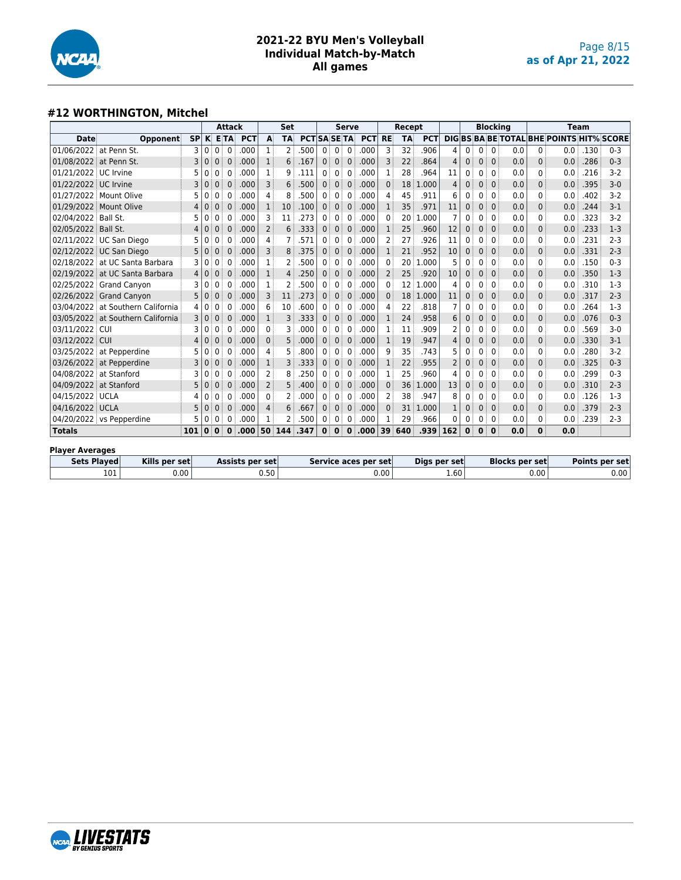

#### **#12 WORTHINGTON, Mitchel**

|                        |                                   |           |              |              | <b>Attack</b> |                        |                | Set            |                     |              |                | <b>Serve</b>     |                      |                | Recept          |              |                |              |              | <b>Blocking</b>                         |     |              | <b>Team</b>                                     |      |         |
|------------------------|-----------------------------------|-----------|--------------|--------------|---------------|------------------------|----------------|----------------|---------------------|--------------|----------------|------------------|----------------------|----------------|-----------------|--------------|----------------|--------------|--------------|-----------------------------------------|-----|--------------|-------------------------------------------------|------|---------|
| <b>Date</b>            | Opponent                          | <b>SP</b> | K.           |              | ETA           | <b>PCT</b>             | A              | <b>TA</b>      | <b>PCT SA SE TA</b> |              |                |                  | <b>PCT</b>           | <b>RE</b>      | <b>TA</b>       | <b>PCT</b>   |                |              |              |                                         |     |              | <b>DIG BS BA BE TOTAL BHE POINTS HIT% SCORE</b> |      |         |
| 01/06/2022 at Penn St. |                                   | 3         | 0            | 0            | $\mathbf{0}$  | .000                   | 1              | 2              | .500                | $\mathbf{0}$ | 0              | $\mathbf 0$      | .000                 | 3              | 32              | .906         | 4              | $\Omega$     | 0            | $\mathbf{0}$                            | 0.0 | 0            | 0.0                                             | .130 | $0 - 3$ |
| 01/08/2022 at Penn St. |                                   | 3         | $\mathbf 0$  | $\mathbf{0}$ | $\mathbf{0}$  | .000                   | 1              | 6              | .167                | $\mathbf{0}$ | 0 <sup>1</sup> | $\mathbf{0}$     | .000                 | 3              | 22              | .864         | $\overline{4}$ | 0            | $\mathbf{0}$ | $\mathbf{0}$                            | 0.0 | $\mathbf{0}$ | 0.0                                             | .286 | $0 - 3$ |
| 01/21/2022 UC Irvine   |                                   |           | 0            | 0            | $\Omega$      | .000                   | 1              | 9              | .111                | 0            | 0              | 0                | .000                 | 1              | 28              | .964         | 11             | 0            | 0            | $\Omega$                                | 0.0 | $\Omega$     | 0.0                                             | .216 | $3 - 2$ |
| 01/22/2022 UC Irvine   |                                   |           | $\Omega$     | 0            | 0             | .000                   | 3              | 6              | .500                | $\Omega$     | $\mathbf{0}$   | $\mathbf 0$      | .000                 | $\mathbf{0}$   | 18              | 1.000        | 4              | $\Omega$     | $\mathbf{0}$ | $\Omega$                                | 0.0 | $\Omega$     | 0.0                                             | .395 | $3 - 0$ |
| 01/27/2022 Mount Olive |                                   |           | 0            | 0            | $\Omega$      | .000                   | 4              | 8              | .500                | $\Omega$     | $\Omega$       | $\Omega$         | .000                 | 4              | 45              | .911         | 6              | 0            | $\Omega$     | $\mathbf{0}$                            | 0.0 | $\mathbf{0}$ | 0.0                                             | .402 | $3-2$   |
| 01/29/2022 Mount Olive |                                   | 4         | $\Omega$     | $\mathbf{0}$ | $\Omega$      | .000                   | $\mathbf{1}$   | 10             | .100                | $\Omega$     | $\mathbf{0}$   | $\mathbf{0}$     | .000                 | $\mathbf{1}$   | 35              | .971         | 11             | $\Omega$     | 0            | $\Omega$                                | 0.0 | $\mathbf{0}$ | 0.0                                             | .244 | $3 - 1$ |
| 02/04/2022 Ball St.    |                                   |           | 0            | $\Omega$     | $\Omega$      | .000                   | 3              | 11             | .273                | $\Omega$     | 0              | $\Omega$         | .000                 | $\mathbf{0}$   | 20              | 1.000        | 7              | 0            | $\Omega$     | $\Omega$                                | 0.0 | $\mathbf{0}$ | 0.0                                             | .323 | $3 - 2$ |
| 02/05/2022 Ball St.    |                                   | 4         | $\mathbf 0$  | $\mathbf{0}$ | $\mathbf 0$   | .000                   | $\overline{2}$ | 6              | .333                | $\mathbf{0}$ | $\mathbf{0}$   | $\mathbf{0}$     | .000                 | 1              | 25              | .960         | 12             | 0            | $\mathbf{0}$ | $\mathbf{0}$                            | 0.0 | $\mathbf{0}$ | 0.0                                             | .233 | $1-3$   |
|                        | 02/11/2022 UC San Diego           |           | 0            | 0            | $\Omega$      | .000                   | 4              | 7              | 571                 | 0            | 0              | 0                | .000                 | $\overline{2}$ | 27              | .926         | 11             | 0            | 0            | $\Omega$                                | 0.0 | $\Omega$     | 0.0                                             | .231 | $2 - 3$ |
|                        | 02/12/2022 UC San Diego           |           | $\Omega$     | $\Omega$     | $\Omega$      | .000                   | 3              | 8              | .375                | $\Omega$     | $\mathbf{0}$   | $\Omega$         | .000                 | 1              | 21              | .952         | 10             | $\Omega$     | $\mathbf{0}$ | $\Omega$                                | 0.0 | $\Omega$     | 0.0                                             | .331 | $2 - 3$ |
|                        | 02/18/2022 at UC Santa Barbara    |           | 0            | 0            | $\Omega$      | .000                   | 1              | 2              | .500                | 0            | 0              | $\Omega$         | .000                 | $\Omega$       | 20              | 1.000        | 5              | 0            | 0            | $\mathbf{0}$                            | 0.0 | $\Omega$     | 0.0                                             | .150 | $0 - 3$ |
|                        | 02/19/2022 at UC Santa Barbara    | 4         | $\mathbf 0$  | $\mathbf{0}$ | $\Omega$      | .000                   | $\mathbf{1}$   | $\overline{4}$ | .250                | $\mathbf{0}$ | $\mathbf{0}$   | $\mathbf 0$      | .000                 | $\overline{2}$ | 25              | .920         | 10             | $\Omega$     | $\mathbf{0}$ | $\mathbf{0}$                            | 0.0 | $\mathbf{0}$ | 0.0                                             | .350 | $1-3$   |
|                        | 02/25/2022 Grand Canyon           |           | 0            | 0            | 0             | .000                   | 1              | $\overline{2}$ | 500                 | 0            | 0              | $\mathbf{0}$     | .000                 | 0              | 12 <sup>1</sup> | 1.000        | 4              | 0            | 0            | $\mathbf{0}$                            | 0.0 | $\mathbf{0}$ | 0.0                                             | .310 | $1-3$   |
|                        | 02/26/2022 Grand Canvon           | 5         | $\mathbf 0$  | $\mathbf{0}$ | $\mathbf 0$   | .000                   | 3              | 11             | .273                | $\mathbf{0}$ | $\mathbf{0}$   | $\mathbf{0}$     | .000                 | $\mathbf 0$    | 18              | 1.000        | 11             | 0            | $\mathbf{0}$ | $\mathbf 0$                             | 0.0 | $\mathbf{0}$ | 0.0                                             | .317 | $2 - 3$ |
|                        | 03/04/2022 at Southern California | 4         | $\mathbf{0}$ | 0            | $\Omega$      | .000                   | 6              | 10             | .600                | $\mathbf{0}$ | 0              | $\mathbf 0$      | .000                 | 4              | 22              | .818         | 7              | 0            | 0            | $\Omega$                                | 0.0 | $\mathbf{0}$ | 0.0                                             | .264 | $1-3$   |
|                        | 03/05/2022 at Southern California |           | $\mathbf 0$  | $\mathbf{0}$ | $\Omega$      | .000                   | 1              | 3              | .333                | $\Omega$     | $\mathbf{0}$   | $\mathbf 0$      | .000                 | $\mathbf{1}$   | 24              | .958         | 6              | 0            | $\mathbf{0}$ | $\mathbf 0$                             | 0.0 | $\mathbf{0}$ | 0.0                                             | .076 | $0 - 3$ |
| 03/11/2022 CUI         |                                   |           | $\Omega$     | 0            | $\Omega$      | .000                   | 0              | 3              | .000                | 0            | 0              | 0                | .000                 | 1              | 11              | .909         | 2              | 0            | 0            | $\Omega$                                | 0.0 | $\Omega$     | 0.0                                             | .569 | $3-0$   |
| 03/12/2022 CUI         |                                   |           | $\Omega$     | $\mathbf{0}$ | $\Omega$      | .000                   | 0              | 5              | .000                | $\Omega$     | 0              | $\boldsymbol{0}$ | .000                 | 1              | 19              | .947         | 4              | $\Omega$     | $\mathbf{0}$ | $\mathbf 0$                             | 0.0 | $\mathbf{0}$ | 0.0                                             | .330 | $3 - 1$ |
|                        | 03/25/2022 at Pepperdine          |           | 0            | 0            | $\Omega$      | .000                   | 4              | 5              | 800                 | 0            | 0              | $\Omega$         | .000                 | 9              | 35              | .743         | 5              | 0            | 0            | $\Omega$                                | 0.0 | $\mathbf{0}$ | 0.0                                             | .280 | $3 - 2$ |
|                        | 03/26/2022 at Pepperdine          |           | $\Omega$     | $\mathbf{0}$ | 0             | .000                   | $\mathbf{1}$   | 3              | .333                | $\Omega$     | $\mathbf{0}$   | $\mathbf 0$      | .000                 | $\mathbf{1}$   | 22              | .955         | $\overline{2}$ | $\Omega$     | $\mathbf{0}$ | $\Omega$                                | 0.0 | $\Omega$     | 0.0                                             | .325 | $0 - 3$ |
| 04/08/2022 at Stanford |                                   |           | 0            | 0            | $\Omega$      | .000                   | 2              | 8              | .250                | 0            | 0              | $\mathbf 0$      | .000                 | 1              | 25              | .960         | 4              | 0            | 0            | $\Omega$                                | 0.0 | 0            | 0.0                                             | .299 | $0 - 3$ |
| 04/09/2022 at Stanford |                                   | 5         | $\mathbf 0$  | $\mathbf{0}$ | $\mathbf{0}$  | .000                   | $\overline{2}$ | 5              | .400                | $\mathbf{0}$ | $\mathbf{0}$   | $\mathbf{0}$     | .000                 | $\mathbf 0$    | 36              | 1.000        | 13             | 0            | $\mathbf{0}$ | $\mathbf{0}$                            | 0.0 | $\mathbf{0}$ | 0.0                                             | .310 | $2 - 3$ |
| 04/15/2022 UCLA        |                                   | 4         | 0            | 0            | 0             | .000                   | 0              | $\overline{2}$ | .000                | $\Omega$     | 0              | 0                | .000                 | $\overline{2}$ | 38              | .947         | 8              | 0            | 0            | $\mathbf{0}$                            | 0.0 | $\mathbf{0}$ | 0.0                                             | .126 | $1-3$   |
| 04/16/2022 UCLA        |                                   |           | $\Omega$     | $\Omega$     | $\Omega$      | .000                   | 4              | 6              | .667                | $\Omega$     | 0              | $\mathbf{0}$     | .000                 | $\mathbf{0}$   | 31              | 1.000        | $\mathbf{1}$   | $\mathbf{0}$ | $\mathbf{0}$ | $\mathbf{0}$                            | 0.0 | $\Omega$     | 0.0                                             | .379 | $2 - 3$ |
|                        | 04/20/2022 vs Pepperdine          |           | 0            | 0            | $\mathbf{0}$  | .000                   | 1              | 2              | .500                | $\mathbf{0}$ | 0              | 0                | .000                 | 1              | 29              | .966         | 0              | 0            | 0            | 0                                       | 0.0 | 0            | 0.0                                             | .239 | $2 - 3$ |
| <b>Totals</b>          |                                   | 101       | $\mathbf{0}$ | $\bf{0}$     | $\mathbf{0}$  | .000.                  | 50 144         |                | .347                | $\bf{0}$     | $\bf{0}$       | $\mathbf{0}$     | .000                 | 39             | 640             | .939         | 162            | $\bf{0}$     | $\bf{0}$     | $\mathbf 0$                             | 0.0 | $\bf{0}$     | 0.0                                             |      |         |
| <b>Player Averages</b> |                                   |           |              |              |               |                        |                |                |                     |              |                |                  |                      |                |                 |              |                |              |              |                                         |     |              |                                                 |      |         |
| <b>Sets Plaved</b>     | Kills per set                     |           |              |              |               | <b>Assists per set</b> |                |                |                     |              |                |                  | Service aces per set |                |                 | Digs per set |                |              |              | <b>Blocks per set</b><br>Points per set |     |              |                                                 |      |         |
|                        | 0.00<br>101                       |           |              |              |               |                        | 0.50           |                |                     |              |                |                  |                      | 0.00           |                 |              | 1.60           |              |              |                                         |     | 0.00         |                                                 |      | 0.00    |

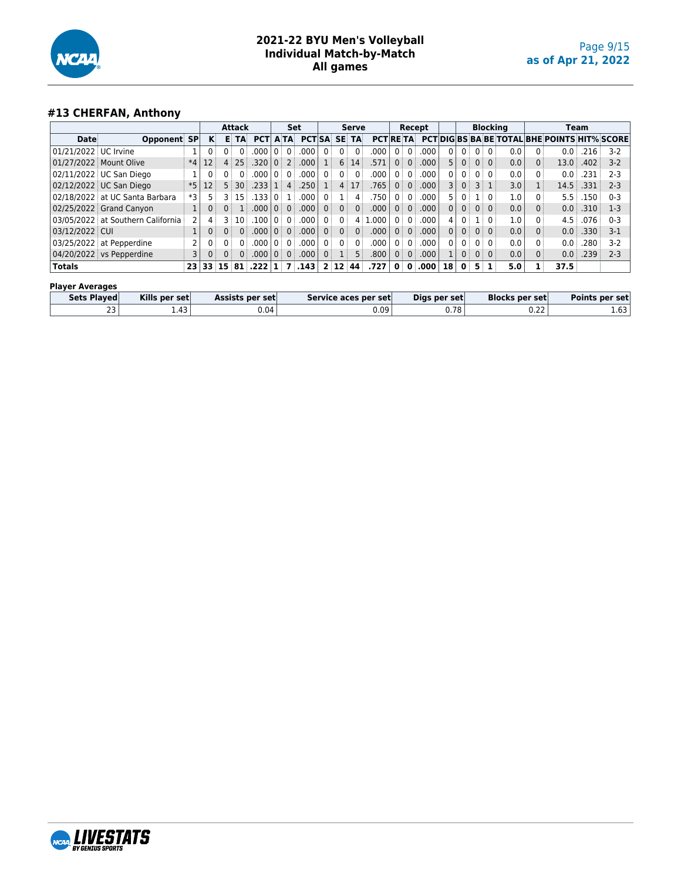

# **#13 CHERFAN, Anthony**

|                      |                                   |      |                 |                 | <b>Attack</b>   |            |                   | Set               |                   |                |                | Serve          |            |                |                | Recept |                |                   |    | <b>Blocking</b> |     |     |                                                     | Team |         |
|----------------------|-----------------------------------|------|-----------------|-----------------|-----------------|------------|-------------------|-------------------|-------------------|----------------|----------------|----------------|------------|----------------|----------------|--------|----------------|-------------------|----|-----------------|-----|-----|-----------------------------------------------------|------|---------|
| Date                 | Opponent SP                       |      | ĸ               | в               | TA              | <b>PCT</b> |                   | A TA              | <b>PCT SA</b>     |                | <b>SE</b>      | <b>TA</b>      | <b>PCT</b> | <b>RETA</b>    |                |        |                |                   |    |                 |     |     | <b>PCTIDIG BS BA BE TOTAL BHE POINTS HIT% SCORE</b> |      |         |
| 01/21/2022 UC Irvine |                                   |      |                 |                 |                 | .000       |                   | $0^{\frac{1}{2}}$ | .000              | 0 <sup>1</sup> |                |                | 000        | $0^{\circ}$    |                | .000   |                | 0 <sup>1</sup>    |    | 0:0:            | 0.0 |     | 0.0                                                 | .216 | $3-2$   |
|                      | 01/27/2022 Mount Olive            | $*4$ | 12              |                 | 25              | .320       | $\Omega$ :        | 2:                | .000              |                | 6:             | 14             | 571        | $\Omega$       | $\Omega$       | .000   | 5              | 0 <sup>3</sup>    |    | 0:0:            | 0.0 | 0   | 13.0                                                | .402 | $3-2$   |
|                      | 02/11/2022   UC San Diego         |      |                 | 0 i             | 0 <sup>1</sup>  | .000       | $\Omega$          | $0^{\circ}$       | .000              | $0^{\circ}$    | 0 <sup>1</sup> | $\Omega$       | 000        | $0^{\circ}$    |                | .000   | $\mathbf{0}$   | $0^{\frac{1}{2}}$ |    | 0:0:            | 0.0 |     | 0.0                                                 | .231 | $2 - 3$ |
|                      | 02/12/2022 UC San Diego           | $*5$ | 12              | 5 <sup>1</sup>  | 30 <sup>3</sup> | .233       |                   | 4:                | .250 <sup>1</sup> |                |                | 4:17           | 765        | 0 <sup>1</sup> | 0:             | .000   |                | 0 <sup>1</sup>    |    | $3 \mid 1$      | 3.0 |     | 14.5                                                | .331 | $2 - 3$ |
|                      | 02/18/2022 at UC Santa Barbara    | *3   |                 |                 | 3:15            | .33        | ∩≕                |                   | .000              | $\overline{0}$ |                | 4              | 750        | 0:             |                | .000   | 5              |                   |    | ⊟ ∩∃            | 1.0 |     | 5.5                                                 | .150 | $0 - 3$ |
|                      | 02/25/2022 Grand Canyon           |      |                 |                 |                 | 000        | 0 <sup>1</sup>    | 0 <sup>1</sup>    | .000              | $\overline{0}$ | 0 <sup>1</sup> | 0 <sup>1</sup> | 000        | 0 <sup>1</sup> | $\Omega$       | .000   | $\Omega$       | $0^{\frac{1}{3}}$ |    | 0:0:            | 0.0 |     | 0.0                                                 | .310 | $1-3$   |
|                      | 03/05/2022 at Southern California |      | 4               |                 | 3:10            | .100       | $\Omega$          | 0:                | .000.             | 0 <sup>1</sup> | $\Omega$       | 41             | .000       | $0^{\circ}$    |                | .000   | 4              | 0:                |    | 1:0:            | 1.0 |     | 4.5                                                 | .076 | $0 - 3$ |
| 03/12/2022 CUI       |                                   |      |                 |                 | 0 <sup>1</sup>  | .000       | $\Omega$ :        | 0 <sup>1</sup>    | .000.             | 0 <sup>1</sup> | 0 <sup>1</sup> | $0^{\circ}$    | .000       |                | 0:0:           | .000.  | 0 <sub>1</sub> | $0^{\frac{1}{2}}$ |    | $0 \mid 0$      | 0.0 | 0 i | 0.0                                                 | .330 | $3-1$   |
|                      | 03/25/2022 at Pepperdine          |      |                 |                 |                 | .000       | $\Omega$          | $0^{\circ}$       | .000              | 0 <sup>1</sup> | 0 <sup>1</sup> | $\Omega$       | .000       | $0^{\circ}$    | $\Omega$       | .000   | $\mathbf{0}$   | 0:                |    | 0:0:            | 0.0 |     | 0.0                                                 | .280 | $3-2$   |
|                      | 04/20/2022 vs Pepperdine          |      |                 |                 | 0 <sup>1</sup>  | .000       | $0^{\frac{1}{2}}$ | $0^{\frac{1}{2}}$ | .000              | 0 <sup>1</sup> |                | 5 <sup>1</sup> | .800       | 0 <sup>1</sup> | $\overline{0}$ | .000   |                | 0 <sup>1</sup>    |    | $0 \mid 0 \mid$ | 0.0 | 0 i | 0.0                                                 | .239 | $2 - 3$ |
| <b>Totals</b>        |                                   | 23   | 33 <sup>3</sup> | 15 <sup>1</sup> | 81              | .222       | $\mathbf{1}$      |                   | 7.143             | 2 <sup>1</sup> | 12 44          |                | .727       | $\mathbf{0}$   | $\Omega$       | .000   | 18             | $\mathbf{0}$      | 5. |                 | 5.0 |     | 37.5                                                |      |         |

#### **Player Averages**

| Sets Played | Kills per set | <b>Assists per set</b> l | Service aces per set | Digs per set | <b>Blocks per set</b> | Points per set |
|-------------|---------------|--------------------------|----------------------|--------------|-----------------------|----------------|
| رے          | 1.43          | J.04                     | 0.09                 | 0.78         | $\sim$<br>0.ZZ        | 1.63'          |

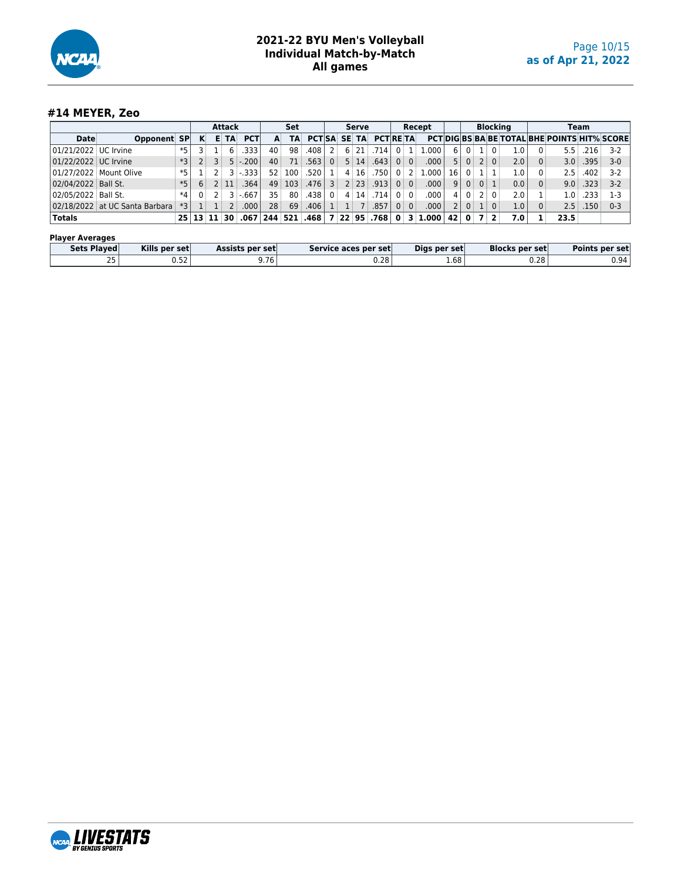

## **#14 MEYER, Zeo**

|                       |                                |      |                              |   | <b>Attack</b> |            |                 | Set              |                           |                |   | <b>Serve</b>     |                   |                |                 | Recept  |                 |                |                | <b>Blocking</b> |                  |                                                     | Team              |         |
|-----------------------|--------------------------------|------|------------------------------|---|---------------|------------|-----------------|------------------|---------------------------|----------------|---|------------------|-------------------|----------------|-----------------|---------|-----------------|----------------|----------------|-----------------|------------------|-----------------------------------------------------|-------------------|---------|
| Date                  | Opponent SP                    |      | к                            | Е | TA            | <b>PCT</b> | A.              | TA               | <b>PCTISA SE</b>          |                |   | TA               | <b>PCTRETA</b>    |                |                 |         |                 |                |                |                 |                  | <b>PCTIDIGIBS BA BE TOTAL BHE POINTS HIT% SCORE</b> |                   |         |
| 01/21/2022 UC Irvine  |                                | *5   |                              |   | 6             | .333       | 40              | 98               | .408                      |                | 6 |                  | .714              |                |                 | .000.   | 6 <sup>1</sup>  |                |                | . ε Ω. ε        | $1.0\,$          | $5.5 \pm$                                           | .216              | $3-2$   |
| 01/22/2022 UC Irvine  |                                | *3   |                              |   |               | $5 - 200$  | 40              | 71               | .563 l                    | $\overline{0}$ |   | $5 \mid 14 \mid$ | .643              |                | $0 \mid 0 \mid$ | .000    | 5 <sup>1</sup>  | 0 <sup>1</sup> |                | $2 \times 0$    | 2.0              | 3.0 <sup>1</sup>                                    | .395              | $3-0$   |
|                       | 01/27/2022 Mount Olive         | *5   |                              |   |               | $3 - 333$  | 52 <sup>2</sup> | 100              | .520                      |                |   | 4:16             | .750 <sup>1</sup> |                |                 | .000.   | 16 <sup>1</sup> |                |                |                 | 1.0              | 2.5 <sup>1</sup>                                    | .402              | $3-2$   |
| 02/04/2022 Ball St.   |                                | *5   | 6                            |   | 2:11          | .364       | 49              | 103 <sub>1</sub> | .476                      | $\overline{3}$ |   | $2 \mid 23 \mid$ | .913              |                | $0 \mid 0$      | .000    | 9 <sup>1</sup>  |                | 0 <sub>0</sub> |                 | 0.0              | 9.0                                                 | .323              | $3 - 2$ |
| 02/05/2022   Ball St. |                                | $*4$ | 0                            |   |               | $3 - 667$  | 35              | 80               | ا 438.                    | $\overline{0}$ |   | 4:14:            | ا 714.            |                | 0:0             | .000    | 4               | 0 <sup>1</sup> |                | 20              | 2.0              | 1.0:                                                | .233              | $1-3$   |
|                       | 02/18/2022 at UC Santa Barbara | $*3$ |                              |   |               | .000       | 28 <sup>3</sup> | 69               | .406 <sup>1</sup>         |                |   |                  | .857              | 0 <sup>1</sup> | $\overline{0}$  | .000    | 2 <sup>1</sup>  | 0              |                | 0:              | 1.0 <sub>1</sub> | 2.5                                                 | .150 <sub>1</sub> | $0 - 3$ |
| Totals                |                                |      | $25 \mid 13 \mid 11 \mid 30$ |   |               |            |                 |                  | $.067$   244   521   .468 |                |   |                  | 7 22 95 768       | $\mathbf{0}$   |                 | 3 1,000 | 42              | $\mathbf{0}$   |                | 7 <sup>2</sup>  | 7.0 <sub>1</sub> | 23.5                                                |                   |         |
|                       |                                |      |                              |   |               |            |                 |                  |                           |                |   |                  |                   |                |                 |         |                 |                |                |                 |                  |                                                     |                   |         |

| <b>Player Averages</b> |               |                 |                      |              |                       |                |
|------------------------|---------------|-----------------|----------------------|--------------|-----------------------|----------------|
| Sets Plaved            | Kills per set | Assists per set | Service aces per set | Dias per set | <b>Blocks per set</b> | Points per set |
| $\overline{ }$         | ר הו<br>0.JZ  | 9.76            | 0.28                 | 1.68         | 0.28                  | 0.94 l         |

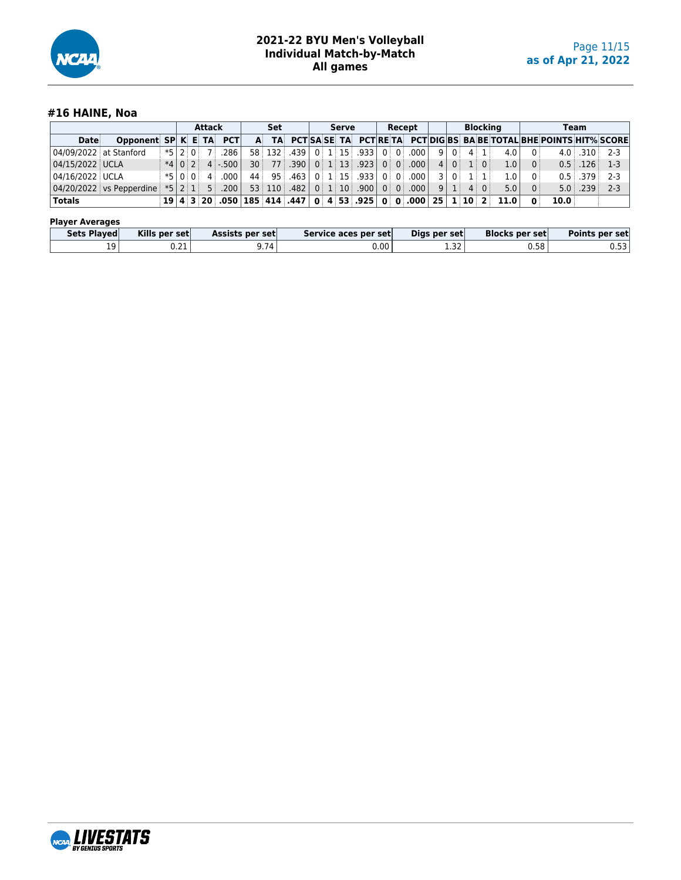

## **#16 HAINE, Noa**

|                        |                                                                                              |  | <b>Attack</b> |                  | Set |  | Serve |                                      |  | Recept |                |     |                                       | <b>Blocking</b> |                                                                   |                |                                                                         | Team           |         |
|------------------------|----------------------------------------------------------------------------------------------|--|---------------|------------------|-----|--|-------|--------------------------------------|--|--------|----------------|-----|---------------------------------------|-----------------|-------------------------------------------------------------------|----------------|-------------------------------------------------------------------------|----------------|---------|
| Date                   | Opponent SP K E TA PCT                                                                       |  |               |                  |     |  |       |                                      |  |        |                |     |                                       |                 |                                                                   |                | A TA PCT SA SE TA PCT RETA PCT DIG BS BA BE TOTAL BHE POINTS HIT% SCORE |                |         |
| 04/09/2022 at Stanford |                                                                                              |  |               | $ *5 2 0 $ 7 286 |     |  |       | $58$ 132 439 0 1 15 0 33 0 0 0 0 0 0 |  |        | -9 I           | 0 L |                                       | $4 \mid 1 \mid$ | 4.0 <sub>1</sub>                                                  | $\Omega$       |                                                                         | $4.0$ .310 2-3 |         |
| 04/15/2022 UCLA        |                                                                                              |  |               | $*40244-500$     |     |  |       | $30$ 77 390 0 1 13 923 0 0 0 000     |  |        |                |     | $4 \nvert 0 \nvert 1 \nvert 0 \nvert$ |                 | 1.0                                                               | $\overline{0}$ |                                                                         | $0.5$ $126$    | $1-3$   |
| 04/16/2022 UCLA        |                                                                                              |  |               | $*5 0 0 $ 4 000  |     |  |       | 44 95 463 0 1 15 .933 0 0 0 .000     |  |        | $\overline{3}$ |     | 0:1:1                                 |                 | 1.0 <sub>1</sub>                                                  | $\Omega$       |                                                                         | $0.5$ .379     | $2-3$   |
|                        | $\mid$ 04/20/2022 vs Pepperdine $*$ 5 2 1  5  .200  53  110  .482  0  1  10  .900  0  0  000 |  |               |                  |     |  |       |                                      |  |        |                |     | $9 \mid 1 \mid 4 \mid 0$              |                 | 5.0                                                               | $\overline{0}$ |                                                                         | $5.0$ $.239$   | $2 - 3$ |
| 'Totals                |                                                                                              |  |               |                  |     |  |       |                                      |  |        |                |     |                                       |                 | $19 4 3 20$ .050 185 414 .447 0 4 53 .925 0 0 .000 25 1 10 2 11.0 | $\mathbf{0}$   | 10.0                                                                    |                |         |

#### **Player Averages**

| <b>Sets Played</b> | Kills per set | Assists per set    | Service aces per set | Digs per set | <b>Blocks per set</b> | Points per set |
|--------------------|---------------|--------------------|----------------------|--------------|-----------------------|----------------|
| 19                 | ຸ ຕາ<br>U.ZI  | $3.74$ $^{\prime}$ | 0.00                 | 1.32         | 0.58                  | 0.53           |

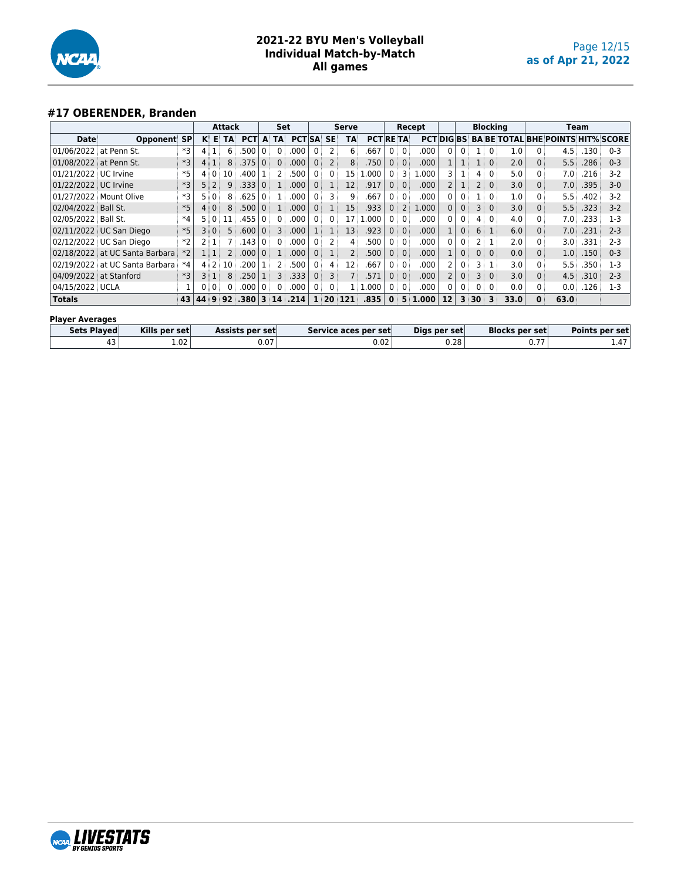

## **#17 OBERENDER, Branden**

|                          |                                |           |    |                 | Attack         |            |                | Set            |                  |                |                | Serve           |                     |                |                 | Recept     |                 |                   |                   | <b>Blocking</b> |      |   |                                          | Team |         |
|--------------------------|--------------------------------|-----------|----|-----------------|----------------|------------|----------------|----------------|------------------|----------------|----------------|-----------------|---------------------|----------------|-----------------|------------|-----------------|-------------------|-------------------|-----------------|------|---|------------------------------------------|------|---------|
| Date                     | Opponent                       | <b>SP</b> |    | K E             | <b>TA</b>      | <b>PCT</b> | A              | <b>TA</b>      | <b>PCTISA SE</b> |                |                | <b>TA</b>       | <b>PCT RETA</b>     |                |                 |            | <b>PCTDIGBS</b> |                   |                   |                 |      |   | <b>BA BE TOTAL BHE POINTS HIT% SCORE</b> |      |         |
| 01/06/2022 at Penn St.   |                                | *3        | 4  |                 | 6              | .500       |                | $\Omega$       | .000             |                | 2              | 6               | .667                | 0 <sup>1</sup> | $\overline{0}$  | .000       | $\Omega$        | $\mathbf{0}$      |                   | $\mathbf{0}$    | 1.0  | 0 | 4.5                                      | .130 | $0 - 3$ |
| 01/08/2022   at Penn St. |                                | *3        | 4  |                 | 8 <sup>3</sup> | .375       | $\overline{0}$ | $\Omega$       | .000             | 0              | $\overline{2}$ | 8 <sup>3</sup>  | .750                | 0:             | $\overline{0}$  | .000       |                 |                   | 1:                | $\Omega$        | 2.0  | 0 | 5.5                                      | .286 | $0 - 3$ |
| 01/21/2022 UC Irvine     |                                | $*5$      |    | 4101            | 10             | .400       |                |                | .500             | 0:             | $\mathbf{0}$   | 15              | 000                 | 0 <sup>1</sup> | 3               | .000       |                 |                   | 4:                | $\Omega$        | 5.0  | 0 | 7.0                                      | .216 | $3-2$   |
| 01/22/2022 UC Irvine     |                                | *3        |    | 5:2             | 9 <sup>1</sup> | .333       | $\Omega$       | $1$ :          | .000             | 0 <sup>1</sup> | 1              | 12 <sup>3</sup> | .917                | 0:             | 0:              | .000       |                 |                   | $2^{\frac{1}{2}}$ | 0:              | 3.0  | 0 | 7.0                                      | .395 | $3-0$   |
|                          | 01/27/2022 Mount Olive         | *3        |    | $\mathbf{0}$    | 8              | .625       | $\Omega$       |                | .000             | 0:             |                | 9               | .667                | 0 <sup>1</sup> | 0:              | .000       | 0               | 0                 |                   | $\Omega$        | 1.0  | 0 | 5.5                                      | .402 | $3-2$   |
| 02/04/2022   Ball St.    |                                | $*5$      |    | 4:0:            | 8              | .500       | $\Omega$       |                | .000             | $\Omega$       |                | 15              | .933                | 0:             | 2               | 1.000      | $\Omega$        | $\mathbf{0}$      | 3 <sup>1</sup>    | $\Omega$        | 3.0  | 0 | 5.5                                      | .323 | $3-2$   |
| 02/05/2022 Ball St.      |                                | $*4$      |    | 5 0 1           | 11             | .455       |                |                | .000             | 0:             | $\mathbf{0}$   | 17              | 1.000               |                | 0:0:            | .000       | 0               | $\mathbf{0}$      | 4                 | $\overline{0}$  | 4.0  | 0 | 7.0                                      | .233 | $1-3$   |
|                          | 02/11/2022 UC San Diego        | $*5$      | 3  | $\overline{0}$  | 5:             | .600       | $\Omega$       | 3              | .000             |                |                | 13              | .923                | 0 <sup>1</sup> | 0:              | .000       |                 | $\mathbf{0}$      | 6:                | 1               | 6.0  | 0 | 7.0                                      | .231 | $2 - 3$ |
|                          | 02/12/2022 UC San Diego        | $*2$      |    |                 |                | .143       | $^{\circ}$     |                | .000             | $\Omega$       |                | 4               | .500                | $0^{\circ}$    | $\overline{0}$  | .000       | 0               | 0                 | 2 :               |                 | 2.0  | 0 | 3.0 <sup>1</sup>                         | .331 | $2 - 3$ |
|                          | 02/18/2022 at UC Santa Barbara | $*2$      |    | 1:1             | 2              | .000.      | $\Omega$       |                | .000             | $\Omega$       |                | $2$ :           | .500                | 0:             | $\Omega$        | .000       |                 | $\Omega$          | 0 <sup>1</sup>    | $\Omega$        | 0.0  | 0 | 1.0 <sup>1</sup>                         | .150 | $0 - 3$ |
|                          | 02/19/2022 at UC Santa Barbara | $*4$      | 4  | 2 <sup>1</sup>  | 10             | .200       |                |                | .500             | $\overline{0}$ | 4              | 12              | .667                | 0:             | $\overline{0}$  | .000       |                 | 0                 | 3 :               |                 | 3.0  | 0 | 5.5                                      | .350 | $1-3$   |
| 04/09/2022 at Stanford   |                                | $*3$      |    | $3 \mid 1 \mid$ | 8 <sup>3</sup> | .250       |                | 3 <sup>3</sup> | .333             | 0:             | 3              |                 | .571                |                | $0 \mid 0 \mid$ | .000       |                 | $0^{\frac{1}{3}}$ | 3 <sup>1</sup>    | $\overline{0}$  | 3.0  | 0 | 4.5                                      | .310 | $2 - 3$ |
| 04/15/2022 UCLA          |                                |           |    | 0:0:            | 0:             | .000       | 0 <sup>1</sup> | 0              | .000             | 0:             | 0 <sup>1</sup> |                 | .000<br>$1 \, \, 1$ | $0^{\circ}$    | $\overline{0}$  | .000       |                 | 0 <sup>1</sup>    | 0 <sup>1</sup>    | $0^{\circ}$     | 0.0  | 0 | 0.0                                      | .126 | $1-3$   |
| <b>Totals</b>            |                                | 43        | 44 | 9               | 92             | .380       | 3              | 14             | .214             | 1              | 20             | 121             | .835                | $\mathbf{0}$   | 5               | .000.<br>1 | 12              | 3                 | 30                | 3               | 33.0 | O | 63.0                                     |      |         |
| <b>Player Averages</b>   |                                |           |    |                 |                |            |                |                |                  |                |                |                 |                     |                |                 |            |                 |                   |                   |                 |      |   |                                          |      |         |

| Kills per set<br>Sets Played<br><b>Blocks per set</b><br>Digs per set<br>Points per set<br><b>Assists per set</b><br>Service aces per set |  |
|-------------------------------------------------------------------------------------------------------------------------------------------|--|
|                                                                                                                                           |  |
| 1.02<br>0.28<br>$\sim$ $\sim$ $\sim$<br>0.02<br><b>U.U</b><br>r J                                                                         |  |

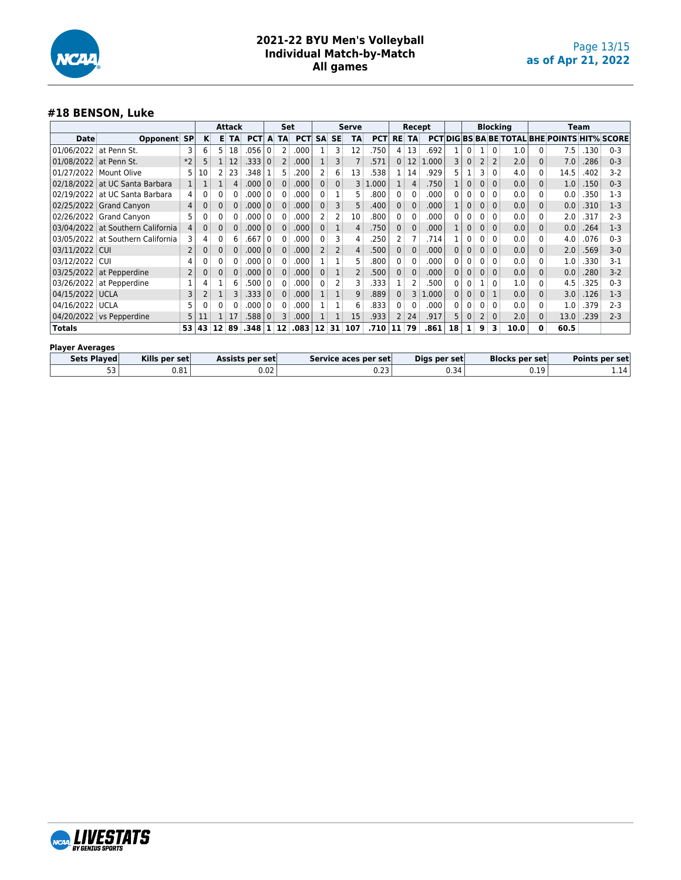

## **#18 BENSON, Luke**

|                        |                                   |                |    |          | <b>Attack</b> |                 |              | Set            |                 |                |                | <b>Serve</b>   |                      |                | Recept       |              |   |              |                | <b>Blocking</b> |                       |              | <b>Team</b>                                         |      |                |
|------------------------|-----------------------------------|----------------|----|----------|---------------|-----------------|--------------|----------------|-----------------|----------------|----------------|----------------|----------------------|----------------|--------------|--------------|---|--------------|----------------|-----------------|-----------------------|--------------|-----------------------------------------------------|------|----------------|
| Date                   | Opponent                          | <b>SP</b>      | κ  | в        | <b>TA</b>     | <b>PCT</b>      | A            | <b>TA</b>      | <b>PCT</b>      | <b>SA</b>      | <b>SE</b>      | <b>TA</b>      | <b>PCT</b>           | <b>RE</b>      | <b>TA</b>    |              |   |              |                |                 |                       |              | <b>PCT DIG BS BA BE TOTAL BHE POINTS HIT% SCORE</b> |      |                |
| 01/06/2022             | at Penn St.                       | 3              | 6  | 5        | 18            | .056            | 0            | 2              | .000            |                | 3              | 12             | .750                 | 4              | 13           | .692         |   | 0            |                | $\Omega$        | 1.0                   | 0            | 7.5                                                 | .130 | $0 - 3$        |
| 01/08/2022 at Penn St. |                                   | $*2$           |    |          | 12            | .333            | $\Omega$     | $\overline{2}$ | .000            |                | 3              |                | .571                 | 0:             | 12           | 1.000        | 3 | $\mathbf{0}$ | 2              | $\overline{2}$  | 2.0                   | 0            | 7.0                                                 | .286 | $0 - 3$        |
| 01/27/2022             | Mount Olive                       | 5              | 10 |          | 23            | .348            |              | 5              | .200            | 2              | 6              | 13             | .538                 | 1:             | 14           | .929         |   |              | 3              | $\Omega$        | 4.0                   | 0            | 14.5                                                | .402 | $3-2$          |
|                        | 02/18/2022 at UC Santa Barbara    | $\mathbf{1}$   |    |          |               | .000            | $\Omega$     | 0              | .000            | $\mathbf{0}$   | 0              | 3              | .000.                | 1              | 4            | .750         |   | $\Omega$     | $\mathbf{0}$   | $\Omega$        | 0.0                   | 0            | 1.0                                                 | .150 | $0 - 3$        |
|                        | 02/19/2022 at UC Santa Barbara    | 4              |    |          |               | .000            | $\Omega$     | 0              | .000            | 0              |                | 5.             | .800                 | 0 <sup>1</sup> | 0            | .000         |   | 0            |                | $\Omega$        | 0.0                   | 0            | 0.0                                                 | .350 | $1-3$          |
|                        | 02/25/2022 Grand Canyon           | $\overline{4}$ |    | $\Omega$ |               | .000            | $\Omega$     | 0              | .000            | $\mathbf{0}$   | 3              | 5              | .400                 | 0              | $\mathbf{0}$ | .000         |   | 0            |                | $\Omega$        | 0.0                   | $\mathbf{0}$ | 0.0                                                 | .310 | $1 - 3$        |
|                        | 02/26/2022 Grand Canyon           | 5              |    | 0        |               | .000            | 0            | 0              | .000            | 2              | 2              | 10             | .800                 | 0 <sup>1</sup> | 0            | .000         | 0 | 0            |                | 0               | 0.0                   | 0            | 2.0                                                 | .317 | $2 - 3$        |
|                        | 03/04/2022 at Southern California |                |    |          |               | .000            | $\Omega$     | 0              | .000            | $\mathbf{0}$   |                | 4              | .750                 | 0              | 0            | .000         |   | 0            |                | $\mathbf{0}$    | 0.0                   | $\mathbf{0}$ | 0.0                                                 | .264 | $1-3$          |
|                        | 03/05/2022 at Southern California | 3              | 4  |          |               | .667            | <sup>0</sup> | 0              | .000            | 0              | 3              | 4              | .250                 | 2              | 7            | .714         |   | 0            | 0              | $\mathbf{0}$    | 0.0                   | 0            | 4.0                                                 | .076 | $0 - 3$        |
| 03/11/2022 CUI         |                                   | 2              |    |          |               | .000            | 0            | $\Omega$       | .000            | $\overline{2}$ | $\overline{2}$ | 4              | .500                 | 0 <sup>3</sup> | $\mathbf{0}$ | .000         |   | $\Omega$     |                | $\Omega$        | 0.0                   | $\mathbf{0}$ | 2.0                                                 | .569 | $3-0$          |
| 03/12/2022             | i cui                             | 4              |    | 0        |               | .000            | 0            | 0              | .000            |                |                | 5              | .800                 | 0 <sup>1</sup> | 0            | .000         | 0 | 0            | 0              | 0               | 0.0                   | 0            | 1.0                                                 | .330 | $3-1$          |
|                        | 03/25/2022 at Pepperdine          | 2              |    |          |               | .000            | $\Omega$     | $\Omega$       | .000            | $\Omega$       |                | $\overline{2}$ | .500                 | 0              | $\Omega$     | .000         | 0 | 0            |                | $\Omega$        | 0.0                   | $\Omega$     | 0.0                                                 | .280 | $3-2$          |
|                        | 03/26/2022 at Pepperdine          |                |    |          |               | .500            | $\Omega$     | 0              | .000            | 0              | 2              | 3              | .333                 |                | 2            | .500         |   | 0            |                | 0               | 1.0                   | 0            | 4.5                                                 | .325 | $0 - 3$        |
| 04/15/2022 UCLA        |                                   | 3              | 2  |          |               | .333            | 0            | 0              | .000            |                |                | 9              | .889                 | 0              | 3            | 1.000        |   | $\Omega$     |                |                 | 0.0                   | $\mathbf{0}$ | 3.0                                                 | .126 | $1-3$          |
| 04/16/2022 UCLA        |                                   | 5              |    |          |               | .000            | <sup>0</sup> | 0              | .000            |                |                | 6              | .833                 | 0              | 0            | .000         | n | 0            |                | $\Omega$        | 0.0                   | 0            | 1.0                                                 | .379 | $2 - 3$        |
|                        | 04/20/2022 vs Pepperdine          | 5              |    |          | 17            | .588            | 0            | 3              | .000            |                |                | 15             | .933                 | $\overline{2}$ | 24           | .917         | 5 | 0            | $\overline{2}$ | $\mathbf{0}$    | 2.0                   | $\Omega$     | 13.0                                                | .239 | $2 - 3$        |
| <b>Totals</b>          | 53<br>89<br>43<br>12              |                |    |          | .348          |                 | 12           | .083           | 12 <sup>1</sup> | 31             | 107            | .710           | 11                   | 79             | .861         | 18           | 1 | 9            | 3              | 10.0            | 0                     | 60.5         |                                                     |      |                |
|                        | <b>Player Averages</b>            |                |    |          |               |                 |              |                |                 |                |                |                |                      |                |              |              |   |              |                |                 |                       |              |                                                     |      |                |
|                        | Sets Played<br>Kills per set      |                |    |          |               | Assists per set |              |                |                 |                |                |                | Service aces per set |                |              | Digs per set |   |              |                |                 | <b>Blocks per set</b> |              |                                                     |      | Points per set |
|                        | 53<br>0.81                        |                |    |          |               | 0.02            |              |                |                 |                |                | 0.23           |                      |                |              | 0.34         |   |              |                |                 | 0.19                  |              |                                                     | 1.14 |                |

| Sets Played | Kills per set | Assists per set | Service aces per set | Digs per set       | <b>Blocks per set</b> | <b>Points per set</b> |
|-------------|---------------|-----------------|----------------------|--------------------|-----------------------|-----------------------|
| --<br>ر ر   | 0.81          | ר ח<br>v.vz     | u.zo                 | $0.34$ $^{\prime}$ | 0.19                  | 1.14                  |
|             |               |                 |                      |                    |                       |                       |

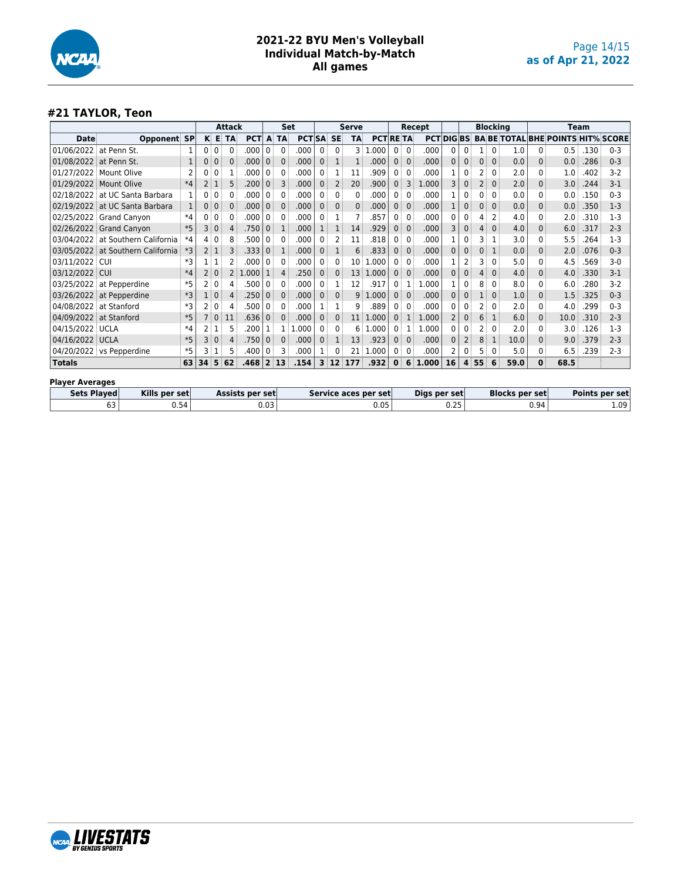

## **#21 TAYLOR, Teon**

|                        | Attack                   |      |                 |              |           |            |                | <b>Set</b>   |                  |                |                | <b>Serve</b> |                |                |              | Recept     |              |          | <b>Blocking</b> |          |      |              | Team                                     |      |         |
|------------------------|--------------------------|------|-----------------|--------------|-----------|------------|----------------|--------------|------------------|----------------|----------------|--------------|----------------|----------------|--------------|------------|--------------|----------|-----------------|----------|------|--------------|------------------------------------------|------|---------|
| Date                   | <b>Opponent SP</b>       |      |                 | K E          | <b>TA</b> | <b>PCT</b> | A              | <b>TA</b>    | <b>PCTISA SE</b> |                |                | <b>TA</b>    | <b>PCTRETA</b> |                |              | <b>PCT</b> | <b>DIGBS</b> |          |                 |          |      |              | <b>BA BE TOTAL BHE POINTS HIT% SCORE</b> |      |         |
| 01/06/2022             | at Penn St.              |      | $0^{\circ}$     | $\mathbf{0}$ | 0         | .000       | $\mathbf{0}$   | 0            | .000             | 0 <sup>1</sup> | 0              |              | 3 1.000        | 0 <sup>1</sup> | $\Omega$     | .000       | 0            | 0        |                 | $\Omega$ | 1.0  | 0            | 0.5                                      | .130 | $0 - 3$ |
| 01/08/2022             | at Penn St.              | 1    | 0               | 0            | 0         | .000       | 0              | $\mathbf{0}$ | .000             | 0 <sup>1</sup> | 1              |              | .000           | 0 <sup>3</sup> | $\mathbf{0}$ | .000       | 0            | 0        | $\Omega$        | $\Omega$ | 0.0  | 0            | 0.0                                      | .286 | $0 - 3$ |
| 01/27/2022 Mount Olive |                          |      | 0 <sup>1</sup>  | $\mathbf{0}$ |           | .000       | 0              | 0            | .000             | 0 <sup>1</sup> |                | 11           | .909           |                | 0            | .000       |              |          |                 | $\Omega$ | 2.0  | 0            | 1.0                                      | .402 | $3-2$   |
| 01/29/2022 Mount Olive |                          | $*4$ | $\mathsf{2}$    |              | 5         | .200       | 0              | 3            | .000             | 0 <sup>1</sup> | $\overline{2}$ | 20           | .900           | 0              | 3            | L.000      | 3            | 0        |                 | $\Omega$ | 2.0  | 0            | 3.0                                      | .244 | $3-1$   |
| 02/18/2022             | at UC Santa Barbara      |      | 0 <sup>1</sup>  | 0            | 0         | .000       | 0 <sup>1</sup> | 0            | .000             | 0 <sup>1</sup> | 0              | $\Omega$     | .000           | $\mathbf{0}$   | 0            | .000       |              | $\Omega$ | 0               | $\Omega$ | 0.0  | 0            | 0.0                                      | .150 | $0 - 3$ |
| 02/19/2022             | at UC Santa Barbara      |      | 0 <sup>3</sup>  | $\mathbf{0}$ | 0         | .000       | 0              | 0            | .000             | $\Omega$       | 0              | $\Omega$     | .000           |                | $\Omega$     | .000       |              |          | $\Omega$        | $\Omega$ | 0.0  | 0            | 0.0                                      | .350 | $1 - 3$ |
|                        | 02/25/2022 Grand Canyon  | $*4$ | 0 <sup>1</sup>  | 0            |           | .000       | 0              | 0            | .000             | 0              |                |              | .857           |                | $\Omega$     | .000       | 0            | 0        |                 | 2        | 4.0  | 0            | 2.0                                      | .310 | $1-3$   |
|                        | 02/26/2022 Grand Canyon  | $*5$ | 3               | $\Omega$     |           | .750       | $\Omega$       | 1            | .000             | 1              |                | 14           | .929           | 0:             | $\Omega$     | .000       | 3            | 0        |                 | $\Omega$ | 4.0  | 0            | 6.0                                      | .317 | $2 - 3$ |
| 03/04/2022             | at Southern California   | $*4$ | 4               | $\mathbf{0}$ | 8         | .500       | $\Omega$       | 0            | .000             | 0              |                | 11           | .818           |                | $\mathbf{0}$ | .000       |              | 0        | 3               |          | 3.0  | 0            | 5.5                                      | .264 | $1-3$   |
| 03/05/2022             | at Southern California   | $*3$ |                 | $2 \mid 1$   | 3         | .333       | 0              |              | .000             | 0 <sup>1</sup> | 1              | 6            | .833           |                | $\Omega$     | .000       | 0            |          | $\Omega$        |          | 0.0  | 0            | 2.0                                      | .076 | $0 - 3$ |
| 03/11/2022             | : CUI                    | *3   |                 |              |           | .000       | 0 <sup>1</sup> | 0            | .000             | 0 <sup>1</sup> | 0              | 10           | 1.000          | $^{\circ}$     | $\mathbf{0}$ | .000       |              |          | 3               | $\Omega$ | 5.0  | 0            | 4.5                                      | .569 | $3-0$   |
| 03/12/2022             | <b>CUI</b>               | $*4$ |                 | $\mathbf{0}$ | 2         | 1.000      |                | 4            | .250             | 0 <sup>1</sup> | $\mathbf{0}$   | 13           | 1.000          | 0 <sup>3</sup> | $\Omega$     | .000       | 0            |          | 4               | $\Omega$ | 4.0  | 0            | 4.0                                      | .330 | $3-1$   |
|                        | 03/25/2022 at Pepperdine | $*5$ | 2 :             | $\mathbf{0}$ | 4         | .500       | $\mathbf{0}$   | 0            | .000             | $\mathbf{0}$   |                | 12           | .917           | 0              |              | .000       |              | U        | 8               | $\Omega$ | 8.0  | 0            | 6.0                                      | .280 | $3-2$   |
|                        | 03/26/2022 at Pepperdine | *3   | 1               | $\mathbf{0}$ | 4         | .250       | 0              | 0            | .000             | 0:             | 0              | 9            | 1.000          | 0:             | $\Omega$     | .000       | 0            |          |                 | $\Omega$ | 1.0  | 0            | 1.5                                      | .325 | $0 - 3$ |
| 04/08/2022 at Stanford |                          | *3   | 2 :             | 0            | 4         | .500       | $\Omega$       | 0            | .000             |                |                | q            | .889           |                | $\mathbf{0}$ | .000       | 0            |          |                 | $\Omega$ | 2.0  | 0            | 4.0                                      | .299 | $0 - 3$ |
| 04/09/2022             | at Stanford              | $*5$ |                 | $\mathbf{0}$ | 11        | .636       | 0              | 0            | .000             | $\mathbf{0}$   | 0              | 11           | 1.000          | 0              |              | 1.000      | 2            |          | 6               |          | 6.0  | $\Omega$     | 10.0                                     | .310 | $2 - 3$ |
| 04/15/2022 UCLA        |                          | $*4$ | 2               |              | 5         | .200       |                | $\mathbf{1}$ | 1.000            | 0 <sup>1</sup> | 0              | 6            | 1.000          | 0              | 1            | 1.000      | 0            | 0        |                 | $\Omega$ | 2.0  | 0            | 3.0                                      | .126 | $1-3$   |
| 04/16/2022 UCLA        |                          | $*5$ | 3               | $\mathbf{0}$ | 4         | .750       | 0              | 0            | .000             | 0 <sup>1</sup> |                | 13           | .923           | 0              | $\mathbf{0}$ | .000       | 0            |          | 8               |          | 10.0 | 0            | 9.0                                      | .379 | $2 - 3$ |
|                        | 04/20/2022 vs Pepperdine | *5   | 3               | 1            | 5         | .400       | $\Omega$       | 3            | .000             | 1:             | 0              | 21           | 1.000          | 0 <sup>1</sup> | 0            | .000       |              | 0        | 5               | 0        | 5.0  | 0            | 6.5                                      | .239 | $2 - 3$ |
| <b>Totals</b>          |                          | 63   | 34 <sup>1</sup> | 5            | 62        | .468       | $\overline{2}$ | 13           | .154             | $\mathbf{3}$   | 12             | 177          | .932           | $\bf{0}$       | 6            | 1.000      | 16           | 4        | 55              | 6        | 59.0 | $\mathbf{0}$ | 68.5                                     |      |         |

#### **Player Averages**

| Sets Plaved   | Kills per set      | Assists per set | Service aces per set | Dias per set | <b>Blocks per set</b> | <b>Points</b><br>ៈ per setl |
|---------------|--------------------|-----------------|----------------------|--------------|-----------------------|-----------------------------|
| $\sim$<br>ر ر | $ \alpha$<br>J.54' | 0.03            | 0.05                 | חר ה<br>u.zo | 0.94                  | 1.09'                       |

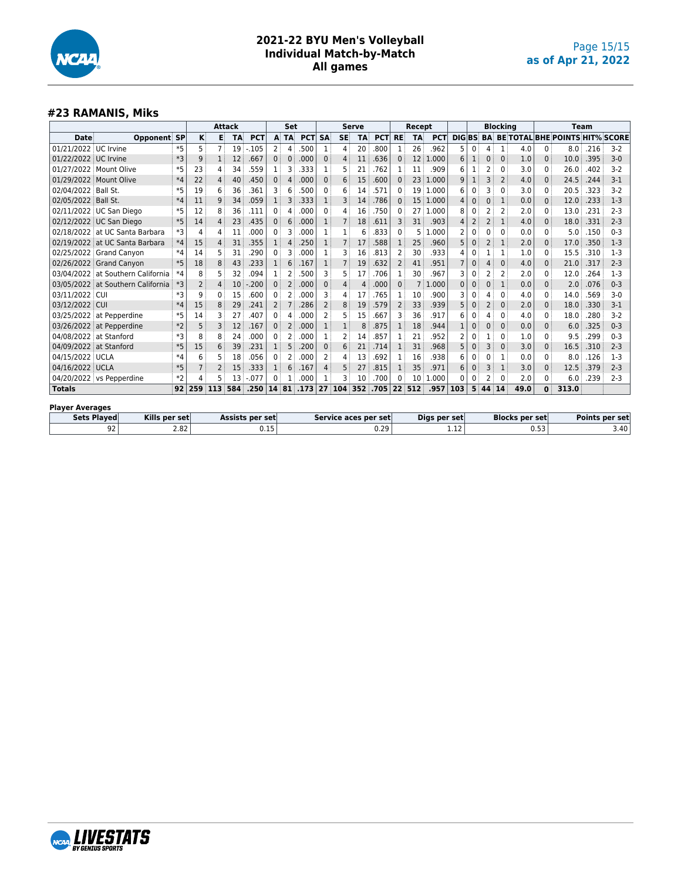

#### **#23 RAMANIS, Miks**

|                      |                                                        |      | <b>Attack</b> |              |           |            | Set            |                |            |             | <b>Serve</b> |                      |            | Recept         |                |            |                |                | <b>Blocking</b> |                       |      |      | <b>Team</b>                              |                       |         |
|----------------------|--------------------------------------------------------|------|---------------|--------------|-----------|------------|----------------|----------------|------------|-------------|--------------|----------------------|------------|----------------|----------------|------------|----------------|----------------|-----------------|-----------------------|------|------|------------------------------------------|-----------------------|---------|
| Date                 | <b>Opponent SP</b>                                     |      | ĸ             | Е            | <b>TA</b> | <b>PCT</b> |                | A TA           | <b>PCT</b> | <b>SA</b>   | <b>SE</b>    | <b>TA</b>            | <b>PCT</b> | <b>RE</b>      | <b>TA</b>      | <b>PCT</b> | <b>DIGBS</b>   |                |                 |                       |      |      | <b>BA BE TOTAL BHE POINTS HIT% SCORE</b> |                       |         |
| 01/21/2022 UC Irvine |                                                        | $*5$ | 5             |              | 19        | $-.105$    | $\overline{2}$ | 4              | .500       | 1           | 4            | 20                   | .800       | 1              | 26             | .962       | 5              | 0              | 4               | 1                     | 4.0  | 0    | 8.0                                      | .216                  | $3-2$   |
| 01/22/2022 UC Irvine |                                                        | $*3$ | 9             | $\mathbf{1}$ | 12        | .667       | $\Omega$       | 0              | .000       | $\Omega$    | 4            | 11                   | .636       | $\Omega$       | 12             | 1.000      | 6              | $\mathbf{1}$   | $\mathbf{0}$    | $\Omega$              | 1.0  | 0    | 10.0                                     | .395                  | $3 - 0$ |
|                      | 01/27/2022 Mount Olive                                 | *5   | 23            | 4            | 34        | 559        | 1              | 3              | .333       | 1           | 5            | 21                   | .762       | 1              | 11             | .909       | 6              | 1              | 2               | $\mathbf{0}$          | 3.0  | 0    | 26.0                                     | .402                  | $3 - 2$ |
|                      | 01/29/2022 Mount Olive                                 | $*4$ | 22            | 4            | 40        | .450       | $\mathbf{0}$   | 4              | .000       | $\mathbf 0$ | 6            | 15                   | .600       | $\Omega$       | 23             | 1.000      | 9              | $\mathbf{1}$   | 3               | $\overline{2}$        | 4.0  | 0    | 24.5                                     | .244                  | $3 - 1$ |
| 02/04/2022 Ball St.  |                                                        | *5   | 19            | 6            | 36        | .361       | 3              | 6              | .500       | $\Omega$    | 6            | 14                   | .571       | 0              | 19             | 1.000      | 6              | 0              | 3               | 0                     | 3.0  | 0    | 20.5                                     | .323                  | $3 - 2$ |
| 02/05/2022 Ball St.  |                                                        | $*4$ | 11            | 9            | 34        | .059       | $\mathbf{1}$   | 3              | .333       | 1           | 3            | 14                   | .786       | $\Omega$       | 15             | 1.000      | 4              | $\mathbf 0$    | 0               | 1                     | 0.0  | 0    | 12.0                                     | .233                  | $1-3$   |
|                      | 02/11/2022 UC San Diego                                | *5   | 12            | 8            | 36        | .111       | 0              | 4              | .000       | $\Omega$    | 4            | 16                   | .750       | 0              | 27             | 1.000      | 8              | 0              | $\overline{2}$  |                       | 2.0  | 0    | 13.0                                     | .231                  | $2 - 3$ |
|                      | 02/12/2022 UC San Diego                                | $*5$ | 14            | 4            | 23        | .435       | $\Omega$       | 6              | .000       |             |              | 18                   | .611       | 3              | 31             | .903       | $\overline{4}$ | $\overline{2}$ | 2               | $\mathbf{1}$          | 4.0  | 0    | 18.0                                     | .331                  | $2 - 3$ |
| 02/18/2022           | at UC Santa Barbara                                    | *3   | 4             | 4            | 11        | .000       | 0              | 3              | .000       | 1           |              | 6                    | .833       | $\Omega$       | 5              | 000<br>1   | $\overline{2}$ | 0              | 0               | $\mathbf{0}$          | 0.0  | 0    | 5.0                                      | .150                  | $0 - 3$ |
|                      | 02/19/2022 at UC Santa Barbara                         | $*4$ | 15            | 4            | 31        | .355       | $\mathbf{1}$   | 4              | .250       | 1           |              | 17                   | .588       | 1              | 25             | .960       | 5              | $\mathbf 0$    | 2               | 1                     | 2.0  | 0    | 17.0                                     | .350                  | $1-3$   |
|                      | 02/25/2022 Grand Canyon                                | $*4$ | 14            | 5            | 31        | .290       | 0              | 3              | .000       | 1           | 3            | 16                   | .813       | 2              | 30             | .933       | 4              | 0              |                 |                       | 1.0  | 0    | 15.5                                     | .310                  | $1-3$   |
|                      | 02/26/2022 Grand Canyon                                | $*5$ | 18            | 8            | 43        | .233       | $\mathbf{1}$   | 6              | .167       |             |              | 19                   | .632       | $\overline{2}$ | 41             | .951       |                | 0              | 4               | $\mathbf{0}$          | 4.0  | 0    | 21.0                                     | .317                  | $2 - 3$ |
| 03/04/2022           | at Southern California                                 | *4   | 8             | 5            | 32        | .094       | 1              | 2              | .500       | 3           | 5            | 17                   | .706       | 1              | 30             | .967       | 3              | 0              | 2               | 2                     | 2.0  | 0    | 12.0                                     | .264                  | $1-3$   |
|                      | 03/05/2022 at Southern California                      | *3   | 2             | 4            | 10        | .200       | $\Omega$       | $\overline{2}$ | .000       | $\mathbf 0$ | 4            | 4                    | .000       | $\Omega$       | $\overline{7}$ | 1.000      | $\mathbf{0}$   | $\Omega$       | 0               | 1                     | 0.0  | 0    | 2.0                                      | .076                  | $0 - 3$ |
| 03/11/2022 CUI       |                                                        | *3   | 9             | 0            | 15        | 600.       | $\mathbf{0}$   | 2              | .000       | 3           | 4            | 17                   | .765       | 1              | 10             | .900       | 3              | 0              | 4               | 0                     | 4.0  | 0    | 14.0                                     | .569                  | $3 - 0$ |
| 03/12/2022 CUI       |                                                        | $*4$ | 15            | 8            | 29        | .241       | 2              |                | .286       | 2           | 8            | 19                   | .579       | 2              | 33             | .939       | 5              | $\mathbf 0$    | 2               | $\mathbf{0}$          | 2.0  | 0    | 18.0                                     | .330                  | $3-1$   |
|                      | 03/25/2022 at Pepperdine                               | *5   | 14            | 3            | 27        | 407        | 0              | 4              | .000       | 2           | 5            | 15                   | .667       | 3              | 36             | .917       | 6              | 0              | 4               | 0                     | 4.0  | 0    | 18.0                                     | .280                  | $3 - 2$ |
|                      | 03/26/2022 at Pepperdine                               | $*2$ | 5             | 3            | 12        | .167       | 0              | 2              | .000       |             |              | 8                    | .875       | 1              | 18             | .944       |                | 0              | 0               | $\mathbf{0}$          | 0.0  | 0    | 6.0                                      | .325                  | $0 - 3$ |
|                      | 04/08/2022 at Stanford                                 | $*3$ | 8             | 8            | 24        | .000       | 0              | 2              | .000       |             | 2            | 14                   | .857       | 1              | 21             | .952       | 2              | 0              | 1               | 0                     | 1.0  | 0    | 9.5                                      | .299                  | $0 - 3$ |
| 04/09/2022           | at Stanford                                            | $*5$ | 15            | 6            | 39        | .231       | 1              | 5              | .200       | $\Omega$    | 6            | 21                   | .714       | 1              | 31             | .968       | 5              | $\mathbf 0$    | 3               | $\mathbf{0}$          | 3.0  | 0    | 16.5                                     | .310                  | $2 - 3$ |
| 04/15/2022 UCLA      |                                                        | $*4$ | 6             | 5            | 18        | .056       | 0              | 2              | .000       | 2           | 4            | 13                   | .692       | 1              | 16             | .938       | 6              | 0              | 0               | 1                     | 0.0  | 0    | 8.0                                      | .126                  | $1-3$   |
| 04/16/2022 UCLA      |                                                        | $*5$ |               |              | 15        | .333       | $\mathbf{1}$   | 6              | .167       | $\Delta$    | 5            | 27                   | .815       | $\mathbf{1}$   | 35             | .971       | 6              | $\Omega$       | 3               | 1                     | 3.0  | 0    | 12.5                                     | .379                  | $2 - 3$ |
|                      | 04/20/2022 vs Pepperdine                               | $*2$ | 4             | 5            | 13        | $-077$     | 0              |                | .000       |             | 3            | 10                   | .700       | 0              | 10             | .000<br>1  | 0              | 0              | 2               | $\Omega$              | 2.0  | 0    | 6.0                                      | .239                  | $2 - 3$ |
| <b>Totals</b>        |                                                        | 92   | 259           | 113          | 584       | .250       | 14             | 81             | .173       | 27          | 104          | 352                  | .705       | 22             | 512            | .957       | 103            | 5              | 44              | 14                    | 49.0 | 0    | 313.0                                    |                       |         |
|                      | <b>Player Averages</b>                                 |      |               |              |           |            |                |                |            |             |              |                      |            |                |                |            |                |                |                 |                       |      |      |                                          |                       |         |
|                      | <b>Sets Played</b><br>Kills per set<br>Assists per set |      |               |              |           |            |                |                |            |             |              | Service aces per set |            |                | Digs per set   |            |                |                |                 | <b>Blocks per set</b> |      |      |                                          | <b>Points per set</b> |         |
|                      | 92                                                     | 2.82 |               | 0.15         |           |            |                |                |            |             |              |                      | 0.29       |                |                |            | 1.12           |                |                 |                       |      | 0.53 |                                          |                       | 3.40    |

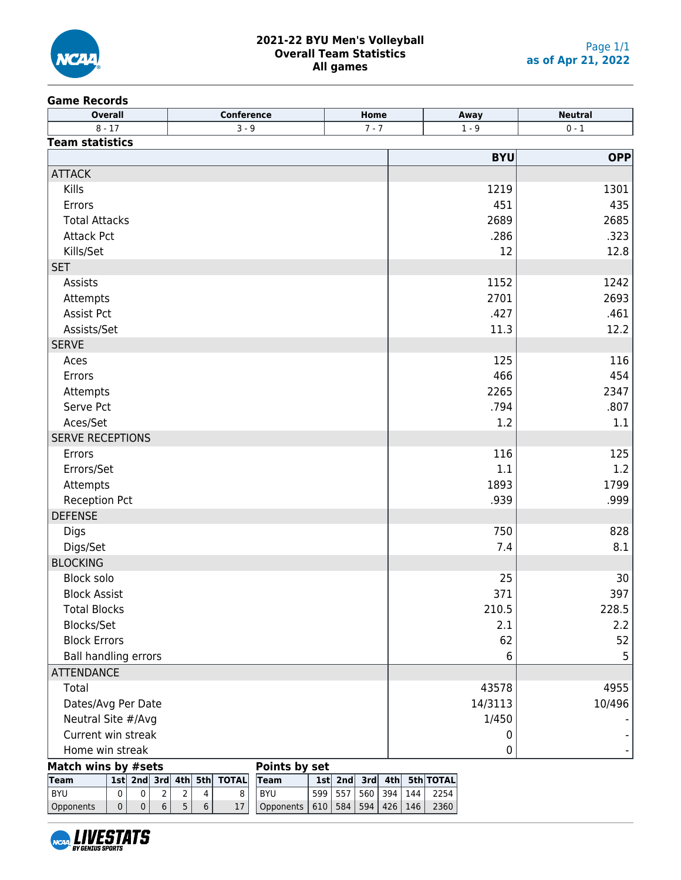

#### **2021-22 BYU Men's Volleyball Overall Team Statistics All games**

#### **Game Records**

| <b>Overall</b>              | Conference                                                            | Home    | Away       | <b>Neutral</b> |
|-----------------------------|-----------------------------------------------------------------------|---------|------------|----------------|
| $8 - 17$                    | $3 - 9$                                                               | $7 - 7$ | $1 - 9$    | $0 - 1$        |
| <b>Team statistics</b>      |                                                                       |         |            |                |
|                             |                                                                       |         | <b>BYU</b> | OPP            |
| <b>ATTACK</b>               |                                                                       |         |            |                |
| Kills                       |                                                                       |         | 1219       | 1301           |
| Errors                      |                                                                       |         | 451        | 435            |
| <b>Total Attacks</b>        |                                                                       |         | 2689       | 2685           |
| <b>Attack Pct</b>           |                                                                       |         | .286       | .323           |
| Kills/Set                   |                                                                       |         | 12         | 12.8           |
| <b>SET</b>                  |                                                                       |         |            |                |
| Assists                     |                                                                       |         | 1152       | 1242           |
| Attempts                    |                                                                       |         | 2701       | 2693           |
| Assist Pct                  |                                                                       |         | .427       | .461           |
| Assists/Set                 |                                                                       |         | 11.3       | 12.2           |
| <b>SERVE</b>                |                                                                       |         |            |                |
| Aces                        |                                                                       |         | 125        | 116            |
| Errors                      |                                                                       |         | 466        | 454            |
| Attempts                    |                                                                       |         | 2265       | 2347           |
| Serve Pct                   |                                                                       |         | .794       | .807           |
| Aces/Set                    |                                                                       |         | 1.2        | 1.1            |
| <b>SERVE RECEPTIONS</b>     |                                                                       |         |            |                |
| Errors                      |                                                                       |         | 116        | 125            |
| Errors/Set                  |                                                                       |         | 1.1        | 1.2            |
| Attempts                    |                                                                       |         | 1893       | 1799           |
| <b>Reception Pct</b>        |                                                                       |         | .939       | .999           |
| <b>DEFENSE</b>              |                                                                       |         |            |                |
| Digs                        |                                                                       |         | 750        | 828            |
| Digs/Set                    |                                                                       |         | 7.4        | 8.1            |
| <b>BLOCKING</b>             |                                                                       |         |            |                |
| Block solo                  |                                                                       |         | 25         | 30             |
| <b>Block Assist</b>         |                                                                       |         | 371        | 397            |
| <b>Total Blocks</b>         |                                                                       |         | 210.5      | 228.5          |
| Blocks/Set                  |                                                                       |         | 2.1        | 2.2            |
| <b>Block Errors</b>         |                                                                       |         | 62         | 52             |
| <b>Ball handling errors</b> |                                                                       |         | 6          | 5              |
| <b>ATTENDANCE</b>           |                                                                       |         |            |                |
| Total                       |                                                                       |         | 43578      | 4955           |
| Dates/Avg Per Date          |                                                                       |         | 14/3113    | 10/496         |
| Neutral Site #/Avg          |                                                                       |         | 1/450      |                |
| Current win streak          |                                                                       |         | 0          |                |
| Home win streak             |                                                                       |         | 0          |                |
| Match wins by #sets         | Points by set                                                         |         |            |                |
| Team                        | 1st  2nd  3rd  4th  5th  TOTAL  Team   1st  2nd  3rd  4th  5th  TOTAL |         |            |                |

| <b>Team</b> |  |  | 1st 2nd 3rd 4th 5th TOTAL Team |                                             |  |  | 1st 2nd 3rd 4th 5th TOTAL          |
|-------------|--|--|--------------------------------|---------------------------------------------|--|--|------------------------------------|
| BYU         |  |  |                                | <b>BYU</b>                                  |  |  | 599   557   560   394   144   2254 |
| Opponents   |  |  |                                | Opponents   610   584   594   426   146   1 |  |  | 2360                               |

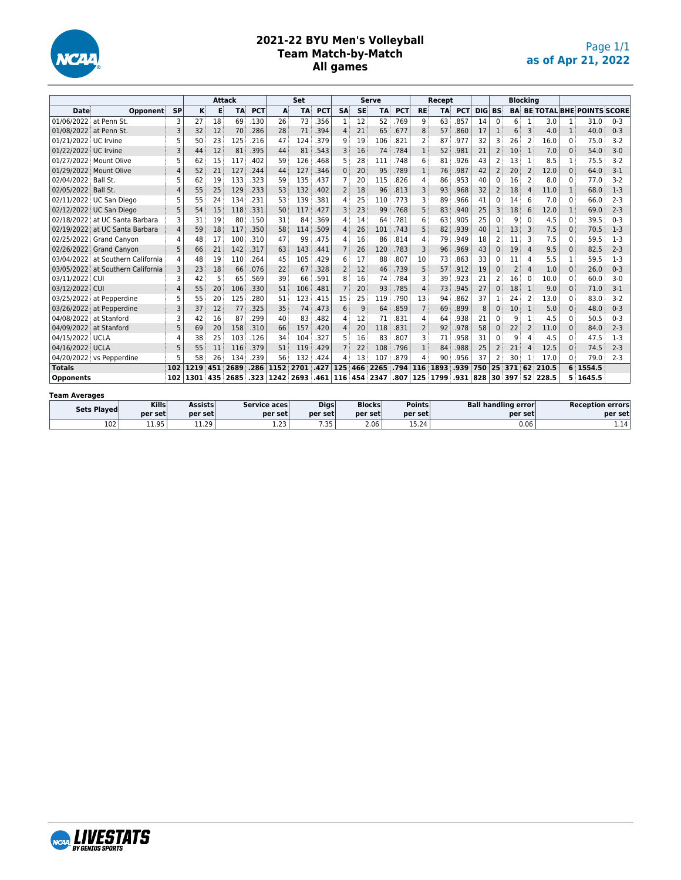

#### **2021-22 BYU Men's Volleyball Team Match-by-Match All games**

|                        |                                   |                |      |     | <b>Attack</b> |            |           | Set  |            |                |           | Serve |            |                | Recept    |            |               |                |                | <b>Blocking</b> |          |              |                                  |         |
|------------------------|-----------------------------------|----------------|------|-----|---------------|------------|-----------|------|------------|----------------|-----------|-------|------------|----------------|-----------|------------|---------------|----------------|----------------|-----------------|----------|--------------|----------------------------------|---------|
| <b>Date</b>            | Opponent                          | <b>SP</b>      | K    | E   | <b>TA</b>     | <b>PCT</b> | A         | TA   | <b>PCT</b> | <b>SA</b>      | <b>SE</b> | TA    | <b>PCT</b> | <b>RE</b>      | <b>TA</b> | <b>PCT</b> | <b>DIG BS</b> |                | BA             |                 |          |              | <b>BE TOTAL BHE POINTS SCORE</b> |         |
| 01/06/2022 at Penn St. |                                   | 3              | 27   | 18  | 69            | .130       | 26        | 73   | .356       | 1 <sup>3</sup> | 12        | 52    | .769       | 9              | 63        | 857        | 14            | $\Omega$       | 6              | 1               | 3.0      | 1            | 31.0                             | $0 - 3$ |
| 01/08/2022 at Penn St. |                                   | 3              | 32   | 12  | 70            | .286       | 28        | 71   | .394       | $\overline{4}$ | 21        | 65    | .677       | 8              | 57        | .860       | 17            | 1              | 6              | 3               | 4.0      | $\mathbf{1}$ | 40.0                             | $0 - 3$ |
| 01/21/2022 UC Irvine   |                                   | 5              | 50   | 23  | 125           | .216       | 47        | 124  | 379        | 9              | 19        | 106   | .821       | 2              | 87        | 977        | 32            |                | 26             |                 | 16.0     | $\Omega$     | 75.0                             | $3-2$   |
| 01/22/2022 UC Irvine   |                                   | 3              | 44   | 12  | 81            | .395       | 44        | 81   | .543       | 3              | 16        | 74    | .784       | $\mathbf{1}$   | 52        | .981       | 21            | $\overline{2}$ | 10             | $\mathbf{1}$    | 7.0      | $\Omega$     | 54.0                             | $3 - 0$ |
|                        | 01/27/2022 Mount Olive            | 5              | 62   | 15  | 117           | .402       | 59        | 126  | .468       | 5              | 28        | 111   | .748       | 6              | 81        | 926        | 43            |                | 13             |                 | 8.5      | 1            | 75.5                             | $3-2$   |
|                        | 01/29/2022 Mount Olive            | 4              | 52   | 21  | 127           | .244       | 44        | 127  | .346       | $\Omega$       | 20        | 95    | .789       | $\mathbf{1}$   | 76        | .987       | 42            | $\overline{2}$ | 20             | 2               | 12.0     | $\Omega$     | 64.0                             | $3-1$   |
| 02/04/2022 Ball St.    |                                   | 5              | 62   | 19  | 133           | .323       | 59        | 135  | .437       |                | 20        | 115   | .826       | 4              | 86        | 953        | 40            | $\Omega$       | 16             | $\overline{2}$  | 8.0      | $\Omega$     | 77.0                             | $3-2$   |
| 02/05/2022 Ball St.    |                                   | 4              | 55   | 25  | 129           | .233       | 53        | 132  | .402       | 2              | 18        | 96    | .813       | 3              | 93        | .968       | 32            | $\overline{2}$ | 18             |                 | 11.0     | 1            | 68.0                             | $1-3$   |
|                        | 02/11/2022 UC San Diego           | 5              | 55   | 24  | 134           | .231       | 53        | 139  | .381       | 4              | 25        | 110   | .773       | 3              | 89        | .966       | 41            | $\Omega$       | 14             | 6               | 7.0      | $\Omega$     | 66.0                             | $2 - 3$ |
|                        | 02/12/2022 UC San Diego           | 5              | 54   | 15  | 118           | .331       | 50        | 117  | .427       | 3              | 23        | 99    | .768       | 5              | 83        | .940       | 25            |                | 18             |                 | 12.0     | 1            | 69.0                             | $2 - 3$ |
|                        | 02/18/2022 at UC Santa Barbara    | 3              | 31   | 19  | 80            | .150       | 31        | 84   | 369        | 4              | 14        | 64    | .781       | 6              | 63        | 905        | 25            | $\Omega$       | 9              |                 | 4.5      | $\Omega$     | 39.5                             | $0 - 3$ |
|                        | 02/19/2022 at UC Santa Barbara    | $\overline{4}$ | 59   | 18  | 117           | .350       | 58        | 114  | .509       | 4              | 26        | 101   | .743       | 5              | 82        | .939       | 40            | $\mathbf{1}$   | 13             | 3               | 7.5      | $\Omega$     | 70.5                             | $1-3$   |
|                        | 02/25/2022 Grand Canvon           | 4              | 48   | 17  | 100           | .310       | 47        | 99   | 475        | 4              | 16        | 86    | .814       | 4              | 79        | 949        | 18            |                |                | 3               | 7.5      | $\Omega$     | 59.5                             | $1-3$   |
|                        | 02/26/2022 Grand Canyon           | 5              | 66   | 21  | 142           | .317       | 63        | 143  | .441       | 7 <sup>1</sup> | 26        | 120   | .783       | 3              | 96        | .969       | 43            | $\Omega$       | 19             |                 | 9.5      | $\Omega$     | 82.5                             | $2 - 3$ |
|                        | 03/04/2022 at Southern California | 4              | 48   | 19  | 110           | .264       | 45        | 105  | .429       | 6              | 17        | 88    | .807       | 10             | 73        | 863        | 33            | $\Omega$       |                |                 | 5.5      | 1            | 59.5                             | $1-3$   |
|                        | 03/05/2022 at Southern California | 3              | 23   | 18  | 66            | .076       | 22        | 67   | .328       | $\overline{2}$ | 12        | 46    | .739       | 5              | 57        | .912       | 19            | $\Omega$       | $\overline{2}$ |                 | 1.0      | $\Omega$     | 26.0                             | $0 - 3$ |
| 03/11/2022 CUI         |                                   | 3              | 42   | 5   | 65            | 569        | 39        | 66   | 591        | 8              | 16        | 74    | .784       | 3              | 39        | 923        | 21            | 2              | L6             | $\Omega$        | 10.0     | $\Omega$     | 60.0                             | $3-0$   |
| 03/12/2022 CUI         |                                   | 4              | 55   | 20  | 106           | .330       | 51        | 106  | .481       | $\overline{7}$ | 20        | 93    | .785       | 4              | 73        | .945       | 27            | $\Omega$       | 18             |                 | 9.0      | $\Omega$     | 71.0                             | $3-1$   |
|                        | 03/25/2022 at Pepperdine          | 5              | 55   | 20  | 125           | .280       | 51        | 123  | .415       | 15             | 25        | 119   | .790       | 13             | 94        | 862        | 37            |                | 24             |                 | 13.0     | $\Omega$     | 83.0                             | $3-2$   |
|                        | 03/26/2022 at Pepperdine          | 3              | 37   | 12  | 77            | .325       | 35        | 74   | .473       | 6              | 9         | 64    | .859       | 7              | 69        | .899       | 8             | 0              | 10             | $\mathbf{1}$    | 5.0      | $\Omega$     | 48.0                             | $0 - 3$ |
| 04/08/2022 at Stanford |                                   | ٦              | 42   | 16  | 87            | .299       | 40        | 83   | .482       | 4              | 12        | 71    | .831       | 4              | 64        | 938        | 21            | $\Omega$       | q              |                 | 4.5      | $\Omega$     | 50.5                             | $0 - 3$ |
| 04/09/2022 at Stanford |                                   | 5              | 69   | 20  | 158           | .310       | 66        | 157  | .420       | 4              | 20        | 118   | .831       | $\overline{2}$ | 92        | .978       | 58            | $\Omega$       | 22             | 2               | 11.0     | $\Omega$     | 84.0                             | $2 - 3$ |
| 04/15/2022 UCLA        |                                   | Δ              | 38   | 25  | 103           | .126       | 34        | 104  | .327       | 5              | 16        | 83    | .807       | 3              | 71        | 958        | 31            | $\Omega$       | 9              |                 | 4.5      | $\Omega$     | 47.5                             | $1-3$   |
| 04/16/2022 UCLA        |                                   | 5              | 55   | 11  | 116           | .379       | 51        | 119  | .429       | 7 <sup>1</sup> | 22        | 108   | .796       | $\mathbf{1}$   | 84        | .988       | 25            | 2              | 21             |                 | 12.5     | $\Omega$     | 74.5                             | $2 - 3$ |
|                        | 04/20/2022 vs Pepperdine          |                | 58   | 26  | 134           | .239       | 56        | 132  | .424       | 4              | 13        | 107   | .879       | 4              | 90        | .956       | 37            |                | 30             |                 | 17.0     | $\Omega$     | 79.0                             | $2 - 3$ |
| <b>Totals</b>          |                                   | 102            | 1219 |     | 451 2689      | .286       | 1152 2701 |      | .427       | 125            | 466       | 2265  | .794       | 116            | 1893      | .939       | 750           |                | 25 371         |                 | 62 210.5 |              | 6 1554.5                         |         |
| <b>Opponents</b>       |                                   | 102            | 1301 | 435 | 2685          | .323       | 1242      | 2693 | .461       | 116            | 454       | 2347  | .807       | 125            | 1799      | .931       | 828           |                | 30 397         |                 | 52 228.5 | 5.           | 1645.5                           |         |
| <b>Team Averages</b>   |                                   |                |      |     |               |            |           |      |            |                |           |       |            |                |           |            |               |                |                |                 |          |              |                                  |         |

| .           |              |         |                     |             |               |               |                            |                         |
|-------------|--------------|---------|---------------------|-------------|---------------|---------------|----------------------------|-------------------------|
| Sets Played | <b>Kills</b> | Assists | Service aces        | <b>Digs</b> | <b>Blocks</b> | <b>Points</b> | <b>Ball handling error</b> | <b>Reception errors</b> |
|             | per setl     | per set | per setl            | per set     | per set       | per setl      | per set                    | per set                 |
| 102         | 11.95        | 11.29   | ່າາ.<br><b>1.45</b> | 7.35        | 2.06          | 15.24         | 0.06                       | 1.14                    |

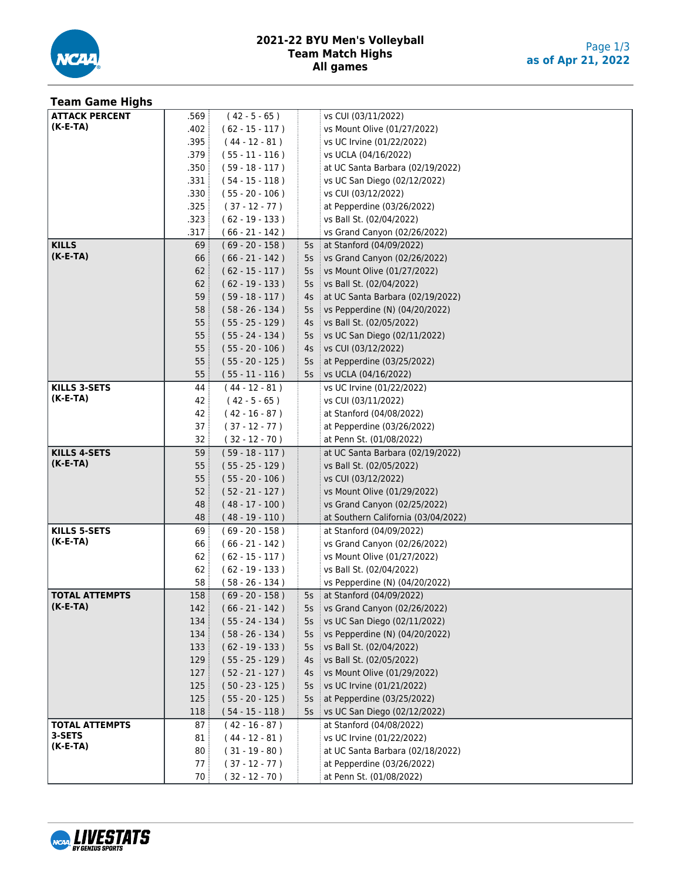

#### **2021-22 BYU Men's Volleyball Team Match Highs All games**

| <b>Team Game Highs</b> |        |                   |        |                                       |
|------------------------|--------|-------------------|--------|---------------------------------------|
| <b>ATTACK PERCENT</b>  | ِ 569. | $(42 - 5 - 65)$   |        | vs CUI (03/11/2022)                   |
| (K-E-TA)               | .402   | $(62 - 15 - 117)$ |        | vs Mount Olive (01/27/2022)           |
|                        | .395   | $(44 - 12 - 81)$  |        | vs UC Irvine (01/22/2022)             |
|                        | .379   | $(55 - 11 - 116)$ |        | vs UCLA (04/16/2022)                  |
|                        | .350   | $(59 - 18 - 117)$ |        | at UC Santa Barbara (02/19/2022)      |
|                        | .331   | $(54 - 15 - 118)$ |        | vs UC San Diego (02/12/2022)          |
|                        | .330   | $(55 - 20 - 106)$ |        | vs CUI (03/12/2022)                   |
|                        | .325   | $(37 - 12 - 77)$  |        | at Pepperdine (03/26/2022)            |
|                        | .323   | $(62 - 19 - 133)$ |        | vs Ball St. (02/04/2022)              |
|                        | .317   | $(66 - 21 - 142)$ |        | vs Grand Canyon (02/26/2022)          |
| <b>KILLS</b>           | 69     | $(69 - 20 - 158)$ |        | 5s $\pm$ at Stanford (04/09/2022)     |
| $(K-E-TA)$             | 66     | $(66 - 21 - 142)$ |        | 5s vs Grand Canyon (02/26/2022)       |
|                        | 62     | $(62 - 15 - 117)$ | $5s$ : | vs Mount Olive (01/27/2022)           |
|                        | 62     | $(62 - 19 - 133)$ | 5s     | vs Ball St. (02/04/2022)              |
|                        | 59     | $(59 - 18 - 117)$ | 4s     | at UC Santa Barbara (02/19/2022)<br>÷ |
|                        | 58     | $(58 - 26 - 134)$ | 5s     | vs Pepperdine (N) (04/20/2022)        |
|                        | 55:    | $(55 - 25 - 129)$ |        | 4s   vs Ball St. (02/05/2022)         |
|                        | 55     | $(55 - 24 - 134)$ |        | 5s vs UC San Diego (02/11/2022)       |
|                        | 55     | $(55 - 20 - 106)$ |        | 4s   vs CUI (03/12/2022)              |
|                        | 55     | $(55 - 20 - 125)$ | $5s$ : | at Pepperdine (03/25/2022)            |
|                        | 55:    | $(55 - 11 - 116)$ |        | 5s   vs UCLA (04/16/2022)             |
| <b>KILLS 3-SETS</b>    | 44     | $(44 - 12 - 81)$  |        | vs UC Irvine (01/22/2022)             |
| $(K-E-TA)$             | 42     | $(42 - 5 - 65)$   |        | vs CUI (03/11/2022)                   |
|                        | 42     | $(42 - 16 - 87)$  |        | at Stanford (04/08/2022)              |
|                        | 37     | $(37 - 12 - 77)$  |        | at Pepperdine (03/26/2022)            |
|                        | 32     | $(32 - 12 - 70)$  |        | at Penn St. (01/08/2022)              |
| <b>KILLS 4-SETS</b>    | 59:    | $(59 - 18 - 117)$ |        | at UC Santa Barbara (02/19/2022)      |
| (K-E-TA)               | 55     | $(55 - 25 - 129)$ |        | vs Ball St. (02/05/2022)              |
|                        | 55     | $(55 - 20 - 106)$ |        | vs CUI (03/12/2022)                   |
|                        | 52     | $(52 - 21 - 127)$ |        | vs Mount Olive (01/29/2022)           |
|                        | 48     | $(48 - 17 - 100)$ |        | vs Grand Canyon (02/25/2022)          |
|                        | 48     | $(48 - 19 - 110)$ |        | at Southern California (03/04/2022)   |
| <b>KILLS 5-SETS</b>    | 69     | $(69 - 20 - 158)$ |        | at Stanford (04/09/2022)              |
| (K-E-TA)               | 66     | $(66 - 21 - 142)$ |        | vs Grand Canyon (02/26/2022)          |
|                        | 62     | $(62 - 15 - 117)$ |        | vs Mount Olive (01/27/2022)           |
|                        | 62     | $(62 - 19 - 133)$ |        | vs Ball St. (02/04/2022)              |
|                        | 58     | $(58 - 26 - 134)$ |        | vs Pepperdine (N) (04/20/2022)        |
| <b>TOTAL ATTEMPTS</b>  | 158    | $(69 - 20 - 158)$ |        | 5s   at Stanford (04/09/2022)         |
| $(K-E-TA)$             | 142    | $(66 - 21 - 142)$ |        | 5s vs Grand Canyon (02/26/2022)       |
|                        | 134    | $(55 - 24 - 134)$ | 5s     | vs UC San Diego (02/11/2022)          |
|                        | 134    | $(58 - 26 - 134)$ | 5s     | vs Pepperdine (N) (04/20/2022)        |
|                        | 133    | $(62 - 19 - 133)$ | 5s     | vs Ball St. (02/04/2022)              |
|                        | 129    | $(55 - 25 - 129)$ | 4s     | vs Ball St. (02/05/2022)              |
|                        | 127    | $(52 - 21 - 127)$ | 4s     | vs Mount Olive (01/29/2022)           |
|                        | 125    | $(50 - 23 - 125)$ | 5s     | vs UC Irvine (01/21/2022)             |
|                        | 125    | $(55 - 20 - 125)$ | 5s     | at Pepperdine (03/25/2022)            |
|                        | 118    | $(54 - 15 - 118)$ |        | 5s   vs UC San Diego (02/12/2022)     |
| <b>TOTAL ATTEMPTS</b>  | 87 :   | $(42 - 16 - 87)$  |        | at Stanford (04/08/2022)              |
| 3-SETS<br>(K-E-TA)     | 81     | $(44 - 12 - 81)$  |        | vs UC Irvine (01/22/2022)             |
|                        | 80     | $(31 - 19 - 80)$  |        | at UC Santa Barbara (02/18/2022)      |
|                        | 77     | $(37 - 12 - 77)$  |        | at Pepperdine (03/26/2022)            |
|                        | 70     | $(32 - 12 - 70)$  |        | at Penn St. (01/08/2022)              |

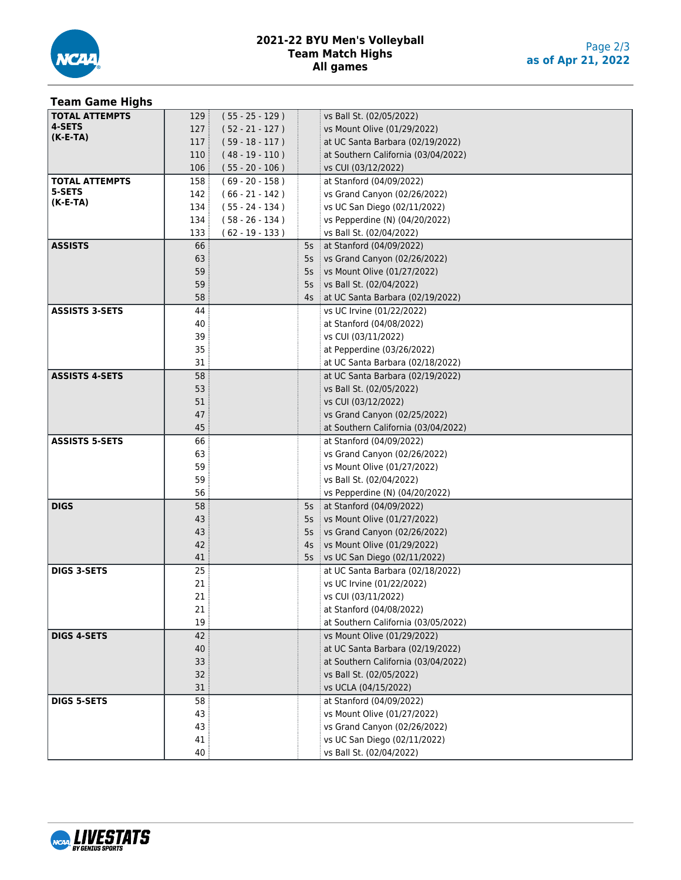

#### **2021-22 BYU Men's Volleyball Team Match Highs All games**

#### **Team Game Highs TOTAL ATTEMPTS 4-SETS (K-E-TA)** ( 55 - 25 - 129 ) vs Ball St. (02/05/2022) 127 (52 - 21 - 127 ) vs Mount Olive (01/29/2022) ( 59 - 18 - 117 ) at UC Santa Barbara (02/19/2022) ( 48 - 19 - 110 ) at Southern California (03/04/2022) ( 55 - 20 - 106 ) vs CUI (03/12/2022) **TOTAL ATTEMPTS 5-SETS (K-E-TA)** ( 69 - 20 - 158 ) at Stanford (04/09/2022) ( 66 - 21 - 142 ) vs Grand Canyon (02/26/2022) ( 55 - 24 - 134 ) vs UC San Diego (02/11/2022) ( 58 - 26 - 134 ) vs Pepperdine (N) (04/20/2022) 133 ( 62 - 19 - 133 ) vs Ball St. (02/04/2022) **ASSISTS** 66 5s at Stanford (04/09/2022) 5s vs Grand Canyon (02/26/2022) 5s vs Mount Olive (01/27/2022) 5s vs Ball St. (02/04/2022) 4s at UC Santa Barbara (02/19/2022) **ASSISTS 3-SETS** 44 4 Vs UC Irvine (01/22/2022) at Stanford (04/08/2022) vs CUI (03/11/2022) at Pepperdine (03/26/2022) at UC Santa Barbara (02/18/2022) **ASSISTS 4-SETS** 58 58 at UC Santa Barbara (02/19/2022) vs Ball St. (02/05/2022) vs CUI (03/12/2022) vs Grand Canyon (02/25/2022) at Southern California (03/04/2022) **ASSISTS 5-SETS** 66 at Stanford (04/09/2022) vs Grand Canyon (02/26/2022) vs Mount Olive (01/27/2022) vs Ball St. (02/04/2022) vs Pepperdine (N) (04/20/2022) **DIGS** 58 58 5s at Stanford (04/09/2022) 5s vs Mount Olive (01/27/2022) 5s vs Grand Canyon (02/26/2022) 4s vs Mount Olive (01/29/2022) 5s vs UC San Diego (02/11/2022) **DIGS 3-SETS** 25 25 at UC Santa Barbara (02/18/2022) vs UC Irvine (01/22/2022) vs CUI (03/11/2022) 21 at Stanford (04/08/2022) at Southern California (03/05/2022) **DIGS 4-SETS** 42 vs Mount Olive (01/29/2022) at UC Santa Barbara (02/19/2022) at Southern California (03/04/2022) vs Ball St. (02/05/2022) vs UCLA (04/15/2022) **DIGS 5-SETS 1** 58 **at Stanford (04/09/2022)**  vs Mount Olive (01/27/2022) vs Grand Canyon (02/26/2022) vs UC San Diego (02/11/2022) vs Ball St. (02/04/2022)

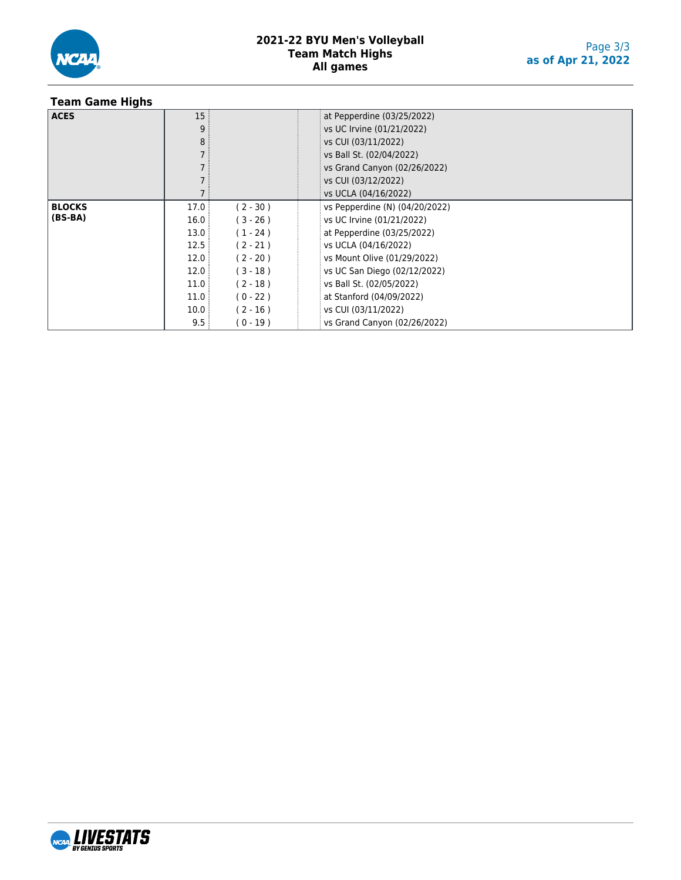

## **Team Game Highs**

| <b>ACES</b>   | 15:  |            | at Pepperdine (03/25/2022)     |
|---------------|------|------------|--------------------------------|
|               | 9    |            | vs UC Irvine (01/21/2022)      |
|               | 8    |            | vs CUI (03/11/2022)            |
|               |      |            | vs Ball St. (02/04/2022)       |
|               |      |            | vs Grand Canyon (02/26/2022)   |
|               |      |            | vs CUI (03/12/2022)            |
|               |      |            | vs UCLA (04/16/2022)           |
| <b>BLOCKS</b> | 17.0 | $(2 - 30)$ | vs Pepperdine (N) (04/20/2022) |
| $(BS-BA)$     | 16.0 | $(3 - 26)$ | vs UC Irvine (01/21/2022)      |
|               | 13.0 | $(1 - 24)$ | at Pepperdine (03/25/2022)     |
|               | 12.5 | $(2 - 21)$ | vs UCLA (04/16/2022)           |
|               | 12.0 | $(2 - 20)$ | vs Mount Olive (01/29/2022)    |
|               | 12.0 | $(3 - 18)$ | vs UC San Diego (02/12/2022)   |
|               | 11.0 | $(2 - 18)$ | vs Ball St. (02/05/2022)       |
|               | 11.0 | $(0 - 22)$ | at Stanford (04/09/2022)       |
|               | 10.0 | $(2 - 16)$ | vs CUI (03/11/2022)            |
|               | 9.5  | $(0 - 19)$ | vs Grand Canyon (02/26/2022)   |

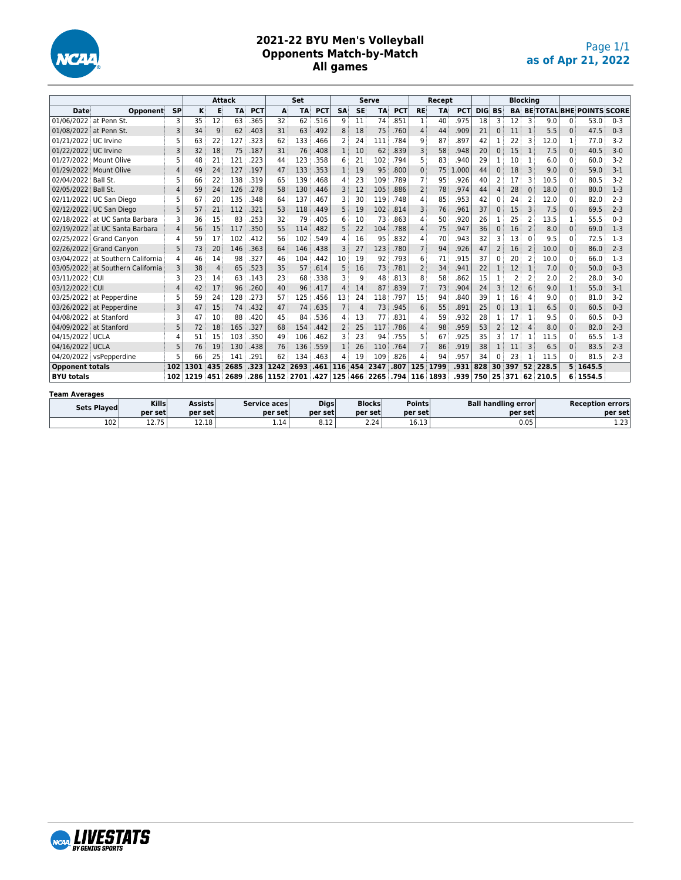

## **2021-22 BYU Men's Volleyball Opponents Match-by-Match All games**

|                        |                                   |                |      |                | <b>Attack</b> |            |      | Set       |            |                |                | <b>Serve</b> |            |                | Recept    |            |     |                |                         | <b>Blocking</b> |       |              |                                     |         |
|------------------------|-----------------------------------|----------------|------|----------------|---------------|------------|------|-----------|------------|----------------|----------------|--------------|------------|----------------|-----------|------------|-----|----------------|-------------------------|-----------------|-------|--------------|-------------------------------------|---------|
| Date                   | Opponent                          | <b>SP</b>      | K    | Е              | <b>TA</b>     | <b>PCT</b> | A    | <b>TA</b> | <b>PCT</b> | <b>SA</b>      | <b>SE</b>      | <b>TA</b>    | <b>PCT</b> | <b>RE</b>      | <b>TA</b> | <b>PCT</b> |     | <b>DIG BS</b>  |                         |                 |       |              | <b>BA BE TOTAL BHE POINTS SCORE</b> |         |
| 01/06/2022 at Penn St. |                                   | 3              | 35   | 12             | 63            | .365       | 32   | 62        | 516        | 9              | 11             | 74           | .851       | 1              | 40        | .975       | 18  | 3              | 12                      | 3               | 9.0   | 0            | 53.0                                | $0 - 3$ |
| 01/08/2022 at Penn St. |                                   | 3              | 34   | 9              | 62            | .403       | 31   | 63        | .492       | 8              | 18             | 75           | .760       | 4              | 44        | .909       | 21  | $\Omega$       | 11                      | $\mathbf{1}$    | 5.5   | $\Omega$     | 47.5                                | $0 - 3$ |
| 01/21/2022 UC Irvine   |                                   | 5              | 63   | 22             | 127           | .323       | 62   | 133       | .466       | 2              | 24             | 111          | .784       | q              | 87        | .897       | 42  |                | 22                      | З               | 12.0  | 1            | 77.0                                | $3-2$   |
| 01/22/2022 UC Irvine   |                                   | 3              | 32   | 18             | 75            | .187       | 31   | 76        | .408       | $\mathbf{1}$   | 10             | 62           | .839       | 3              | 58        | .948       | 20  | $\mathbf{0}$   | 15                      | 1               | 7.5   | $\mathbf{0}$ | 40.5                                | $3 - 0$ |
|                        | 01/27/2022 Mount Olive            | 5              | 48   | 21             | 121           | .223       | 44   | 123       | .358       | 6              | 21             | 102          | .794       | 5              | 83        | .940       | 29  | 1              | 10                      |                 | 6.0   | $\Omega$     | 60.0                                | $3-2$   |
|                        | 01/29/2022 Mount Olive            | 4              | 49   | 24             | 127           | .197       | 47   | 133       | .353       | $\mathbf{1}$   | 19             | 95           | .800       | $\Omega$       | 75        | .000<br>1  | 44  | $\mathbf{0}$   | 18                      | 3               | 9.0   | $\Omega$     | 59.0                                | $3-1$   |
| 02/04/2022 Ball St.    |                                   | 5              | 66   | 22             | 138           | .319       | 65   | 139       | .468       | 4              | 23             | 109          | .789       | 7              | 95        | .926       | 40  | 2              | 17                      | ς               | 10.5  | $\Omega$     | 80.5                                | $3-2$   |
| 02/05/2022 Ball St.    |                                   | 4              | 59   | 24             | 126           | .278       | 58   | 130       | .446       | 3              | 12             | 105          | .886       | 2              | 78        | .974       | 44  | 4              | 28                      | $\Omega$        | 18.0  | 0            | 80.0                                | $1 - 3$ |
|                        | 02/11/2022 UC San Diego           | 5              | 67   | 20             | 135           | .348       | 64   | 137       | 467        | 3              | 30             | 119          | 748        | 4              | 85        | .953       | 42  | $\Omega$       | 24                      |                 | 12.0  | $\Omega$     | 82.0                                | $2 - 3$ |
|                        | 02/12/2022 UC San Diego           | 5              | 57   | 21             | 112           | .321       | 53   | 118       | .449       | 5              | 19             | 102          | .814       | 3              | 76        | .961       | 37  | $\mathbf{0}$   | 15                      | 3               | 7.5   | $\Omega$     | 69.5                                | $2 - 3$ |
|                        | 02/18/2022 at UC Santa Barbara    | 3              | 36   | 15             | 83            | .253       | 32   | 79        | .405       | 6              | 10             | 73           | .863       | 4              | 50        | .920       | 26  |                | 25                      | 2               | 13.5  | 1            | 55.5                                | $0 - 3$ |
|                        | 02/19/2022 at UC Santa Barbara    | $\overline{4}$ | 56   | 15             | 117           | .350       | 55   | 114       | .482       | 5              | 22             | 104          | .788       | 4              | 75        | .947       | 36  | $\Omega$       | 16                      | 2               | 8.0   | $\Omega$     | 69.0                                | $1-3$   |
|                        | 02/25/2022 Grand Canvon           | 4              | 59   | 17             | 102           | .412       | 56   | 102       | .549       | 4              | 16             | 95           | .832       | 4              | 70        | .943       | 32  | 3              | 13                      | $\Omega$        | 9.5   | $\Omega$     | 72.5                                | $1-3$   |
|                        | 02/26/2022 Grand Canyon           | 5              | 73   | 20             | 146           | .363       | 64   | 146       | .438       | 3              | 27             | 123          | .780       | $\overline{7}$ | 94        | .926       | 47  | 2              | 16                      | 2               | 10.0  | $\Omega$     | 86.0                                | $2 - 3$ |
|                        | 03/04/2022 at Southern California | 4              | 46   | 14             | 98            | .327       | 46   | 104       | .442       | 10             | 19             | 92           | .793       | 6              | 71        | .915       | 37  | $\Omega$       | 20                      | $\overline{2}$  | 10.0  | $\Omega$     | 66.0                                | $1-3$   |
|                        | 03/05/2022 at Southern California |                | 38   | $\overline{4}$ | 65            | .523       | 35   | 57        | .614       | 5              | 16             | 73           | .781       | $\overline{2}$ | 34        | 941        | 22  |                | 12                      | 1               | 7.0   | $\Omega$     | 50.0                                | $0 - 3$ |
| 03/11/2022 CUI         |                                   | 3              | 23   | 14             | 63            | .143       | 23   | 68        | .338       | 3              | 9              | 48           | .813       | 8              | 58        | .862       | 15  |                | $\overline{\mathbf{c}}$ | 2               | 2.0   | 2            | 28.0                                | $3-0$   |
| 03/12/2022 CUI         |                                   | 4              | 42   | 17             | 96            | .260       | 40   | 96        | .417       | 4              | 14             | 87           | .839       | $\overline{7}$ | 73        | .904       | 24  | 3              | 12                      | 6               | 9.0   | $\mathbf{1}$ | 55.0                                | $3 - 1$ |
|                        | 03/25/2022 at Pepperdine          |                | 59   | 24             | 128           | .273       | 57   | 125       | .456       | 13             | 24             | 118          | .797       | 15             | 94        | 840        | 39  |                | 16                      | 4               | 9.0   | $\Omega$     | 81.0                                | $3-2$   |
|                        | 03/26/2022 at Pepperdine          | 3              | 47   | 15             | 74            | .432       | 47   | 74        | .635       | $\overline{7}$ | $\overline{4}$ | 73           | .945       | 6              | 55        | .891       | 25  | $\Omega$       | 13                      | 1               | 6.5   | $\mathbf{0}$ | 60.5                                | $0 - 3$ |
|                        | 04/08/2022 at Stanford            | ٦              | 47   | 10             | 88            | .420       | 45   | 84        | .536       | 4              | 13             | 77           | .831       | 4              | 59        | 932        | 28  |                | 17                      |                 | 9.5   | $\Omega$     | 60.5                                | $0 - 3$ |
|                        | 04/09/2022 at Stanford            | 5              | 72   | 18             | 165           | .327       | 68   | 154       | .442       | 2              | 25             | 117          | .786       | 4              | 98        | .959       | 53  | $\overline{2}$ | 12                      | 4               | 8.0   | $\Omega$     | 82.0                                | $2 - 3$ |
| 04/15/2022 UCLA        |                                   | Δ              | 51   | 15             | 103           | .350       | 49   | 106       | .462       | 3              | 23             | 94           | .755       | 5              | 67        | .925       | 35  | 3              | 17                      |                 | 11.5  | $\Omega$     | 65.5                                | $1-3$   |
| 04/16/2022 UCLA        |                                   | 5              | 76   | 19             | 130           | .438       | 76   | 136       | .559       | $\mathbf{1}$   | 26             | 110          | .764       | $\overline{7}$ | 86        | .919       | 38  | $\mathbf{1}$   | 11                      | 3               | 6.5   | $\Omega$     | 83.5                                | $2 - 3$ |
|                        | 04/20/2022 vsPepperdine           | 5              | 66   | 25             | 141           | .291       | 62   | 134       | .463       | 4              | 19             | 109          | .826       | 4              | 94        | 957        | 34  | $\Omega$       | 23                      |                 | 11.5  | $\Omega$     | 81.5                                | $2 - 3$ |
| <b>Opponent totals</b> |                                   | 102            | 1301 | 435            | 2685          | .323       | 1242 | 2693      | .461       | 116            | 454            | 2347         | .807       |                | 125 1799  | .931       | 828 | 30             | 397                     | 52              | 228.5 |              | 5 1645.5                            |         |
| <b>BYU totals</b>      |                                   | 102            | 1219 | 451            | 2689          | .286       | 1152 | 2701      | .427       | 125            | 466            | 2265         | .794       |                | 116 1893  | .939       | 750 | 25             | 371                     | 62              | 210.5 | 6            | 1554.5                              |         |
| <b>Team Averages</b>   |                                   |                |      |                |               |            |      |           |            |                |                |              |            |                |           |            |     |                |                         |                 |       |              |                                     |         |

| Sets Played | <b>Kills</b>       | <b>Assists</b> | Service aces | <b>Digs</b> | <b>Blocks</b> | <b>Points</b>  | <b>Ball handling error</b> | <b>Reception errors</b> |
|-------------|--------------------|----------------|--------------|-------------|---------------|----------------|----------------------------|-------------------------|
|             | per set            | per set        | per set      | per set     | per set       | per set        | per setl                   | per set                 |
| 102         | 1 7 7 5<br>12. I J | 12.18          | 1.14'        | 8.12        | 2.24          | 10.12<br>⊥∪.⊥⊃ | 0.05                       | כר ו<br>ر ے . د         |

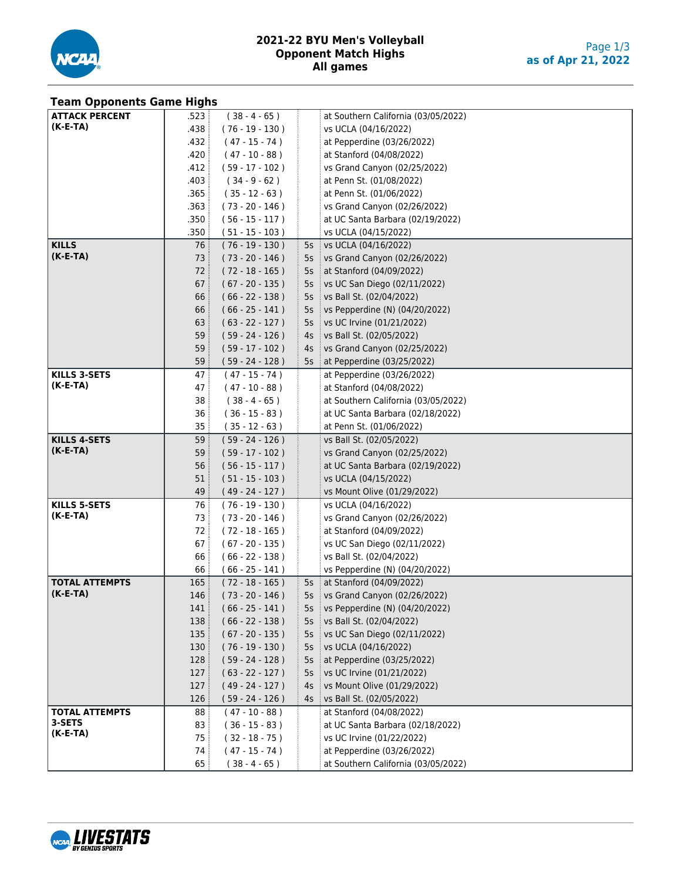

| <b>Team Opponents Game Highs</b> |                 |                   |        |                                     |
|----------------------------------|-----------------|-------------------|--------|-------------------------------------|
| <b>ATTACK PERCENT</b>            | .523:           | $(38 - 4 - 65)$   |        | at Southern California (03/05/2022) |
| $(K-E-TA)$                       | .438            | (76 - 19 - 130 )  |        | vs UCLA (04/16/2022)                |
|                                  | .432            | $(47 - 15 - 74)$  |        | at Pepperdine (03/26/2022)          |
|                                  | .420            | $(47 - 10 - 88)$  |        | at Stanford (04/08/2022)            |
|                                  | .412            | $(59 - 17 - 102)$ |        | vs Grand Canyon (02/25/2022)        |
|                                  | .403            | $(34 - 9 - 62)$   |        | at Penn St. (01/08/2022)            |
|                                  | .365            | $(35 - 12 - 63)$  |        | at Penn St. (01/06/2022)            |
|                                  | .363            | $(73 - 20 - 146)$ |        | vs Grand Canyon (02/26/2022)        |
|                                  | .350            | $(56 - 15 - 117)$ |        | at UC Santa Barbara (02/19/2022)    |
|                                  | .350            | $(51 - 15 - 103)$ |        | vs UCLA (04/15/2022)                |
| <b>KILLS</b>                     | 76              | $(76 - 19 - 130)$ |        | 5s   vs UCLA (04/16/2022)           |
| $(K-E-TA)$                       | 73              | $(73 - 20 - 146)$ | 5s     | vs Grand Canyon (02/26/2022)        |
|                                  | 72              | $(72 - 18 - 165)$ | 5s     | at Stanford (04/09/2022)            |
|                                  | 67              | $(67 - 20 - 135)$ | 5s     | vs UC San Diego (02/11/2022)        |
|                                  | 66              | $(66 - 22 - 138)$ | 5s     | vs Ball St. (02/04/2022)            |
|                                  | 66              | $(66 - 25 - 141)$ | 5s     | vs Pepperdine (N) (04/20/2022)      |
|                                  | 63              | $(63 - 22 - 127)$ |        | 5s vs UC Irvine (01/21/2022)        |
|                                  | 59:             | $(59 - 24 - 126)$ | 4s     | vs Ball St. (02/05/2022)            |
|                                  | 59              | $(59 - 17 - 102)$ | 4s     | vs Grand Canyon (02/25/2022)        |
|                                  | 59:             | $(59 - 24 - 128)$ | $5s$ : | at Pepperdine (03/25/2022)          |
| <b>KILLS 3-SETS</b>              | 47 :            | $(47 - 15 - 74)$  |        | at Pepperdine (03/26/2022)          |
| $(K-E-TA)$                       | 47 :            | $(47 - 10 - 88)$  |        | at Stanford (04/08/2022)            |
|                                  | 38              | $(38 - 4 - 65)$   |        | at Southern California (03/05/2022) |
|                                  | 36              | $(36 - 15 - 83)$  |        | at UC Santa Barbara (02/18/2022)    |
|                                  | 35:             | $(35 - 12 - 63)$  |        | at Penn St. (01/06/2022)            |
| <b>KILLS 4-SETS</b>              | 59 :            | $(59 - 24 - 126)$ |        | vs Ball St. (02/05/2022)            |
| $(K-E-TA)$                       | 59 <sup>3</sup> | $(59 - 17 - 102)$ |        | vs Grand Canyon (02/25/2022)        |
|                                  | 56              | $(56 - 15 - 117)$ |        | at UC Santa Barbara (02/19/2022)    |
|                                  | 51              | $(51 - 15 - 103)$ |        | vs UCLA (04/15/2022)                |
|                                  | 49              | $(49 - 24 - 127)$ |        | vs Mount Olive (01/29/2022)         |
| <b>KILLS 5-SETS</b>              | 76              | $(76 - 19 - 130)$ |        | vs UCLA (04/16/2022)                |
| $(K-E-TA)$                       | 73 :            | $(73 - 20 - 146)$ |        | vs Grand Canyon (02/26/2022)        |
|                                  | 72              | $(72 - 18 - 165)$ |        | at Stanford (04/09/2022)            |
|                                  | 67              | $(67 - 20 - 135)$ |        | vs UC San Diego (02/11/2022)        |
|                                  | 66              | $(66 - 22 - 138)$ |        | vs Ball St. (02/04/2022)            |
|                                  | 66 :            | $(66 - 25 - 141)$ |        | vs Pepperdine (N) (04/20/2022)      |
| <b>TOTAL ATTEMPTS</b>            | 165:            | $(72 - 18 - 165)$ |        | 5s at Stanford (04/09/2022)         |
| $(K-E-TA)$                       | 146             | $(73 - 20 - 146)$ |        | 5s vs Grand Canyon (02/26/2022)     |
|                                  | 141             | $(66 - 25 - 141)$ | 55     | vs Pepperdine (N) (04/20/2022)      |
|                                  | 138             | $(66 - 22 - 138)$ | 5s     | vs Ball St. (02/04/2022)            |
|                                  | 135             | $(67 - 20 - 135)$ | 5s     | vs UC San Diego (02/11/2022)        |
|                                  | 130             | $(76 - 19 - 130)$ | 5s     | vs UCLA (04/16/2022)                |
|                                  | 128             | $(59 - 24 - 128)$ | 5s     | at Pepperdine (03/25/2022)          |
|                                  | 127             | $(63 - 22 - 127)$ | 5s     | vs UC Irvine (01/21/2022)           |
|                                  | 127             | $(49 - 24 - 127)$ | 4s     | vs Mount Olive (01/29/2022)         |
|                                  | 126             | $(59 - 24 - 126)$ | 4s     | vs Ball St. (02/05/2022)            |
| <b>TOTAL ATTEMPTS</b><br>3-SETS  | 88              | $(47 - 10 - 88)$  |        | at Stanford (04/08/2022)            |
| $(K-E-TA)$                       | 83              | $(36 - 15 - 83)$  |        | at UC Santa Barbara (02/18/2022)    |
|                                  | 75              | $(32 - 18 - 75)$  |        | vs UC Irvine (01/22/2022)           |
|                                  | 74              | $(47 - 15 - 74)$  |        | at Pepperdine (03/26/2022)          |
|                                  | 65              | $(38 - 4 - 65)$   |        | at Southern California (03/05/2022) |

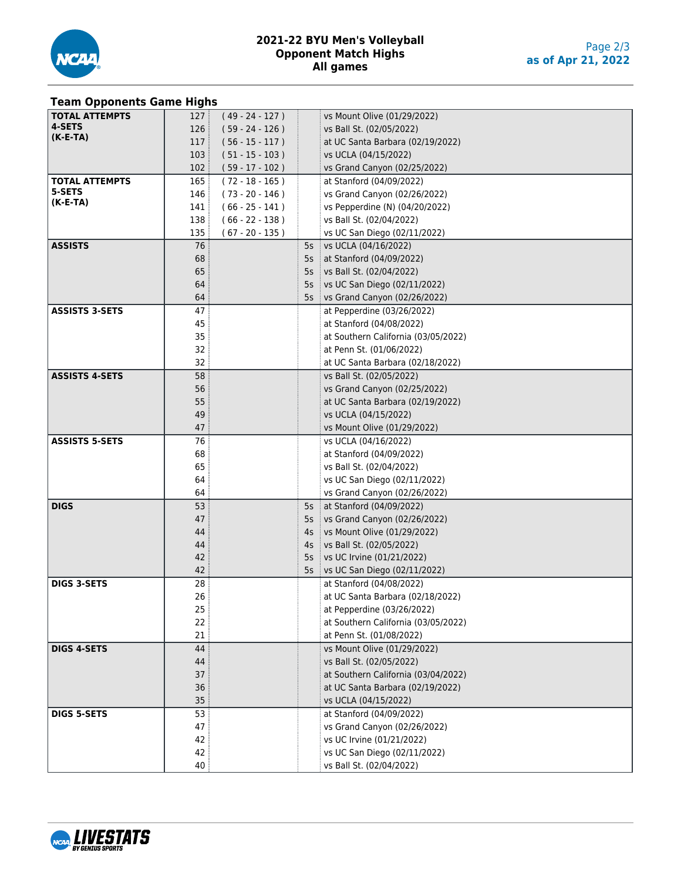

## **Team Opponents Game Highs**

| . ca opponents cac.gs                                                             |  |
|-----------------------------------------------------------------------------------|--|
| <b>TOTAL ATTEMPTS</b><br>127:<br>$(49 - 24 - 127)$<br>vs Mount Olive (01/29/2022) |  |
| 4-SETS<br>126<br>$(59 - 24 - 126)$<br>vs Ball St. (02/05/2022)                    |  |
| $(K-E-TA)$<br>117:<br>$(56 - 15 - 117)$<br>at UC Santa Barbara (02/19/2022)       |  |
| 103:<br>$(51 - 15 - 103)$<br>vs UCLA (04/15/2022)                                 |  |
| 102:                                                                              |  |
| $(59 - 17 - 102)$<br>vs Grand Canyon (02/25/2022)                                 |  |
| <b>TOTAL ATTEMPTS</b><br>165:<br>$(72 - 18 - 165)$<br>at Stanford (04/09/2022)    |  |
| 5-SETS<br>$(73 - 20 - 146)$<br>146<br>vs Grand Canyon (02/26/2022)                |  |
| $(K-E-TA)$<br>$(66 - 25 - 141)$<br>141 :<br>vs Pepperdine (N) (04/20/2022)        |  |
| 138<br>$(66 - 22 - 138)$<br>vs Ball St. (02/04/2022)                              |  |
| 135<br>$(67 - 20 - 135)$<br>vs UC San Diego (02/11/2022)                          |  |
| <b>ASSISTS</b><br>76<br>5s vs UCLA (04/16/2022)                                   |  |
| 68<br>5s at Stanford (04/09/2022)                                                 |  |
| 65<br>5s vs Ball St. (02/04/2022)                                                 |  |
| 64<br>5s vs UC San Diego (02/11/2022)                                             |  |
| 64                                                                                |  |
| 5s vs Grand Canyon (02/26/2022)                                                   |  |
| <b>ASSISTS 3-SETS</b><br>47<br>at Pepperdine (03/26/2022)                         |  |
| 45<br>at Stanford (04/08/2022)                                                    |  |
| 35<br>at Southern California (03/05/2022)                                         |  |
| 32<br>at Penn St. (01/06/2022)                                                    |  |
| 32<br>at UC Santa Barbara (02/18/2022)                                            |  |
| <b>ASSISTS 4-SETS</b><br>58<br>vs Ball St. (02/05/2022)                           |  |
| 56<br>vs Grand Canyon (02/25/2022)                                                |  |
| 55<br>at UC Santa Barbara (02/19/2022)                                            |  |
| 49<br>vs UCLA (04/15/2022)                                                        |  |
| 47<br>vs Mount Olive (01/29/2022)                                                 |  |
| <b>ASSISTS 5-SETS</b><br>76<br>vs UCLA (04/16/2022)                               |  |
| 68<br>at Stanford (04/09/2022)                                                    |  |
|                                                                                   |  |
| 65<br>vs Ball St. (02/04/2022)                                                    |  |
| 64<br>vs UC San Diego (02/11/2022)                                                |  |
| 64<br>vs Grand Canyon (02/26/2022)                                                |  |
| <b>DIGS</b><br>53<br>5s   at Stanford (04/09/2022)                                |  |
| 47<br>5s vs Grand Canyon (02/26/2022)                                             |  |
| 44<br>vs Mount Olive (01/29/2022)<br>$4s$ :                                       |  |
| 44<br>4s vs Ball St. (02/05/2022)                                                 |  |
| 42<br>5s vs UC Irvine (01/21/2022)                                                |  |
| 42<br>vs UC San Diego (02/11/2022)<br>$5s$ :                                      |  |
| 28<br><b>DIGS 3-SETS</b><br>at Stanford (04/08/2022)                              |  |
| 26<br>at UC Santa Barbara (02/18/2022)                                            |  |
| 25<br>at Pepperdine (03/26/2022)                                                  |  |
| 22<br>at Southern California (03/05/2022)                                         |  |
| 21<br>at Penn St. (01/08/2022)                                                    |  |
| <b>DIGS 4-SETS</b>                                                                |  |
| 44<br>vs Mount Olive (01/29/2022)                                                 |  |
| 44<br>vs Ball St. (02/05/2022)                                                    |  |
| 37<br>at Southern California (03/04/2022)                                         |  |
| 36<br>at UC Santa Barbara (02/19/2022)                                            |  |
| 35<br>vs UCLA (04/15/2022)                                                        |  |
| 53<br><b>DIGS 5-SETS</b><br>at Stanford (04/09/2022)                              |  |
| 47<br>vs Grand Canyon (02/26/2022)                                                |  |
|                                                                                   |  |
| 42<br>vs UC Irvine (01/21/2022)                                                   |  |
| 42<br>vs UC San Diego (02/11/2022)                                                |  |

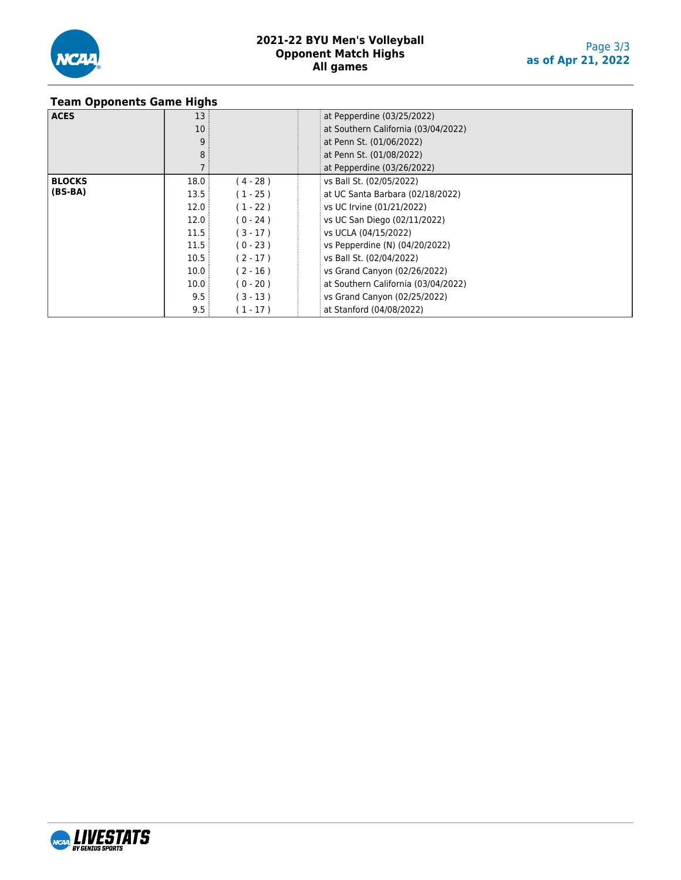

## **Team Opponents Game Highs**

|               | .               |            |                                     |
|---------------|-----------------|------------|-------------------------------------|
| <b>ACES</b>   | 13:             |            | at Pepperdine (03/25/2022)          |
|               | 10 <sup>°</sup> |            | at Southern California (03/04/2022) |
|               | 9               |            | at Penn St. (01/06/2022)            |
|               | 8               |            | at Penn St. (01/08/2022)            |
|               |                 |            | at Pepperdine (03/26/2022)          |
| <b>BLOCKS</b> | 18.0            | $(4 - 28)$ | vs Ball St. (02/05/2022)            |
| $(BS-BA)$     | 13.5            | $(1 - 25)$ | at UC Santa Barbara (02/18/2022)    |
|               | 12.0            | $(1 - 22)$ | vs UC Irvine (01/21/2022)           |
|               | 12.0            | $(0 - 24)$ | vs UC San Diego (02/11/2022)        |
|               | 11.5            | $(3 - 17)$ | vs UCLA (04/15/2022)                |
|               | 11.5            | $(0 - 23)$ | vs Pepperdine (N) (04/20/2022)      |
|               | 10.5            | $(2 - 17)$ | vs Ball St. (02/04/2022)            |
|               | 10.0            | $(2 - 16)$ | vs Grand Canyon (02/26/2022)        |
|               | 10.0            | $(0 - 20)$ | at Southern California (03/04/2022) |
|               | 9.5:            | $(3 - 13)$ | vs Grand Canyon (02/25/2022)        |
|               | 9.5             | $(1 - 17)$ | at Stanford (04/08/2022)            |

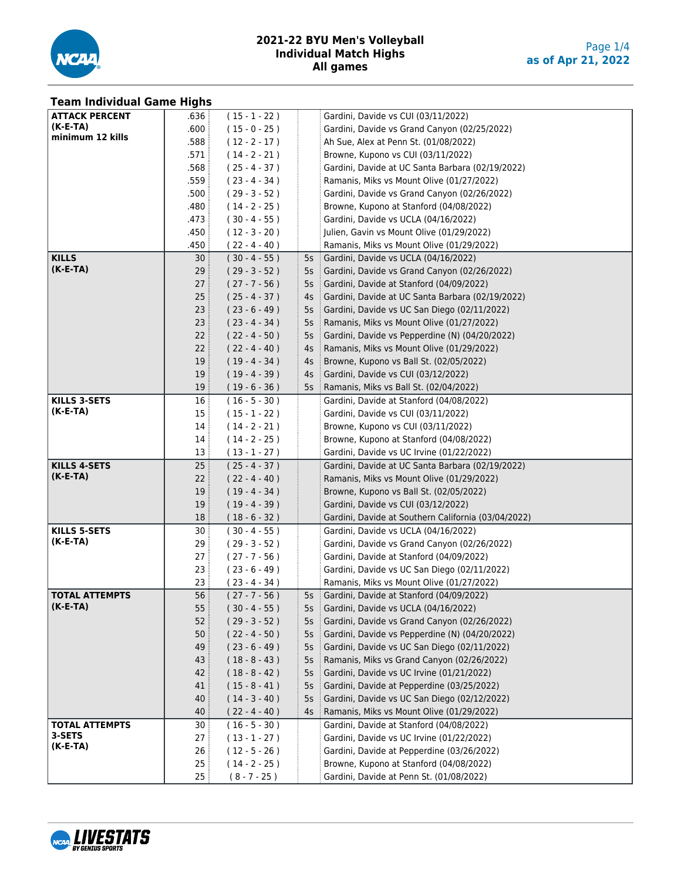

#### **Team Individual Game Highs**

|                       | J.,             |                 |        |                                                     |
|-----------------------|-----------------|-----------------|--------|-----------------------------------------------------|
| <b>ATTACK PERCENT</b> | .636 :          | $(15 - 1 - 22)$ |        | Gardini, Davide vs CUI (03/11/2022)                 |
| (K-E-TA)              | .600            | $(15 - 0 - 25)$ |        | Gardini, Davide vs Grand Canyon (02/25/2022)        |
| minimum 12 kills      | .588            | $(12 - 2 - 17)$ |        | Ah Sue, Alex at Penn St. (01/08/2022)               |
|                       | .571            | $(14 - 2 - 21)$ |        | Browne, Kupono vs CUI (03/11/2022)                  |
|                       | .568            | $(25 - 4 - 37)$ |        | Gardini, Davide at UC Santa Barbara (02/19/2022)    |
|                       | .559            | $(23 - 4 - 34)$ |        | Ramanis, Miks vs Mount Olive (01/27/2022)           |
|                       | .500            | $(29 - 3 - 52)$ |        | Gardini, Davide vs Grand Canyon (02/26/2022)        |
|                       | .480            | $(14 - 2 - 25)$ |        | Browne, Kupono at Stanford (04/08/2022)             |
|                       | .473            | $(30 - 4 - 55)$ |        | Gardini, Davide vs UCLA (04/16/2022)                |
|                       | .450            | $(12 - 3 - 20)$ |        | Julien, Gavin vs Mount Olive (01/29/2022)           |
|                       | .450            | $(22 - 4 - 40)$ |        | Ramanis, Miks vs Mount Olive (01/29/2022)           |
| <b>KILLS</b>          | 30:             |                 |        |                                                     |
| $(K-E-TA)$            |                 | $(30 - 4 - 55)$ |        | 5s Gardini, Davide vs UCLA (04/16/2022)             |
|                       | 29:             | $(29 - 3 - 52)$ |        | 5s Gardini, Davide vs Grand Canyon (02/26/2022)     |
|                       | 27:             | $(27 - 7 - 56)$ | $5s$ : | Gardini, Davide at Stanford (04/09/2022)            |
|                       | 25              | $(25 - 4 - 37)$ | $4s$ : | Gardini, Davide at UC Santa Barbara (02/19/2022)    |
|                       | 23:             | $(23 - 6 - 49)$ | 5s     | Gardini, Davide vs UC San Diego (02/11/2022)        |
|                       | 23 <sup>3</sup> | $(23 - 4 - 34)$ | 5s     | Ramanis, Miks vs Mount Olive (01/27/2022)           |
|                       | 22:             | $(22 - 4 - 50)$ | 5s     | Gardini, Davide vs Pepperdine (N) (04/20/2022)      |
|                       | 22              | $(22 - 4 - 40)$ | 4s     | Ramanis, Miks vs Mount Olive (01/29/2022)           |
|                       | 19:             | $(19 - 4 - 34)$ | $4s$ : | Browne, Kupono vs Ball St. (02/05/2022)             |
|                       | 19              | $(19 - 4 - 39)$ |        | 4s   Gardini, Davide vs CUI (03/12/2022)            |
|                       | 19              | $(19 - 6 - 36)$ | $5s$ : | Ramanis, Miks vs Ball St. (02/04/2022)              |
| <b>KILLS 3-SETS</b>   | 16              | $(16 - 5 - 30)$ |        | Gardini, Davide at Stanford (04/08/2022)            |
| (K-E-TA)              | 15              | $(15 - 1 - 22)$ |        | Gardini, Davide vs CUI (03/11/2022)                 |
|                       | 14              | $(14 - 2 - 21)$ |        | Browne, Kupono vs CUI (03/11/2022)                  |
|                       | 14              | $(14 - 2 - 25)$ |        | Browne, Kupono at Stanford (04/08/2022)             |
|                       | 13 <sup>5</sup> | $(13 - 1 - 27)$ |        | Gardini, Davide vs UC Irvine (01/22/2022)           |
| <b>KILLS 4-SETS</b>   | 25:             | $(25 - 4 - 37)$ |        | Gardini, Davide at UC Santa Barbara (02/19/2022)    |
| $(K-E-TA)$            | 22:             | $(22 - 4 - 40)$ |        | Ramanis, Miks vs Mount Olive (01/29/2022)           |
|                       | 19:             | $(19 - 4 - 34)$ |        | Browne, Kupono vs Ball St. (02/05/2022)             |
|                       | 19              | $(19 - 4 - 39)$ |        | Gardini, Davide vs CUI (03/12/2022)                 |
|                       | 18              | $(18 - 6 - 32)$ |        | Gardini, Davide at Southern California (03/04/2022) |
| <b>KILLS 5-SETS</b>   | 30:             | $(30 - 4 - 55)$ |        | Gardini, Davide vs UCLA (04/16/2022)                |
| $(K-E-TA)$            | 29:             | $(29 - 3 - 52)$ |        | Gardini, Davide vs Grand Canyon (02/26/2022)        |
|                       | 27:             | $(27 - 7 - 56)$ |        | Gardini, Davide at Stanford (04/09/2022)            |
|                       | 23:             | $(23 - 6 - 49)$ |        | Gardini, Davide vs UC San Diego (02/11/2022)        |
|                       | 23 <sup>1</sup> | $(23 - 4 - 34)$ |        | Ramanis, Miks vs Mount Olive (01/27/2022)           |
| <b>TOTAL ATTEMPTS</b> | 56              | $(27 - 7 - 56)$ |        | 5s Gardini, Davide at Stanford (04/09/2022)         |
| $(K-E-IA)$            |                 |                 |        |                                                     |
|                       | 55              | $(30 - 4 - 55)$ | 5s     | Gardini, Davide vs UCLA (04/16/2022)                |
|                       | 52              | $(29 - 3 - 52)$ | 5s     | Gardini, Davide vs Grand Canyon (02/26/2022)        |
|                       | 50              | $(22 - 4 - 50)$ | 5s     | Gardini, Davide vs Pepperdine (N) (04/20/2022)      |
|                       | 49              | $(23 - 6 - 49)$ | 5s     | Gardini, Davide vs UC San Diego (02/11/2022)        |
|                       | 43              | $(18 - 8 - 43)$ | 5s     | Ramanis, Miks vs Grand Canyon (02/26/2022)          |
|                       | 42              | $(18 - 8 - 42)$ | 5s     | Gardini, Davide vs UC Irvine (01/21/2022)           |
|                       | 41              | $(15 - 8 - 41)$ | 5s     | Gardini, Davide at Pepperdine (03/25/2022)          |
|                       | 40              | $(14 - 3 - 40)$ | 5s     | Gardini, Davide vs UC San Diego (02/12/2022)        |
|                       | 40              | $(22 - 4 - 40)$ | 4s     | Ramanis, Miks vs Mount Olive (01/29/2022)           |
| <b>TOTAL ATTEMPTS</b> | 30              | $(16 - 5 - 30)$ |        | Gardini, Davide at Stanford (04/08/2022)            |
| 3-SETS                | 27:             | $(13 - 1 - 27)$ |        | Gardini, Davide vs UC Irvine (01/22/2022)           |
| $(K-E-TA)$            | 26              | $(12 - 5 - 26)$ |        | Gardini, Davide at Pepperdine (03/26/2022)          |
|                       | 25              | $(14 - 2 - 25)$ |        | Browne, Kupono at Stanford (04/08/2022)             |
|                       | 25:             | $(8 - 7 - 25)$  |        | Gardini, Davide at Penn St. (01/08/2022)            |

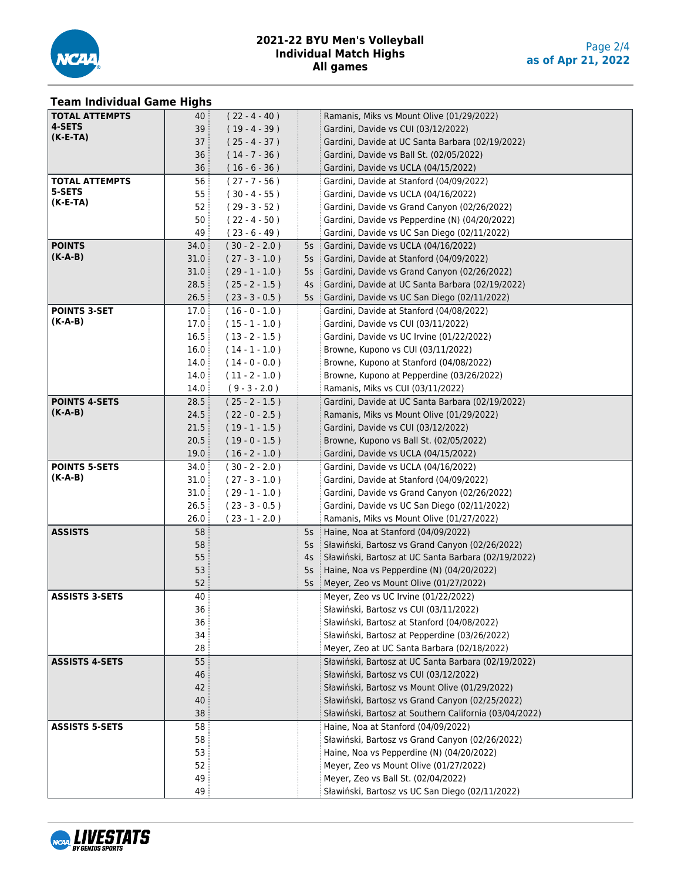

# **Team Individual Game Highs**

| <b>TOTAL ATTEMPTS</b> | 40:             | $(22 - 4 - 40)$  |        | Ramanis, Miks vs Mount Olive (01/29/2022)              |
|-----------------------|-----------------|------------------|--------|--------------------------------------------------------|
| 4-SETS                | 39              | $(19 - 4 - 39)$  |        | Gardini, Davide vs CUI (03/12/2022)                    |
| $(K-E-TA)$            | 37 <sup>3</sup> | $(25 - 4 - 37)$  |        | Gardini, Davide at UC Santa Barbara (02/19/2022)       |
|                       | 36              | $(14 - 7 - 36)$  |        | Gardini, Davide vs Ball St. (02/05/2022)               |
|                       | 36:             | $(16 - 6 - 36)$  |        | Gardini, Davide vs UCLA (04/15/2022)                   |
| <b>TOTAL ATTEMPTS</b> | 56              | $(27 - 7 - 56)$  |        | Gardini, Davide at Stanford (04/09/2022)               |
| 5-SETS                | 55:             | $(30 - 4 - 55)$  |        | Gardini, Davide vs UCLA (04/16/2022)                   |
| $(K-E-TA)$            | 52              | $(29 - 3 - 52)$  |        | Gardini, Davide vs Grand Canyon (02/26/2022)           |
|                       | 50              | $(22 - 4 - 50)$  |        | Gardini, Davide vs Pepperdine (N) (04/20/2022)         |
|                       | 49              | $(23 - 6 - 49)$  |        | Gardini, Davide vs UC San Diego (02/11/2022)           |
| <b>POINTS</b>         | 34.0            | $(30 - 2 - 2.0)$ | 5s     | Gardini, Davide vs UCLA (04/16/2022)                   |
| (K-A-B)               | 31.0            | $(27 - 3 - 1.0)$ | $5s$ : | Gardini, Davide at Stanford (04/09/2022)               |
|                       | 31.0            | $(29 - 1 - 1.0)$ | $5s$ : | Gardini, Davide vs Grand Canyon (02/26/2022)           |
|                       | 28.5            | $(25 - 2 - 1.5)$ | 4s     | Gardini, Davide at UC Santa Barbara (02/19/2022)       |
|                       | 26.5            | $(23 - 3 - 0.5)$ | $5s$ : | Gardini, Davide vs UC San Diego (02/11/2022)           |
| <b>POINTS 3-SET</b>   | 17.0            | $(16 - 0 - 1.0)$ |        | Gardini, Davide at Stanford (04/08/2022)               |
| (K-A-B)               | 17.0            | $(15 - 1 - 1.0)$ |        | Gardini, Davide vs CUI (03/11/2022)                    |
|                       | 16.5            | $(13 - 2 - 1.5)$ |        | Gardini, Davide vs UC Irvine (01/22/2022)              |
|                       | 16.0            | $(14 - 1 - 1.0)$ |        | Browne, Kupono vs CUI (03/11/2022)                     |
|                       | 14.0            | $(14 - 0 - 0.0)$ |        | Browne, Kupono at Stanford (04/08/2022)                |
|                       | 14.0            | $(11 - 2 - 1.0)$ |        | Browne, Kupono at Pepperdine (03/26/2022)              |
|                       | 14.0            | $(9 - 3 - 2.0)$  |        | Ramanis, Miks vs CUI (03/11/2022)                      |
| <b>POINTS 4-SETS</b>  | 28.5            | $(25 - 2 - 1.5)$ |        | Gardini, Davide at UC Santa Barbara (02/19/2022)       |
| $(K-A-B)$             | 24.5            | $(22 - 0 - 2.5)$ |        | Ramanis, Miks vs Mount Olive (01/29/2022)              |
|                       | 21.5            | $(19 - 1 - 1.5)$ |        | Gardini, Davide vs CUI (03/12/2022)                    |
|                       | 20.5            | $(19 - 0 - 1.5)$ |        | Browne, Kupono vs Ball St. (02/05/2022)                |
|                       | 19.0            | $(16 - 2 - 1.0)$ |        | Gardini, Davide vs UCLA (04/15/2022)                   |
| <b>POINTS 5-SETS</b>  | 34.0            | $(30 - 2 - 2.0)$ |        | Gardini, Davide vs UCLA (04/16/2022)                   |
| $(K-A-B)$             | 31.0            | $(27 - 3 - 1.0)$ |        | Gardini, Davide at Stanford (04/09/2022)               |
|                       | 31.0            | $(29 - 1 - 1.0)$ |        | Gardini, Davide vs Grand Canyon (02/26/2022)           |
|                       | 26.5            | $(23 - 3 - 0.5)$ |        | Gardini, Davide vs UC San Diego (02/11/2022)           |
|                       | 26.0            | $(23 - 1 - 2.0)$ |        | Ramanis, Miks vs Mount Olive (01/27/2022)              |
| <b>ASSISTS</b>        | 58              |                  | $5s$ : | Haine, Noa at Stanford (04/09/2022)                    |
|                       | 58              |                  | 5s     | Sławiński, Bartosz vs Grand Canyon (02/26/2022)        |
|                       | 55              |                  | 4s     | Sławiński, Bartosz at UC Santa Barbara (02/19/2022)    |
|                       | 53              |                  | 5s     | Haine, Noa vs Pepperdine (N) (04/20/2022)              |
|                       | 52              |                  | 5s     | Meyer, Zeo vs Mount Olive (01/27/2022)                 |
| <b>ASSISTS 3-SETS</b> | 40 :            |                  |        | Meyer, Zeo vs UC Irvine (01/22/2022)                   |
|                       | 36              |                  |        | Sławiński, Bartosz vs CUI (03/11/2022)                 |
|                       | 36              |                  |        | Sławiński, Bartosz at Stanford (04/08/2022)            |
|                       | 34              |                  |        | Sławiński, Bartosz at Pepperdine (03/26/2022)          |
|                       | 28              |                  |        | Meyer, Zeo at UC Santa Barbara (02/18/2022)            |
| <b>ASSISTS 4-SETS</b> | 55              |                  |        | Sławiński, Bartosz at UC Santa Barbara (02/19/2022)    |
|                       | 46              |                  |        | Sławiński, Bartosz vs CUI (03/12/2022)                 |
|                       | 42              |                  |        | Sławiński, Bartosz vs Mount Olive (01/29/2022)         |
|                       | 40              |                  |        | Sławiński, Bartosz vs Grand Canyon (02/25/2022)        |
|                       | 38              |                  |        | Sławiński, Bartosz at Southern California (03/04/2022) |
| <b>ASSISTS 5-SETS</b> | 58              |                  |        | Haine, Noa at Stanford (04/09/2022)                    |
|                       | 58              |                  |        | Sławiński, Bartosz vs Grand Canyon (02/26/2022)        |
|                       | 53              |                  |        | Haine, Noa vs Pepperdine (N) (04/20/2022)              |
|                       | 52              |                  |        | Meyer, Zeo vs Mount Olive (01/27/2022)                 |
|                       | 49              |                  |        | Meyer, Zeo vs Ball St. (02/04/2022)                    |
|                       | 49              |                  |        | Sławiński, Bartosz vs UC San Diego (02/11/2022)        |

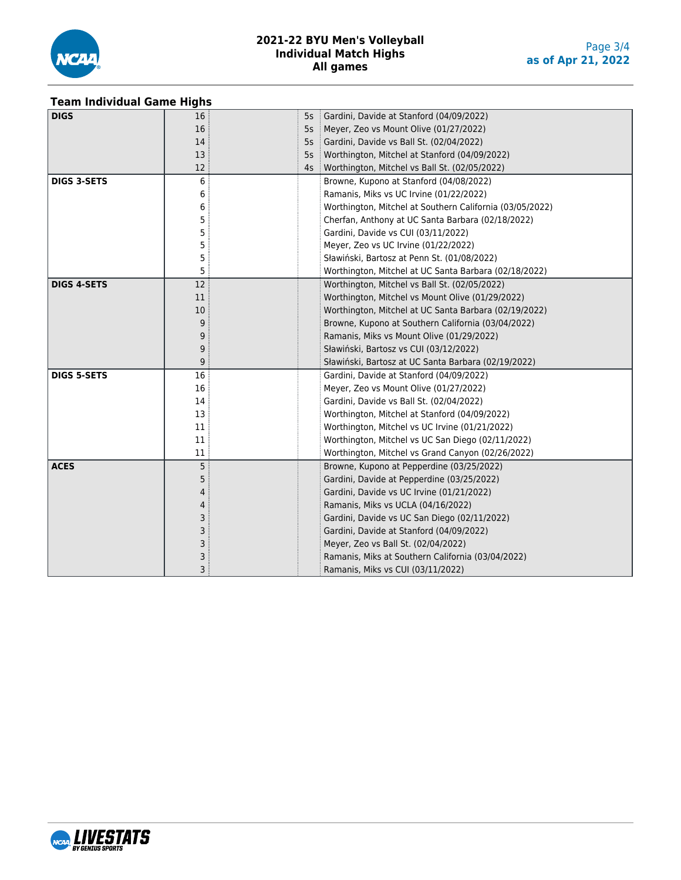

#### **Team Individual Game Highs**

| <b>DIGS</b>        | 16 | 5s | Gardini, Davide at Stanford (04/09/2022)                 |
|--------------------|----|----|----------------------------------------------------------|
|                    | 16 | 5s | Meyer, Zeo vs Mount Olive (01/27/2022)                   |
|                    | 14 | 5s | Gardini, Davide vs Ball St. (02/04/2022)                 |
|                    | 13 | 5s | Worthington, Mitchel at Stanford (04/09/2022)            |
|                    | 12 | 4s | Worthington, Mitchel vs Ball St. (02/05/2022)            |
| <b>DIGS 3-SETS</b> | 6  |    | Browne, Kupono at Stanford (04/08/2022)                  |
|                    | 6  |    | Ramanis, Miks vs UC Irvine (01/22/2022)                  |
|                    | 6  |    | Worthington, Mitchel at Southern California (03/05/2022) |
|                    | 5  |    | Cherfan, Anthony at UC Santa Barbara (02/18/2022)        |
|                    | 5  |    | Gardini, Davide vs CUI (03/11/2022)                      |
|                    | 5  |    | Meyer, Zeo vs UC Irvine (01/22/2022)                     |
|                    | 5  |    | Sławiński, Bartosz at Penn St. (01/08/2022)              |
|                    | 5  |    | Worthington, Mitchel at UC Santa Barbara (02/18/2022)    |
| <b>DIGS 4-SETS</b> | 12 |    | Worthington, Mitchel vs Ball St. (02/05/2022)            |
|                    | 11 |    | Worthington, Mitchel vs Mount Olive (01/29/2022)         |
|                    | 10 |    | Worthington, Mitchel at UC Santa Barbara (02/19/2022)    |
|                    | 9  |    | Browne, Kupono at Southern California (03/04/2022)       |
|                    | 9  |    | Ramanis, Miks vs Mount Olive (01/29/2022)                |
|                    | 9  |    | Sławiński, Bartosz vs CUI (03/12/2022)                   |
|                    | 9  |    | Sławiński, Bartosz at UC Santa Barbara (02/19/2022)      |
| <b>DIGS 5-SETS</b> | 16 |    | Gardini, Davide at Stanford (04/09/2022)                 |
|                    | 16 |    | Meyer, Zeo vs Mount Olive (01/27/2022)                   |
|                    | 14 |    | Gardini, Davide vs Ball St. (02/04/2022)                 |
|                    | 13 |    | Worthington, Mitchel at Stanford (04/09/2022)            |
|                    | 11 |    | Worthington, Mitchel vs UC Irvine (01/21/2022)           |
|                    | 11 |    | Worthington, Mitchel vs UC San Diego (02/11/2022)        |
|                    | 11 |    | Worthington, Mitchel vs Grand Canyon (02/26/2022)        |
| <b>ACES</b>        | 5  |    | Browne, Kupono at Pepperdine (03/25/2022)                |
|                    | 5  |    | Gardini, Davide at Pepperdine (03/25/2022)               |
|                    | 4  |    | Gardini, Davide vs UC Irvine (01/21/2022)                |
|                    | 4  |    | Ramanis, Miks vs UCLA (04/16/2022)                       |
|                    | 3  |    | Gardini, Davide vs UC San Diego (02/11/2022)             |
|                    | 3  |    | Gardini, Davide at Stanford (04/09/2022)                 |
|                    | 3  |    | Meyer, Zeo vs Ball St. (02/04/2022)                      |
|                    | 3  |    | Ramanis, Miks at Southern California (03/04/2022)        |
|                    | 3  |    | Ramanis, Miks vs CUI (03/11/2022)                        |

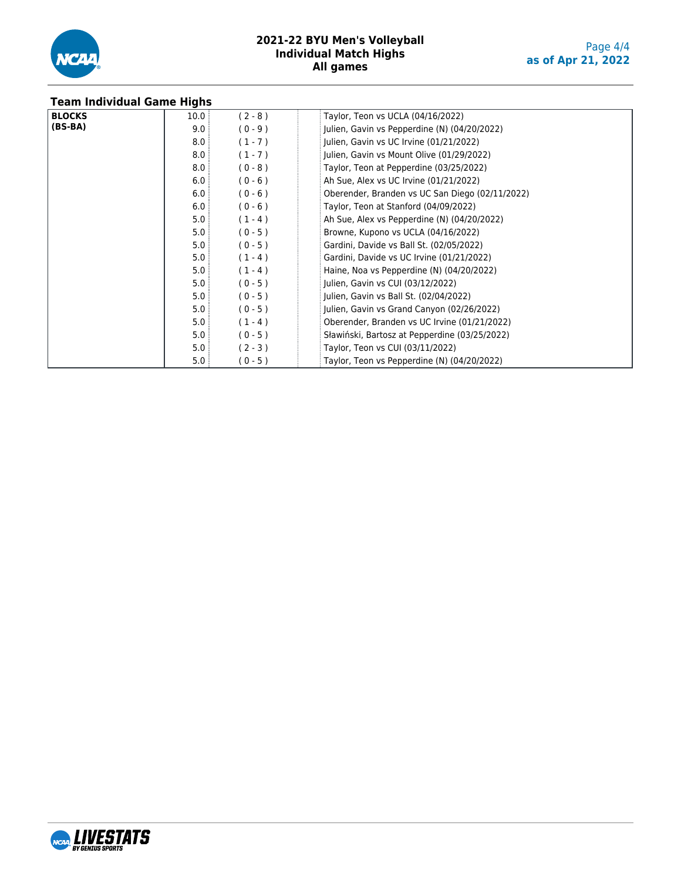

| <b>Team Individual Game Highs</b> |      |           |                                                 |
|-----------------------------------|------|-----------|-------------------------------------------------|
| <b>BLOCKS</b>                     | 10.0 | $(2 - 8)$ | Taylor, Teon vs UCLA (04/16/2022)               |
| (BS-BA)                           | 9.0  | $(0 - 9)$ | Julien, Gavin vs Pepperdine (N) (04/20/2022)    |
|                                   | 8.0  | $(1 - 7)$ | Julien, Gavin vs UC Irvine (01/21/2022)         |
|                                   | 8.0  | $(1 - 7)$ | Julien, Gavin vs Mount Olive (01/29/2022)       |
|                                   | 8.0  | $(0 - 8)$ | Taylor, Teon at Pepperdine (03/25/2022)         |
|                                   | 6.0  | $(0 - 6)$ | Ah Sue, Alex vs UC Irvine (01/21/2022)          |
|                                   | 6.0  | $(0 - 6)$ | Oberender, Branden vs UC San Diego (02/11/2022) |
|                                   | 6.0  | $(0 - 6)$ | Taylor, Teon at Stanford (04/09/2022)           |
|                                   | 5.0  | $(1 - 4)$ | Ah Sue, Alex vs Pepperdine (N) (04/20/2022)     |
|                                   | 5.0  | $(0 - 5)$ | Browne, Kupono vs UCLA (04/16/2022)             |
|                                   | 5.0  | $(0 - 5)$ | Gardini, Davide vs Ball St. (02/05/2022)        |
|                                   | 5.0  | $(1 - 4)$ | Gardini, Davide vs UC Irvine (01/21/2022)       |
|                                   | 5.0  | $(1 - 4)$ | Haine, Noa vs Pepperdine (N) (04/20/2022)       |
|                                   | 5.0  | $(0 - 5)$ | Julien, Gavin vs CUI (03/12/2022)               |
|                                   | 5.0  | $(0 - 5)$ | Julien, Gavin vs Ball St. (02/04/2022)          |
|                                   | 5.0  | $(0 - 5)$ | Julien, Gavin vs Grand Canyon (02/26/2022)      |
|                                   | 5.0  | $(1 - 4)$ | Oberender, Branden vs UC Irvine (01/21/2022)    |
|                                   | 5.0  | $(0 - 5)$ | Sławiński, Bartosz at Pepperdine (03/25/2022)   |
|                                   | 5.0  | $(2 - 3)$ | Taylor, Teon vs CUI (03/11/2022)                |
|                                   | 5.0  | $(0 - 5)$ | Taylor, Teon vs Pepperdine (N) (04/20/2022)     |

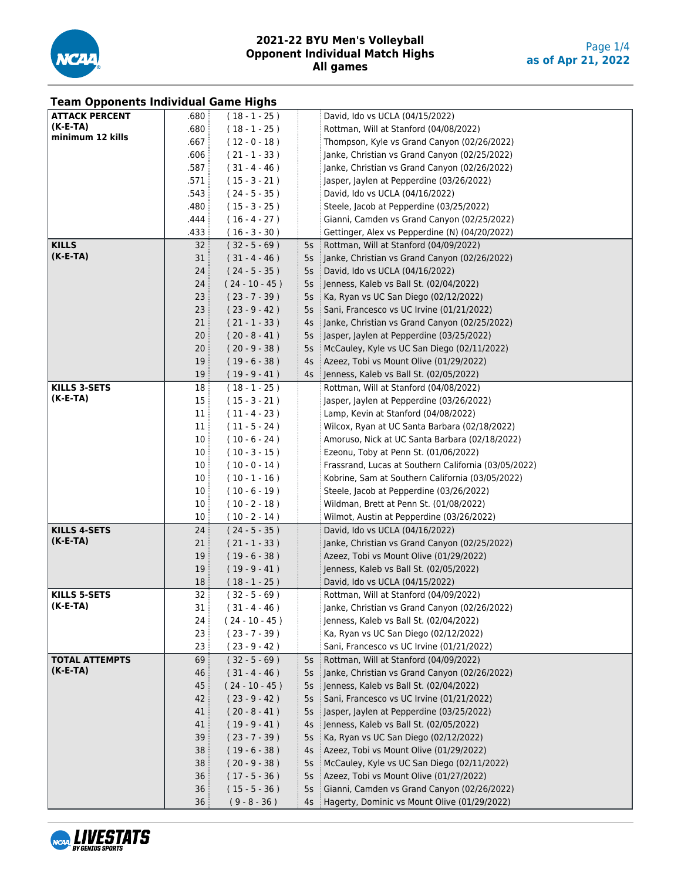

| <b>Team Opponents Individual Game Highs</b> |                 |                  |        |                                                             |
|---------------------------------------------|-----------------|------------------|--------|-------------------------------------------------------------|
| <b>ATTACK PERCENT</b>                       | .680            | $(18 - 1 - 25)$  |        | David, Ido vs UCLA (04/15/2022)                             |
| $(K-E-TA)$                                  | .680            | $(18 - 1 - 25)$  |        | Rottman, Will at Stanford (04/08/2022)                      |
| minimum 12 kills                            | .667            | $(12 - 0 - 18)$  |        | Thompson, Kyle vs Grand Canyon (02/26/2022)                 |
|                                             | .606            | $(21 - 1 - 33)$  |        | Janke, Christian vs Grand Canyon (02/25/2022)               |
|                                             | .587            | $(31 - 4 - 46)$  |        | Janke, Christian vs Grand Canyon (02/26/2022)               |
|                                             | .571            | $(15 - 3 - 21)$  |        | Jasper, Jaylen at Pepperdine (03/26/2022)                   |
|                                             | .543            | $(24 - 5 - 35)$  |        | David, Ido vs UCLA (04/16/2022)                             |
|                                             | .480            | $(15 - 3 - 25)$  |        | Steele, Jacob at Pepperdine (03/25/2022)                    |
|                                             | .444            | $(16 - 4 - 27)$  |        | Gianni, Camden vs Grand Canyon (02/25/2022)                 |
|                                             | .433            | $(16 - 3 - 30)$  |        | Gettinger, Alex vs Pepperdine (N) (04/20/2022)              |
| <b>KILLS</b>                                | 32:             | $(32 - 5 - 69)$  | 5s     | Rottman, Will at Stanford (04/09/2022)                      |
| $(K-E-TA)$                                  | 31              | $(31 - 4 - 46)$  |        | 5s Janke, Christian vs Grand Canyon (02/26/2022)            |
|                                             | 24              | $(24 - 5 - 35)$  | 5s     | David, Ido vs UCLA (04/16/2022)                             |
|                                             | 24              | $(24 - 10 - 45)$ | 5s     | Jenness, Kaleb vs Ball St. (02/04/2022)                     |
|                                             | 23:             | $(23 - 7 - 39)$  | 5s     | Ka, Ryan vs UC San Diego (02/12/2022)                       |
|                                             | 23:             | $(23 - 9 - 42)$  | 5s     | Sani, Francesco vs UC Irvine (01/21/2022)                   |
|                                             | 21:             | $(21 - 1 - 33)$  | 4s     | $\frac{1}{2}$ Janke, Christian vs Grand Canyon (02/25/2022) |
|                                             | 20:             | $(20 - 8 - 41)$  |        | 5s Jasper, Jaylen at Pepperdine (03/25/2022)                |
|                                             | 20:             | $(20 - 9 - 38)$  |        | 5s   McCauley, Kyle vs UC San Diego (02/11/2022)            |
|                                             | 19:             | $(19 - 6 - 38)$  |        | 4s   Azeez, Tobi vs Mount Olive (01/29/2022)                |
|                                             | 19:             | $(19 - 9 - 41)$  |        | 4s   Jenness, Kaleb vs Ball St. (02/05/2022)                |
| <b>KILLS 3-SETS</b>                         | 18:             | $(18 - 1 - 25)$  |        | Rottman, Will at Stanford (04/08/2022)                      |
| $(K-E-TA)$                                  | 15              | $(15 - 3 - 21)$  |        | Jasper, Jaylen at Pepperdine (03/26/2022)                   |
|                                             | 11              | $(11 - 4 - 23)$  |        | Lamp, Kevin at Stanford (04/08/2022)                        |
|                                             | 11:             | $(11 - 5 - 24)$  |        | Wilcox, Ryan at UC Santa Barbara (02/18/2022)               |
|                                             | 10              | $(10 - 6 - 24)$  |        | Amoruso, Nick at UC Santa Barbara (02/18/2022)              |
|                                             | 10              | $(10 - 3 - 15)$  |        | Ezeonu, Toby at Penn St. (01/06/2022)                       |
|                                             | 10 <sup>3</sup> | $(10 - 0 - 14)$  |        | Frassrand, Lucas at Southern California (03/05/2022)        |
|                                             | 10 <sup>3</sup> | $(10 - 1 - 16)$  |        | Kobrine, Sam at Southern California (03/05/2022)            |
|                                             | 10 <sub>1</sub> | $(10 - 6 - 19)$  |        | Steele, Jacob at Pepperdine (03/26/2022)                    |
|                                             | 10              | $(10 - 2 - 18)$  |        | Wildman, Brett at Penn St. (01/08/2022)                     |
|                                             | 10 <sup>1</sup> | $(10 - 2 - 14)$  |        | Wilmot, Austin at Pepperdine (03/26/2022)                   |
| <b>KILLS 4-SETS</b>                         | 24:             | $(24 - 5 - 35)$  |        | David, Ido vs UCLA (04/16/2022)                             |
| $(K-E-TA)$                                  | 21:             | $(21 - 1 - 33)$  |        | Janke, Christian vs Grand Canyon (02/25/2022)               |
|                                             | 19 <sup>3</sup> | $(19 - 6 - 38)$  |        | Azeez, Tobi vs Mount Olive (01/29/2022)                     |
|                                             | 19              | $(19 - 9 - 41)$  |        | Jenness, Kaleb vs Ball St. (02/05/2022)                     |
|                                             | 18 <sup>3</sup> | $(18 - 1 - 25)$  |        | David, Ido vs UCLA (04/15/2022)                             |
| <b>KILLS 5-SETS</b>                         | 32              | $(32 - 5 - 69)$  |        | Rottman, Will at Stanford (04/09/2022)                      |
| $(K-E-TA)$                                  | 31 :            | $(31 - 4 - 46)$  |        | Janke, Christian vs Grand Canyon (02/26/2022)               |
|                                             | 24:             | $(24 - 10 - 45)$ |        | Jenness, Kaleb vs Ball St. (02/04/2022)                     |
|                                             | 23:             | $(23 - 7 - 39)$  |        | Ka, Ryan vs UC San Diego (02/12/2022)                       |
|                                             | 23:             | $(23 - 9 - 42)$  |        | Sani, Francesco vs UC Irvine (01/21/2022)                   |
| <b>TOTAL ATTEMPTS</b>                       | 69:             | $(32 - 5 - 69)$  | 5s     | Rottman, Will at Stanford (04/09/2022)                      |
| $(K-E-TA)$                                  | 46 :            | $(31 - 4 - 46)$  | 5s     | Janke, Christian vs Grand Canyon (02/26/2022)               |
|                                             | 45              | $(24 - 10 - 45)$ | 5s     | Jenness, Kaleb vs Ball St. (02/04/2022)                     |
|                                             | 42              | $(23 - 9 - 42)$  | 5s     | Sani, Francesco vs UC Irvine (01/21/2022)                   |
|                                             | 41 :            | $(20 - 8 - 41)$  | 5s     | Jasper, Jaylen at Pepperdine (03/25/2022)                   |
|                                             | 41 :            | $(19 - 9 - 41)$  | 4s     | Jenness, Kaleb vs Ball St. (02/05/2022)                     |
|                                             | 39              | $(23 - 7 - 39)$  | 5s     | Ka, Ryan vs UC San Diego (02/12/2022)                       |
|                                             | 38 <sup>3</sup> | $(19 - 6 - 38)$  | 4s     | Azeez, Tobi vs Mount Olive (01/29/2022)                     |
|                                             | 38 <sup>3</sup> | $(20 - 9 - 38)$  | 5s     | McCauley, Kyle vs UC San Diego (02/11/2022)                 |
|                                             | 36:             | $(17 - 5 - 36)$  | 5s     | Azeez, Tobi vs Mount Olive $(01/27/2022)$                   |
|                                             | 36              | $(15 - 5 - 36)$  | $5s$ : | Gianni, Camden vs Grand Canyon (02/26/2022)                 |
|                                             | 36:             | $(9 - 8 - 36)$   |        | 4s   Hagerty, Dominic vs Mount Olive (01/29/2022)           |

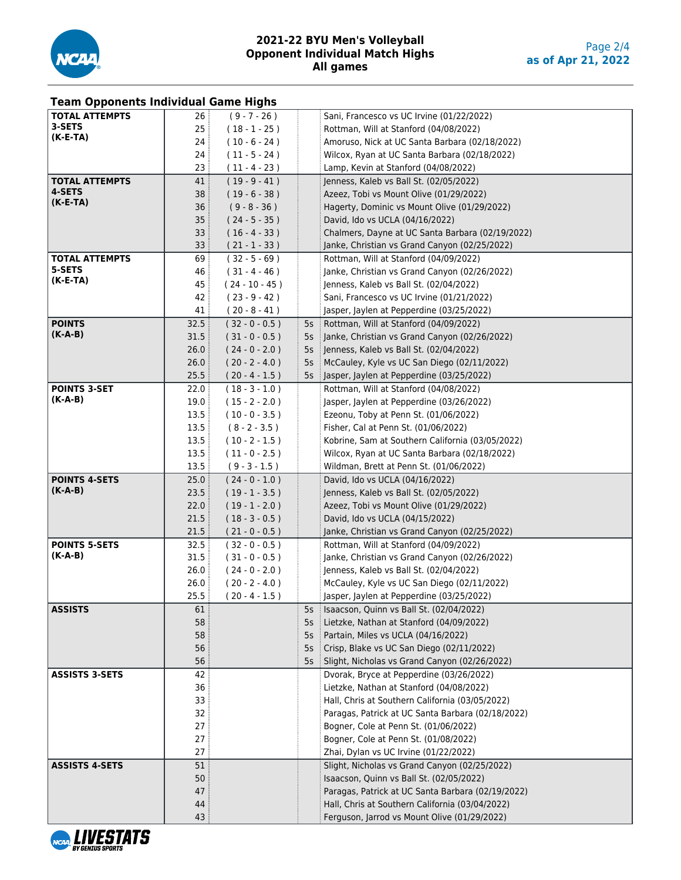

| <b>Team Opponents Individual Game Highs</b> |                 |                                      |    |                                                                                            |
|---------------------------------------------|-----------------|--------------------------------------|----|--------------------------------------------------------------------------------------------|
| <b>TOTAL ATTEMPTS</b>                       | 26              | $(9 - 7 - 26)$                       |    | Sani, Francesco vs UC Irvine (01/22/2022)                                                  |
| 3-SETS                                      | 25 <sub>5</sub> | $(18 - 1 - 25)$                      |    | Rottman, Will at Stanford (04/08/2022)                                                     |
| $(K-E-TA)$                                  | 24              | $(10 - 6 - 24)$                      |    | Amoruso, Nick at UC Santa Barbara (02/18/2022)                                             |
|                                             | 24              | $(11 - 5 - 24)$                      |    | Wilcox, Ryan at UC Santa Barbara (02/18/2022)                                              |
|                                             | 23              | $(11 - 4 - 23)$                      |    | Lamp, Kevin at Stanford (04/08/2022)                                                       |
| <b>TOTAL ATTEMPTS</b>                       | 41              | $(19 - 9 - 41)$                      |    | Jenness, Kaleb vs Ball St. (02/05/2022)                                                    |
| 4-SETS                                      | 38              | $(19 - 6 - 38)$                      |    | Azeez, Tobi vs Mount Olive (01/29/2022)                                                    |
| $(K-E-TA)$                                  | 36 <sup>3</sup> | $(9 - 8 - 36)$                       |    | Hagerty, Dominic vs Mount Olive (01/29/2022)                                               |
|                                             | 35              | $(24 - 5 - 35)$                      |    | David, Ido vs UCLA (04/16/2022)                                                            |
|                                             | 33 <sup>3</sup> | $(16 - 4 - 33)$                      |    | Chalmers, Dayne at UC Santa Barbara (02/19/2022)                                           |
|                                             | 33              | $(21 - 1 - 33)$                      |    | Janke, Christian vs Grand Canyon (02/25/2022)                                              |
| <b>TOTAL ATTEMPTS</b>                       | 69              | $(32 - 5 - 69)$                      |    | Rottman, Will at Stanford (04/09/2022)                                                     |
| 5-SETS                                      | 46              | $(31 - 4 - 46)$                      |    | Janke, Christian vs Grand Canyon (02/26/2022)                                              |
| $(K-E-TA)$                                  | 45              | $(24 - 10 - 45)$                     |    | Jenness, Kaleb vs Ball St. (02/04/2022)                                                    |
|                                             | 42              | $(23 - 9 - 42)$                      |    | Sani, Francesco vs UC Irvine (01/21/2022)                                                  |
|                                             | 41              | $(20 - 8 - 41)$                      |    | Jasper, Jaylen at Pepperdine (03/25/2022)                                                  |
| <b>POINTS</b>                               | 32.5            | $(32 - 0 - 0.5)$                     |    | 5s Rottman, Will at Stanford (04/09/2022)                                                  |
| $(K-A-B)$                                   | 31.5            | $(31 - 0 - 0.5)$                     |    | 5s   Janke, Christian vs Grand Canyon (02/26/2022)                                         |
|                                             | 26.0            | $(24 - 0 - 2.0)$                     |    | 5s : Jenness, Kaleb vs Ball St. (02/04/2022)                                               |
|                                             | 26.0            | $(20 - 2 - 4.0)$                     |    | 5s   McCauley, Kyle vs UC San Diego (02/11/2022)                                           |
|                                             | 25.5            | $(20 - 4 - 1.5)$                     | 5s | Jasper, Jaylen at Pepperdine (03/25/2022)                                                  |
| <b>POINTS 3-SET</b>                         | 22.0            | $(18 - 3 - 1.0)$                     |    | Rottman, Will at Stanford (04/08/2022)                                                     |
| $(K-A-B)$                                   | 19.0            | $(15 - 2 - 2.0)$                     |    | Jasper, Jaylen at Pepperdine (03/26/2022)                                                  |
|                                             | 13.5            | $(10 - 0 - 3.5)$                     |    | Ezeonu, Toby at Penn St. (01/06/2022)                                                      |
|                                             | 13.5            | $(8 - 2 - 3.5)$                      |    | Fisher, Cal at Penn St. (01/06/2022)                                                       |
|                                             | 13.5            |                                      |    | Kobrine, Sam at Southern California (03/05/2022)                                           |
|                                             |                 | $(10 - 2 - 1.5)$                     |    |                                                                                            |
|                                             | 13.5            | $(11 - 0 - 2.5)$                     |    | Wilcox, Ryan at UC Santa Barbara (02/18/2022)                                              |
|                                             | 13.5            | $(9 - 3 - 1.5)$                      |    | Wildman, Brett at Penn St. (01/06/2022)                                                    |
| <b>POINTS 4-SETS</b><br>$(K-A-B)$           | 25.0            | (24 - 0 - 1.0 )                      |    | David, Ido vs UCLA (04/16/2022)                                                            |
|                                             | 23.5            | $(19 - 1 - 3.5)$                     |    | Jenness, Kaleb vs Ball St. (02/05/2022)                                                    |
|                                             | 22.0            | $(19 - 1 - 2.0)$                     |    | Azeez, Tobi vs Mount Olive (01/29/2022)                                                    |
|                                             | 21.5            | $(18 - 3 - 0.5)$                     |    | David, Ido vs UCLA (04/15/2022)                                                            |
| <b>POINTS 5-SETS</b>                        | 21.5            | $(21 - 0 - 0.5)$                     |    | Janke, Christian vs Grand Canyon (02/25/2022)                                              |
| $(K-A-B)$                                   | 32.5<br>31.5    | $(32 - 0 - 0.5)$                     |    | Rottman, Will at Stanford (04/09/2022)<br>Janke, Christian vs Grand Canyon (02/26/2022)    |
|                                             | 26.0            | $(31 - 0 - 0.5)$<br>$(24 - 0 - 2.0)$ |    | Jenness, Kaleb vs Ball St. (02/04/2022)                                                    |
|                                             |                 |                                      |    |                                                                                            |
|                                             | 26.0<br>25.5    | $(20 - 2 - 4.0)$<br>$(20 - 4 - 1.5)$ |    | McCauley, Kyle vs UC San Diego (02/11/2022)                                                |
| <b>ASSISTS</b>                              | 61              |                                      |    | Jasper, Jaylen at Pepperdine (03/25/2022)<br>5s   Isaacson, Quinn vs Ball St. (02/04/2022) |
|                                             | 58              |                                      |    | 5s Lietzke, Nathan at Stanford (04/09/2022)                                                |
|                                             | 58              |                                      | 5s | Partain, Miles vs UCLA (04/16/2022)                                                        |
|                                             | 56              |                                      |    | 5s Crisp, Blake vs UC San Diego (02/11/2022)                                               |
|                                             | 56              |                                      |    | 5s   Slight, Nicholas vs Grand Canyon (02/26/2022)                                         |
| <b>ASSISTS 3-SETS</b>                       | 42              |                                      |    | Dvorak, Bryce at Pepperdine (03/26/2022)                                                   |
|                                             | 36              |                                      |    | Lietzke, Nathan at Stanford (04/08/2022)                                                   |
|                                             | 33              |                                      |    | Hall, Chris at Southern California (03/05/2022)                                            |
|                                             |                 |                                      |    | Paragas, Patrick at UC Santa Barbara (02/18/2022)                                          |
|                                             | 32<br>27        |                                      |    |                                                                                            |
|                                             |                 |                                      |    | Bogner, Cole at Penn St. (01/06/2022)                                                      |
|                                             | 27<br>27        |                                      |    | Bogner, Cole at Penn St. (01/08/2022)                                                      |
|                                             |                 |                                      |    | Zhai, Dylan vs UC Irvine (01/22/2022)                                                      |
| <b>ASSISTS 4-SETS</b>                       | 51              |                                      |    | Slight, Nicholas vs Grand Canyon (02/25/2022)                                              |
|                                             | 50              |                                      |    | Isaacson, Quinn vs Ball St. (02/05/2022)                                                   |
|                                             | 47              |                                      |    | Paragas, Patrick at UC Santa Barbara (02/19/2022)                                          |
|                                             | 44              |                                      |    | Hall, Chris at Southern California (03/04/2022)                                            |
|                                             | 43              |                                      |    | Ferguson, Jarrod vs Mount Olive (01/29/2022)                                               |

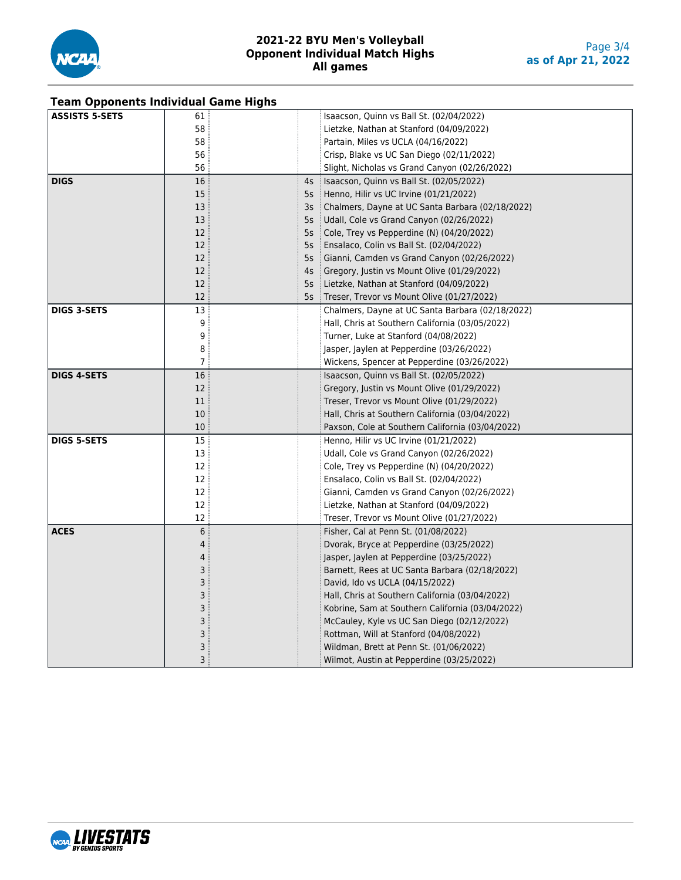

| <b>Team Opponents Individual Game Highs</b> |                |    |                                                  |  |  |  |  |  |  |
|---------------------------------------------|----------------|----|--------------------------------------------------|--|--|--|--|--|--|
| <b>ASSISTS 5-SETS</b>                       | 61             |    | Isaacson, Quinn vs Ball St. (02/04/2022)         |  |  |  |  |  |  |
|                                             | 58             |    | Lietzke, Nathan at Stanford (04/09/2022)         |  |  |  |  |  |  |
|                                             | 58             |    | Partain, Miles vs UCLA (04/16/2022)              |  |  |  |  |  |  |
|                                             | 56             |    | Crisp, Blake vs UC San Diego (02/11/2022)        |  |  |  |  |  |  |
|                                             | 56             |    | Slight, Nicholas vs Grand Canyon (02/26/2022)    |  |  |  |  |  |  |
| <b>DIGS</b>                                 | 16             | 4s | Isaacson, Quinn vs Ball St. (02/05/2022)         |  |  |  |  |  |  |
|                                             | 15             | 5s | Henno, Hilir vs UC Irvine (01/21/2022)           |  |  |  |  |  |  |
|                                             | 13             | 3s | Chalmers, Dayne at UC Santa Barbara (02/18/2022) |  |  |  |  |  |  |
|                                             | 13             | 5s | Udall, Cole vs Grand Canyon (02/26/2022)         |  |  |  |  |  |  |
|                                             | 12             | 5s | Cole, Trey vs Pepperdine (N) (04/20/2022)        |  |  |  |  |  |  |
|                                             | 12             | 5s | Ensalaco, Colin vs Ball St. (02/04/2022)         |  |  |  |  |  |  |
|                                             | 12             | 5s | Gianni, Camden vs Grand Canyon (02/26/2022)      |  |  |  |  |  |  |
|                                             | 12             | 4s | Gregory, Justin vs Mount Olive (01/29/2022)      |  |  |  |  |  |  |
|                                             | 12             | 5s | Lietzke, Nathan at Stanford (04/09/2022)         |  |  |  |  |  |  |
|                                             | 12             | 5s | Treser, Trevor vs Mount Olive (01/27/2022)       |  |  |  |  |  |  |
| <b>DIGS 3-SETS</b>                          | 13             |    | Chalmers, Dayne at UC Santa Barbara (02/18/2022) |  |  |  |  |  |  |
|                                             | 9              |    | Hall, Chris at Southern California (03/05/2022)  |  |  |  |  |  |  |
|                                             | 9              |    | Turner, Luke at Stanford (04/08/2022)            |  |  |  |  |  |  |
|                                             | 8              |    | Jasper, Jaylen at Pepperdine (03/26/2022)        |  |  |  |  |  |  |
|                                             | 7              |    | Wickens, Spencer at Pepperdine (03/26/2022)      |  |  |  |  |  |  |
| <b>DIGS 4-SETS</b>                          | 16             |    | Isaacson, Quinn vs Ball St. (02/05/2022)         |  |  |  |  |  |  |
|                                             | 12             |    | Gregory, Justin vs Mount Olive (01/29/2022)      |  |  |  |  |  |  |
|                                             | 11             |    | Treser, Trevor vs Mount Olive (01/29/2022)       |  |  |  |  |  |  |
|                                             | 10             |    | Hall, Chris at Southern California (03/04/2022)  |  |  |  |  |  |  |
|                                             | 10             |    | Paxson, Cole at Southern California (03/04/2022) |  |  |  |  |  |  |
| <b>DIGS 5-SETS</b>                          | 15             |    | Henno, Hilir vs UC Irvine (01/21/2022)           |  |  |  |  |  |  |
|                                             | 13             |    | Udall, Cole vs Grand Canyon (02/26/2022)         |  |  |  |  |  |  |
|                                             | 12             |    | Cole, Trey vs Pepperdine (N) (04/20/2022)        |  |  |  |  |  |  |
|                                             | 12             |    | Ensalaco, Colin vs Ball St. (02/04/2022)         |  |  |  |  |  |  |
|                                             | 12             |    | Gianni, Camden vs Grand Canyon (02/26/2022)      |  |  |  |  |  |  |
|                                             | 12             |    | Lietzke, Nathan at Stanford (04/09/2022)         |  |  |  |  |  |  |
|                                             | 12             |    | Treser, Trevor vs Mount Olive (01/27/2022)       |  |  |  |  |  |  |
| <b>ACES</b>                                 | $\,6$          |    | Fisher, Cal at Penn St. (01/08/2022)             |  |  |  |  |  |  |
|                                             | $\overline{4}$ |    | Dvorak, Bryce at Pepperdine (03/25/2022)         |  |  |  |  |  |  |
|                                             | 4              |    | Jasper, Jaylen at Pepperdine (03/25/2022)        |  |  |  |  |  |  |
|                                             | 3              |    | Barnett, Rees at UC Santa Barbara (02/18/2022)   |  |  |  |  |  |  |
|                                             | 3              |    | David, Ido vs UCLA (04/15/2022)                  |  |  |  |  |  |  |
|                                             | 3              |    | Hall, Chris at Southern California (03/04/2022)  |  |  |  |  |  |  |
|                                             | 3              |    | Kobrine, Sam at Southern California (03/04/2022) |  |  |  |  |  |  |
|                                             | 3              |    | McCauley, Kyle vs UC San Diego (02/12/2022)      |  |  |  |  |  |  |
|                                             | 3              |    | Rottman, Will at Stanford (04/08/2022)           |  |  |  |  |  |  |
|                                             | 3              |    | Wildman, Brett at Penn St. (01/06/2022)          |  |  |  |  |  |  |
|                                             | 3              |    | Wilmot, Austin at Pepperdine (03/25/2022)        |  |  |  |  |  |  |

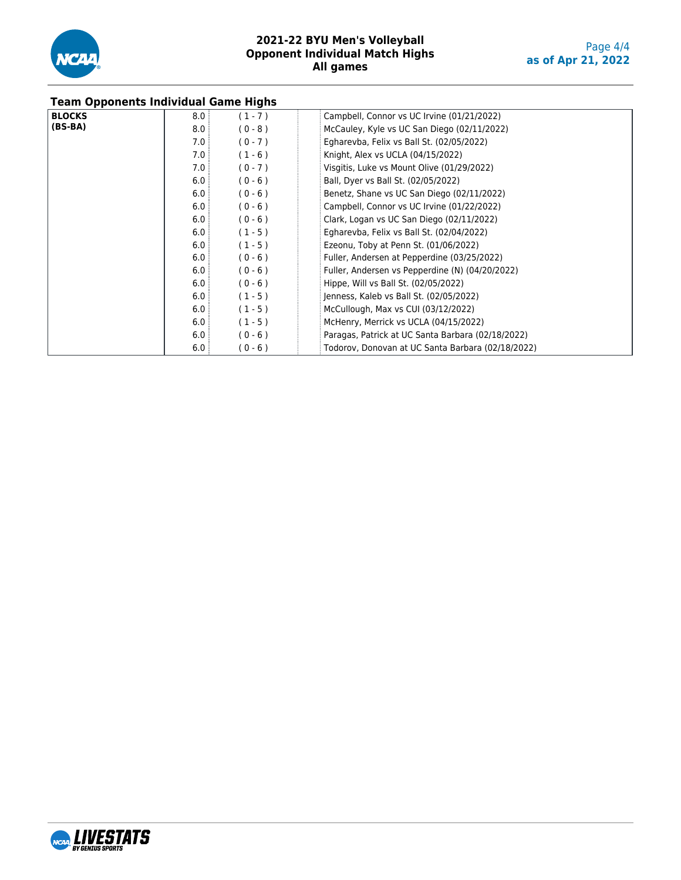

|               | <b>Team Opponents Individual Game Highs</b> |           |                                                   |  |  |  |  |  |  |
|---------------|---------------------------------------------|-----------|---------------------------------------------------|--|--|--|--|--|--|
| <b>BLOCKS</b> | 8.0                                         | $(1 - 7)$ | Campbell, Connor vs UC Irvine (01/21/2022)        |  |  |  |  |  |  |
| $(BS-BA)$     | 8.0                                         | $(0 - 8)$ | McCauley, Kyle vs UC San Diego (02/11/2022)       |  |  |  |  |  |  |
|               | 7.0:                                        | $(0 - 7)$ | Egharevba, Felix vs Ball St. (02/05/2022)         |  |  |  |  |  |  |
|               | 7.0:                                        | $(1 - 6)$ | Knight, Alex vs UCLA (04/15/2022)                 |  |  |  |  |  |  |
|               | 7.0                                         | $(0 - 7)$ | Visgitis, Luke vs Mount Olive (01/29/2022)        |  |  |  |  |  |  |
|               | 6.0                                         | $(0 - 6)$ | Ball, Dyer vs Ball St. (02/05/2022)               |  |  |  |  |  |  |
|               | 6.0                                         | $(0 - 6)$ | Benetz, Shane vs UC San Diego (02/11/2022)        |  |  |  |  |  |  |
|               | 6.0                                         | $(0 - 6)$ | Campbell, Connor vs UC Irvine (01/22/2022)        |  |  |  |  |  |  |
|               | 6.0                                         | $(0 - 6)$ | Clark, Logan vs UC San Diego (02/11/2022)         |  |  |  |  |  |  |
|               | 6.0                                         | $(1 - 5)$ | Egharevba, Felix vs Ball St. (02/04/2022)         |  |  |  |  |  |  |
|               | 6.0:                                        | $(1 - 5)$ | Ezeonu, Toby at Penn St. (01/06/2022)             |  |  |  |  |  |  |
|               | 6.0                                         | $(0 - 6)$ | Fuller, Andersen at Pepperdine (03/25/2022)       |  |  |  |  |  |  |
|               | 6.0                                         | $(0 - 6)$ | Fuller, Andersen vs Pepperdine (N) (04/20/2022)   |  |  |  |  |  |  |
|               | 6.0                                         | $(0 - 6)$ | Hippe, Will vs Ball St. (02/05/2022)              |  |  |  |  |  |  |
|               | 6.0                                         | $(1 - 5)$ | Jenness, Kaleb vs Ball St. (02/05/2022)           |  |  |  |  |  |  |
|               | 6.0:                                        | $(1 - 5)$ | McCullough, Max vs CUI (03/12/2022)               |  |  |  |  |  |  |
|               | 6.0:                                        | $(1 - 5)$ | McHenry, Merrick vs UCLA (04/15/2022)             |  |  |  |  |  |  |
|               | 6.0:                                        | $(0 - 6)$ | Paragas, Patrick at UC Santa Barbara (02/18/2022) |  |  |  |  |  |  |
|               | 6.0                                         | $(0 - 6)$ | Todorov, Donovan at UC Santa Barbara (02/18/2022) |  |  |  |  |  |  |

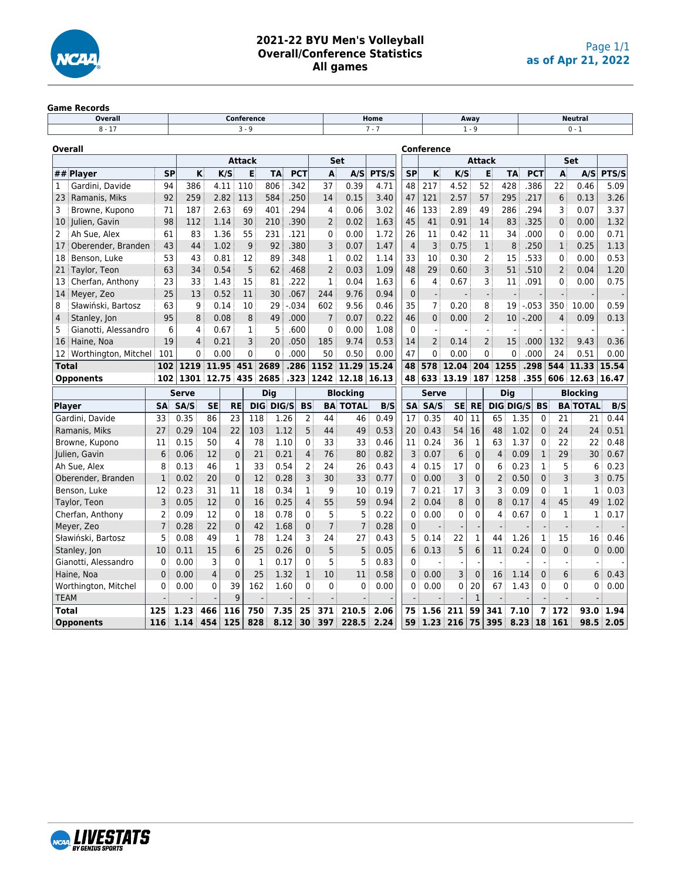

## **2021-22 BYU Men's Volleyball Overall/Conference Statistics All games**

# Game Records<br>**Discussed** Overall

| Overall                        |                 |                |                |                | <b>Conference</b> |                     |                |                |                             | Home    |                |                          | Neutral<br>Away |                |                |      |                |                 |                 |       |
|--------------------------------|-----------------|----------------|----------------|----------------|-------------------|---------------------|----------------|----------------|-----------------------------|---------|----------------|--------------------------|-----------------|----------------|----------------|------|----------------|-----------------|-----------------|-------|
| $8 - 17$                       |                 |                |                |                | $3 - 9$           |                     |                |                |                             | $7 - 7$ |                | $1 - 9$                  |                 |                |                |      | $0 - 1$        |                 |                 |       |
| Overall                        |                 |                |                |                |                   |                     |                |                |                             |         |                | <b>Conference</b>        |                 |                |                |      |                |                 |                 |       |
|                                |                 |                |                |                | <b>Attack</b>     |                     |                |                | Set                         |         |                |                          |                 | <b>Attack</b>  |                |      |                |                 | <b>Set</b>      |       |
| ## Player                      | <b>SP</b>       |                | κ              | K/S            | E                 | <b>TA</b>           | <b>PCT</b>     | A              | A/S                         | PTS/S   | <b>SP</b>      | K                        | K/S             |                | E              | TA   | <b>PCT</b>     | A               | A/S             | PTS/S |
| Gardini, Davide<br>1           | 94              | 386            |                | 4.11           | 110               | 806                 | 342            | 37             | 0.39                        | 4.71    | 48             | 217                      | 4.52            | 52             |                | 428  | 386            | 22              | 0.46            | 5.09  |
| Ramanis, Miks<br>23            | 92              | 259            |                | 2.82           | 113               | 584                 | .250           | 14             | 0.15                        | 3.40    | 47             | 121                      | 2.57            | 57             |                | 295  | .217           | 6               | 0.13            | 3.26  |
| 3<br>Browne, Kupono            | 71              | 187            |                | 2.63           | 69                | 401                 | .294           | 4              | 0.06                        | 3.02    | 46             | 133                      | 2.89            | 49             |                | 286  | .294           | 3               | 0.07            | 3.37  |
| Julien, Gavin<br>10            | 98              | 112            |                | 1.14           | 30                | 210                 | .390           | $\overline{2}$ | 0.02                        | 1.63    | 45             | 41                       | 0.91            | 14             |                | 83   | .325           | $\mathbf{0}$    | 0.00            | 1.32  |
| 2<br>Ah Sue, Alex              | 61              | 83             |                | 1.36           | 55                | 231                 | .121           | 0              | 0.00                        | 1.72    | 26             | 11                       | 0.42            | 11             |                | 34   | .000           | 0               | 0.00            | 0.71  |
| 17<br>Oberender, Branden       | 43              | 44             |                | 1.02           | 9                 | 92                  | .380           | 3              | 0.07                        | 1.47    | $\overline{4}$ | $\overline{3}$           | 0.75            |                | $\mathbf 1$    | 8    | .250           | $\mathbf{1}$    | 0.25            | 1.13  |
| 18<br>Benson, Luke             | 53              | 43             |                | 0.81           | 12                | 89                  | .348           | $\mathbf{1}$   | 0.02                        | 1.14    | 33             | 10                       | 0.30            |                | $\overline{2}$ | 15   | .533           | 0               | 0.00            | 0.53  |
| Taylor, Teon<br>21             | 63              | 34             |                | 0.54           | 5                 | 62                  | .468           | $\overline{2}$ | 0.03                        | 1.09    | 48             | 29                       | 0.60            |                | 3              | 51   | .510           | 2               | 0.04            | 1.20  |
| Cherfan, Anthony<br>13         | 23              | 33             |                | 1.43           | 15                | 81                  | .222           | 1              | 0.04                        | 1.63    | 6              | $\overline{4}$           | 0.67            |                | 3              | 11   | .091           | 0               | 0.00            | 0.75  |
| 14<br>Meyer, Zeo               | 25              | 13             |                | 0.52           | 11                | 30                  | .067           | 244            | 9.76                        | 0.94    | $\mathbf{0}$   | $\overline{\phantom{a}}$ |                 |                | $\frac{1}{2}$  |      |                |                 |                 |       |
| 8<br>Sławiński, Bartosz        | 63              | 9              |                | 0.14           | 10                | 29                  | $-0.34$        | 602            | 9.56                        | 0.46    | 35             | $\overline{7}$           | 0.20            |                | 8              | 19   | $-053$         | 350             | 10.00           | 0.59  |
| $\overline{4}$<br>Stanley, Jon | 95              | 8              |                | 0.08           | 8                 | 49                  | .000           | $\overline{7}$ | 0.07                        | 0.22    | 46             | $\overline{0}$           | 0.00            |                | $\overline{2}$ | 10   | $-.200$        | $\overline{4}$  | 0.09            | 0.13  |
| 5<br>Gianotti, Alessandro      | 6               | 4              |                | 0.67           | 1                 | 5                   | .600           | $\mathbf{0}$   | 0.00                        | 1.08    | $\Omega$       |                          |                 |                | $\blacksquare$ |      |                |                 |                 |       |
| Haine, Noa<br>16               | 19              | $\overline{4}$ |                | 0.21           | 3                 | 20                  | .050           | 185            | 9.74                        | 0.53    | 14             | $\overline{2}$           | 0.14            |                | $\overline{2}$ | 15   | .000           | 132             | 9.43            | 0.36  |
| 12<br>Worthington, Mitchel     | 101             | 0              |                | 0.00           | $\mathbf{0}$      | $\mathbf{0}$        | .000           | 50             | 0.50                        | 0.00    | 47             | $\mathbf{0}$             | 0.00            |                | $\mathbf{0}$   | 0    | .000           | 24              | 0.51            | 0.00  |
| <b>Total</b>                   | 102             |                |                | 1219 11.95 451 |                   | 2689                | .286           |                | 1152 11.29                  | 15.24   | 48             | 578                      | 12.04           | 204            | 1255           |      | .298           | 544             | 11.33           | 15.54 |
| <b>Opponents</b>               | 102             |                |                |                |                   | 1301 12.75 435 2685 |                |                | $.323 \mid 1242 \mid 12.18$ | 16.13   | 48             | 633                      | 13.19           | 187            | 1258           |      | .355           |                 | $606$ 12.63     | 16.47 |
|                                |                 | <b>Serve</b>   |                |                |                   | <b>Dig</b>          |                |                | <b>Blocking</b>             |         |                | <b>Serve</b>             |                 |                | <b>Dig</b>     |      |                |                 | <b>Blocking</b> |       |
| Player                         | <b>SA</b>       | SA/S           | <b>SE</b>      | <b>RE</b>      |                   | DIG DIG/S           | <b>BS</b>      |                | <b>BA TOTAL</b>             | B/S     | SA             | SA/S                     | <b>SE</b>       | <b>RE</b>      | DIG DIG/S      |      | <b>BS</b>      |                 | <b>BA TOTAL</b> | B/S   |
| Gardini, Davide                | 33              | 0.35           | 86             | 23             | 118               | 1.26                | 2              | 44             | 46                          | 0.49    | 17             | 0.35                     | 40              | 11             | 65             | 1.35 | $\mathbf{0}$   | 21              | 21              | 0.44  |
| Ramanis, Miks                  | 27              | 0.29           | 104            | 22             | 103               | 1.12                | 5              | 44             | 49                          | 0.53    | 20             | 0.43                     | 54              | 16             | 48             | 1.02 | $\mathbf 0$    | 24              | 24              | 0.51  |
| Browne, Kupono                 | 11              | 0.15           | 50             | 4              | 78                | 1.10                | 0              | 33             | 33                          | 0.46    | 11             | 0.24                     | 36              | $\mathbf 1$    | 63             | 1.37 | 0              | 22              | 22              | 0.48  |
| Julien, Gavin                  | $6\phantom{1}6$ | 0.06           | 12             | $\mathbf 0$    | 21                | 0.21                | $\overline{4}$ | 76             | 80                          | 0.82    | 3              | 0.07                     | $6\phantom{1}$  | $\overline{0}$ | $\overline{4}$ | 0.09 | $\mathbf{1}$   | 29              | 30              | 0.67  |
| Ah Sue, Alex                   | 8               | 0.13           | 46             | $\mathbf{1}$   | 33                | 0.54                | $\overline{2}$ | 24             | 26                          | 0.43    | 4              | 0.15                     | 17              | 0              | 6              | 0.23 | $\mathbf 1$    | 5               | 6               | 0.23  |
| Oberender, Branden             | $\mathbf{1}$    | 0.02           | 20             | $\pmb{0}$      | 12                | 0.28                | 3              | 30             | 33                          | 0.77    | $\mathbf{0}$   | 0.00                     | 3               | 0              | $\overline{2}$ | 0.50 | $\overline{0}$ | 3               | 3               | 0.75  |
| Benson, Luke                   | 12              | 0.23           | 31             | 11             | 18                | 0.34                | 1              | 9              | 10                          | 0.19    | 7              | 0.21                     | 17              | 3              | 3              | 0.09 | 0              | $\mathbf{1}$    | 1               | 0.03  |
| Taylor, Teon                   | 3               | 0.05           | 12             | $\mathbf 0$    | 16                | 0.25                | $\overline{4}$ | 55             | 59                          | 0.94    | $\overline{2}$ | 0.04                     | 8               | $\overline{0}$ | 8              | 0.17 | 4              | 45              | 49              | 1.02  |
| Cherfan, Anthony               | 2               | 0.09           | 12             | $\mathbf{0}$   | 18                | 0.78                | 0              | 5              | 5                           | 0.22    | $\mathbf{0}$   | 0.00                     | 0               | 0              | 4              | 0.67 | 0              | $\mathbf{1}$    | 1               | 0.17  |
| Meyer, Zeo                     | $\overline{7}$  | 0.28           | 22             | $\mathbf 0$    | 42                | 1.68                | 0              | $\overline{7}$ | 7                           | 0.28    | $\mathbf{0}$   |                          |                 |                |                |      |                | $\overline{a}$  |                 |       |
| Sławiński, Bartosz             | 5               | 0.08           | 49             | $\mathbf{1}$   | 78                | 1.24                | 3              | 24             | 27                          | 0.43    | 5              | 0.14                     | 22              | $\mathbf{1}$   | 44             | 1.26 | $\mathbf 1$    | 15              | 16              | 0.46  |
| Stanley, Jon                   | 10              | 0.11           | 15             | 6              | 25                | 0.26                | $\mathbf{0}$   | 5              | 5                           | 0.05    | 6              | 0.13                     | 5               | 6              | 11             | 0.24 | $\overline{0}$ | $\mathbf{0}$    | $\mathbf 0$     | 0.00  |
| Gianotti, Alessandro           | $\mathbf 0$     | 0.00           | 3              | 0              |                   | 1<br>0.17           | 0              | 5              | 5                           | 0.83    | $\mathbf{0}$   |                          |                 |                |                |      |                |                 |                 |       |
| Haine, Noa                     | $\mathbf 0$     | 0.00           | $\overline{4}$ | $\mathbf 0$    | 25                | 1.32                | $\mathbf{1}$   | 10             | 11                          | 0.58    | $\mathbf{0}$   | 0.00                     | 3               | $\mathbf 0$    | 16             | 1.14 | 0              | 6               | 6               | 0.43  |
| Worthington, Mitchel           | $\mathbf{0}$    | 0.00           | $\mathbf{0}$   | 39             | 162               | 1.60                | 0              | 0              | $\Omega$                    | 0.00    | 0              | 0.00                     | $\mathbf{0}$    | 20             | 67             | 1.43 | 0              | $\mathbf{0}$    | 0               | 0.00  |
| <b>TEAM</b>                    |                 |                |                | 9              |                   |                     |                |                |                             |         |                |                          |                 | 1              |                |      |                |                 |                 |       |
| <b>Total</b>                   | 125             | 1.23           | 466            | 116            | 750               | 7.35                | 25             | 371            | 210.5                       | 2.06    | 75             | 1.56                     | 211             | 59             | 341            | 7.10 | 7              | 17 <sup>2</sup> | 93.0            | 1.94  |
| <b>Opponents</b>               | 116             | 1.14           | 454            | 125            | 828               | 8.12                | 30             | 397            | 228.5                       | 2.24    | 59             | 1.23                     | 216             | 75             | 395            | 8.23 | 18             | 161             | 98.5            | 2.05  |

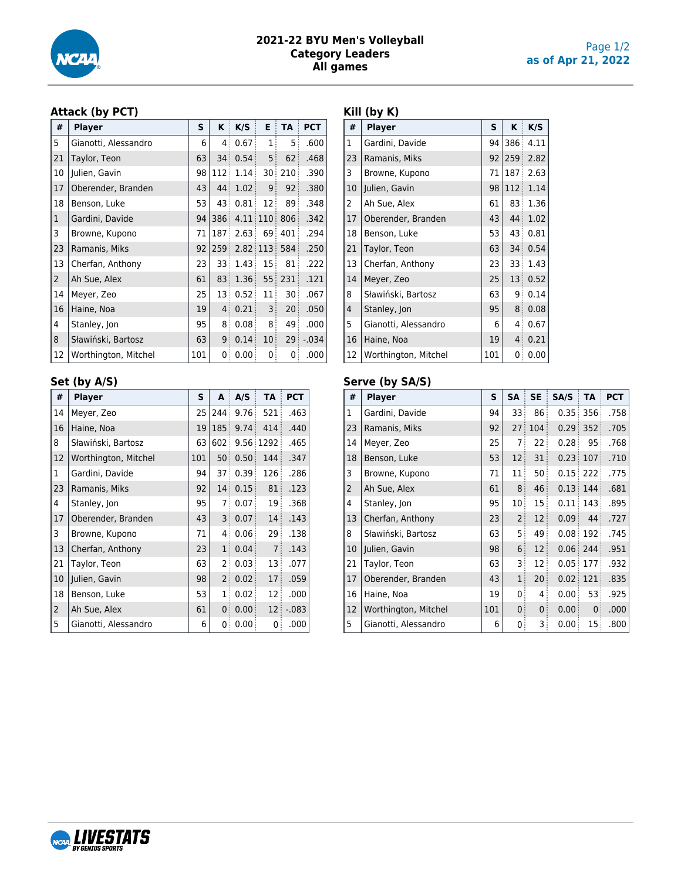

## **2021-22 BYU Men's Volleyball Category Leaders All games**

# **Attack (by PCT)**

| #              | <b>Player</b>        | S   | K    | K/S                  | Е               | <b>TA</b>       | <b>PCT</b> |
|----------------|----------------------|-----|------|----------------------|-----------------|-----------------|------------|
| 5              | Gianotti, Alessandro | 6   | 4    | 0.67                 | 1               | 5               | .600       |
| 21             | Taylor, Teon         | 63  | 34   | 0.54                 | 5               | 62 <sup>3</sup> | .468       |
| 10             | Julien, Gavin        | 98  | 112  | 1.14                 | 30              | 210             | .390       |
| 17             | Oberender, Branden   | 43  | 44:  | 1.02                 | 9               | 92              | .380       |
| 18             | Benson, Luke         | 53  | 43   | 0.81                 | 12 <sup>3</sup> | 89              | .348       |
| 1              | Gardini, Davide      | 94  | 386: | 4.11                 | 110             | 806             | .342       |
| 3              | Browne, Kupono       | 71  | 187  | 2.63                 | 69              | 401             | .294       |
| 23             | Ramanis, Miks        | 92  | 259: | $2.82 \mid 113 \mid$ |                 | 584             | .250       |
| 13             | Cherfan, Anthony     | 23  | 33   | 1.43                 | 15 <sup>3</sup> | 81              | .222       |
| $\overline{2}$ | Ah Sue, Alex         | 61  | 83   | 1.36                 | 55:             | 231             | .121       |
| 14             | Meyer, Zeo           | 25  | 13   | 0.52                 | 11              | 30 <sup>3</sup> | .067       |
| 16             | Haine, Noa           | 19  | 4:   | 0.21                 | 3               | 20 <sub>3</sub> | .050       |
| 4              | Stanley, Jon         | 95  | 8    | 0.08                 | 8               | 49              | .000       |
| 8              | Sławiński, Bartosz   | 63  | 9    | 0.14                 | 10 <sub>1</sub> | 29              | $-.034$    |
| 12             | Worthington, Mitchel | 101 | 0    | 0.00                 | 0               | 0               | .000       |

## **Set (by A/S)**

| #              | <b>Player</b>        | S   | A              | A/S  | <b>TA</b>       | <b>PCT</b> |
|----------------|----------------------|-----|----------------|------|-----------------|------------|
| 14             | Meyer, Zeo           | 25  | 244            | 9.76 | 521             | .463       |
| 16             | Haine, Noa           | 19  | 185            | 9.74 | 414             | .440       |
| 8              | Sławiński, Bartosz   | 63  | 602            | 9.56 | 1292<br>ŧ       | .465       |
| 12             | Worthington, Mitchel | 101 | 50             | 0.50 | 144             | .347       |
| 1              | Gardini, Davide      | 94  | 37             | 0.39 | 126             | .286       |
| 23             | Ramanis, Miks        | 92  | 14             | 0.15 | 81              | .123       |
| 4              | Stanley, Jon         | 95  | 7              | 0.07 | 19              | .368       |
| 17             | Oberender, Branden   | 43  | 3              | 0.07 | 14 <sup>3</sup> | .143       |
| 3              | Browne, Kupono       | 71  | 4              | 0.06 | 29 <sub>3</sub> | .138       |
| 13             | Cherfan, Anthony     | 23  | $\mathbf{1}$   | 0.04 | $\overline{7}$  | .143       |
| 21             | Taylor, Teon         | 63  | 2              | 0.03 | 13              | .077       |
| 10             | Julien, Gavin        | 98  | $\overline{2}$ | 0.02 | 17 <sup>3</sup> | .059       |
| 18             | Benson, Luke         | 53  | $\mathbf{1}$   | 0.02 | 12 <sub>3</sub> | .000       |
| $\overline{2}$ | Ah Sue, Alex         | 61  | 0              | 0.00 | 12 <sub>1</sub> | $-.083$    |
| 5              | Gianotti, Alessandro | 6   | 0              | 0.00 | 0               | .000       |

## **Kill (by K)**

| #              | <b>Player</b>        | S   | ĸ               | K/S  |
|----------------|----------------------|-----|-----------------|------|
| $\mathbf{1}$   | Gardini, Davide      | 94  | 386             | 4.11 |
| 23             | Ramanis, Miks        | 92  | 259             | 2.82 |
| 3              | Browne, Kupono       | 71  | 187             | 2.63 |
| 10             | Julien, Gavin        | 98  | 112             | 1.14 |
| 2              | Ah Sue, Alex         | 61  | 83              | 1.36 |
| 17             | Oberender, Branden   | 43  | 44              | 1.02 |
| 18             | Benson, Luke         | 53  | 43              | 0.81 |
| 21             | Taylor, Teon         | 63  | 34              | 0.54 |
| 13             | Cherfan, Anthony     | 23  | 33              | 1.43 |
| 14             | Meyer, Zeo           | 25  | 13 <sup>3</sup> | 0.52 |
| 8              | Sławiński, Bartosz   | 63  | ∶ 9             | 0.14 |
| $\overline{4}$ | Stanley, Jon         | 95  | 8 <sup>3</sup>  | 0.08 |
| 5              | Gianotti, Alessandro | 6   | 4:              | 0.67 |
| 16             | Haine, Noa           | 19  | $\overline{4}$  | 0.21 |
| 12             | Worthington, Mitchel | 101 | 0               | 0.00 |

## **Serve (by SA/S)**

| #            | <b>Player</b>        | S   | <b>SA</b>      | <b>SE</b>   | SA/S              | TA           | <b>PCT</b> |
|--------------|----------------------|-----|----------------|-------------|-------------------|--------------|------------|
| $\mathbf{1}$ | Gardini, Davide      | 94  | 33             | 86          | 0.35              | 356          | .758       |
| 23           | Ramanis, Miks        | 92  | 27             | 104         | 0.29              | 352          | .705       |
| 14           | Meyer, Zeo           | 25  | 7              | 22          | 0.28              | 95           | .768       |
| 18           | Benson, Luke         | 53  | 12             | 31          | 0.23              | 107          | .710       |
| 3            | Browne, Kupono       | 71  | 11             | 50:         | 0.15              | 222          | .775       |
| 2            | Ah Sue, Alex         | 61  | 8              | 46          | 0.13              | 144          | .681       |
| 4            | Stanley, Jon         | 95  | 10             | 15          | 0.11              | 143          | .895       |
| 13           | Cherfan, Anthony     | 23  | 2 <sup>3</sup> | 12          | 0.09              | 44           | .727       |
| 8            | Sławiński, Bartosz   | 63  | 5              | 49          | 0.08 <sub>1</sub> | 192          | .745       |
| 10           | Julien, Gavin        | 98  | 6              | 12          | 0.06              | 244          | .951       |
| 21           | Taylor, Teon         | 63  | 3              | 12          | 0.05              | 177          | .932       |
| 17           | Oberender, Branden   | 43  | $\mathbf{1}$   | 20          | 0.02              | 121          | .835       |
| 16           | Haine, Noa           | 19  | 0              | 4           | 0.00              | 53           | .925       |
| 12           | Worthington, Mitchel | 101 | 0              | $\mathbf 0$ | 0.00              | $\mathbf{0}$ | .000       |
| 5            | Gianotti, Alessandro | 6   | 0              | 3           | 0.00              | 15           | .800       |

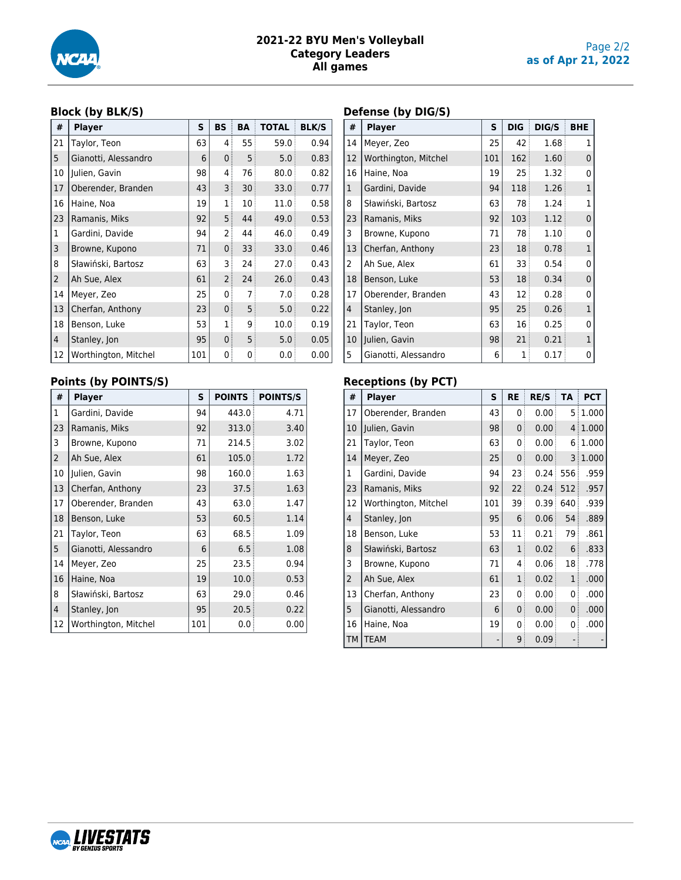

## **2021-22 BYU Men's Volleyball Category Leaders All games**

## Page 2/2 **as of Apr 21, 2022**

## **Block (by BLK/S)**

| #              | <b>Player</b>        | S   | <b>BS</b>      | BA | <b>TOTAL</b> | <b>BLK/S</b> |
|----------------|----------------------|-----|----------------|----|--------------|--------------|
| 21             | Taylor, Teon         | 63  | 4              | 55 | 59.0         | 0.94         |
| 5              | Gianotti, Alessandro | 6   | $\mathbf{0}$   | 5  | 5.0          | 0.83         |
| 10             | Julien, Gavin        | 98  | 4              | 76 | 80.0         | 0.82         |
| 17             | Oberender, Branden   | 43  | 3 <sup>3</sup> | 30 | 33.0         | 0.77         |
| 16             | Haine, Noa           | 19  | 1              | 10 | 11.0         | 0.58         |
| 23             | Ramanis, Miks        | 92  | 5 <sup>3</sup> | 44 | 49.0         | 0.53         |
| 1              | Gardini, Davide      | 94  | $\overline{2}$ | 44 | 46.0         | 0.49         |
| 3              | Browne, Kupono       | 71  | $\mathbf 0$    | 33 | 33.0         | 0.46         |
| 8              | Sławiński, Bartosz   | 63  | 3              | 24 | 27.0         | 0.43         |
| $\overline{2}$ | Ah Sue, Alex         | 61  | $\overline{2}$ | 24 | 26.0         | 0.43         |
| 14             | Meyer, Zeo           | 25  | 0              | 7  | 7.0          | 0.28         |
| 13             | Cherfan, Anthony     | 23  | $\mathbf 0$    | 5  | 5.0          | 0.22         |
| 18             | Benson, Luke         | 53  | 1              | 9  | 10.0         | 0.19         |
| 4              | Stanley, Jon         | 95  | $\mathbf 0$    | 5  | 5.0          | 0.05         |
| 12             | Worthington, Mitchel | 101 | 0              | 0  | 0.0          | 0.00         |

# **Points (by POINTS/S)**

| #              | <b>Player</b>        | S   | <b>POINTS</b> | <b>POINTS/S</b> |
|----------------|----------------------|-----|---------------|-----------------|
| $\mathbf{1}$   | Gardini, Davide      | 94  | 443.0         | 4.71            |
| 23             | Ramanis, Miks        | 92  | 313.0         | 3.40            |
| 3              | Browne, Kupono       | 71  | 214.5         | 3.02            |
| $\overline{2}$ | Ah Sue, Alex         | 61  | 105.0         | 1.72            |
| 10             | Julien, Gavin        | 98  | 160.0         | 1.63            |
| 13             | Cherfan, Anthony     | 23  | 37.5          | 1.63            |
| 17             | Oberender, Branden   | 43  | 63.0          | 1.47            |
| 18             | Benson, Luke         | 53  | 60.5          | 1.14            |
| 21             | Taylor, Teon         | 63  | 68.5          | 1.09            |
| 5              | Gianotti, Alessandro | 6   | 6.5           | 1.08            |
| 14             | Meyer, Zeo           | 25  | 23.5          | 0.94            |
| 16             | Haine, Noa           | 19  | 10.0          | 0.53            |
| 8              | Sławiński, Bartosz   | 63  | 29.0          | 0.46            |
| $\overline{4}$ | Stanley, Jon         | 95  | 20.5          | 0.22            |
| 12             | Worthington, Mitchel | 101 | 0.0           | 0.00            |

# **Defense (by DIG/S)**

| #              | <b>Player</b>        | S   | <b>DIG</b>      | DIG/S | <b>BHE</b>     |
|----------------|----------------------|-----|-----------------|-------|----------------|
| 14             | Meyer, Zeo           | 25  | 42              | 1.68  | $\mathbf{1}$   |
| 12             | Worthington, Mitchel | 101 | 162             | 1.60  | 0              |
| 16             | Haine, Noa           | 19  | 25              | 1.32  | 0              |
| $\mathbf{1}$   | Gardini, Davide      | 94  | 118             | 1.26  | $\overline{1}$ |
| 8              | Sławiński, Bartosz   | 63  | 78              | 1.24  | 1              |
| 23             | Ramanis, Miks        | 92  | 103             | 1.12  | 0              |
| 3              | Browne, Kupono       | 71  | 78              | 1.10  | 0              |
| 13             | Cherfan, Anthony     | 23  | 18              | 0.78  | $\overline{1}$ |
| 2              | Ah Sue, Alex         | 61  | 33              | 0.54  | 0              |
| 18             | Benson, Luke         | 53  | 18              | 0.34  | 0              |
| 17             | Oberender, Branden   | 43  | 12 <sub>1</sub> | 0.28  | 0              |
| $\overline{4}$ | Stanley, Jon         | 95  | 25              | 0.26  | $\overline{1}$ |
| 21             | Taylor, Teon         | 63  | 16              | 0.25  | 0              |
| 10             | Julien, Gavin        | 98  | 21              | 0.21  | $\mathbf{1}$   |
| 5              | Gianotti, Alessandro | 6   | 1               | 0.17  | 0              |

# **Receptions (by PCT)**

| #              | <b>Player</b>        | S   | <b>RE</b>      | <b>RE/S</b> | <b>TA</b>       | <b>PCT</b> |
|----------------|----------------------|-----|----------------|-------------|-----------------|------------|
| 17             | Oberender, Branden   | 43  | 0              | 0.00        |                 | 5:1.000    |
| 10             | Julien, Gavin        | 98  | 0              | 0.00        |                 | 4 1.000    |
| 21             | Taylor, Teon         | 63  | 0              | 0.00        | 6               | 1.000      |
| 14             | Meyer, Zeo           | 25  | 0              | 0.00        |                 | 3:1.000    |
| 1              | Gardini, Davide      | 94  | 23             | 0.24        | 556             | .959       |
| 23             | Ramanis, Miks        | 92  | 22             | 0.24        | 512             | .957       |
| 12             | Worthington, Mitchel | 101 | 39             | 0.39        | 640             | .939       |
| $\overline{4}$ | Stanley, Jon         | 95  | 6              | 0.06        | 54              | .889       |
| 18             | Benson, Luke         | 53  | 11             | 0.21        | 79              | .861       |
| 8              | Sławiński, Bartosz   | 63  | $\mathbf{1}$   | 0.02        | 6               | .833       |
| 3              | Browne, Kupono       | 71  | 4              | 0.06        | 18 <sub>1</sub> | .778       |
| $\overline{2}$ | Ah Sue, Alex         | 61  | $\overline{1}$ | 0.02        | $\mathbf{1}$    | .000       |
| 13             | Cherfan, Anthony     | 23  | 0              | 0.00        | 0               | .000       |
| 5              | Gianotti, Alessandro | 6   | 0              | 0.00        | $\mathbf{0}$    | .000       |
| 16             | Haine, Noa           | 19  | 0              | 0.00        | 0               | .000       |
| <b>TM</b>      | <b>TEAM</b>          |     | 9              | 0.09        |                 |            |